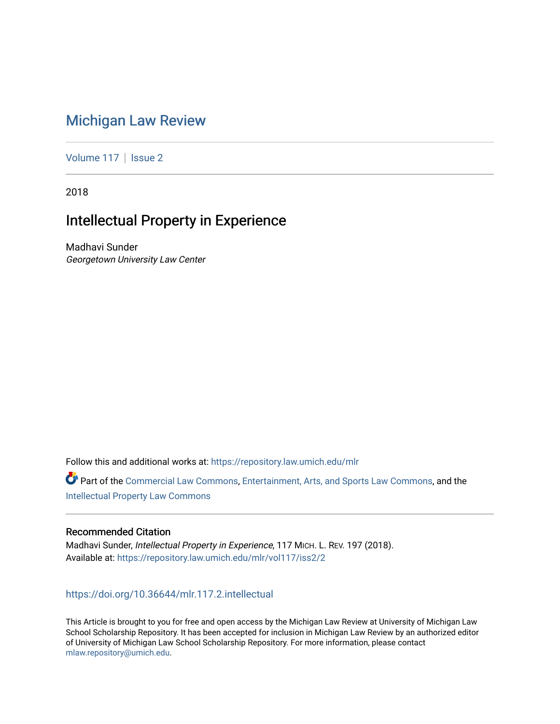# [Michigan Law Review](https://repository.law.umich.edu/mlr)

[Volume 117](https://repository.law.umich.edu/mlr/vol117) | [Issue 2](https://repository.law.umich.edu/mlr/vol117/iss2)

2018

# Intellectual Property in Experience

Madhavi Sunder Georgetown University Law Center

Follow this and additional works at: [https://repository.law.umich.edu/mlr](https://repository.law.umich.edu/mlr?utm_source=repository.law.umich.edu%2Fmlr%2Fvol117%2Fiss2%2F2&utm_medium=PDF&utm_campaign=PDFCoverPages) 

Part of the [Commercial Law Commons](http://network.bepress.com/hgg/discipline/586?utm_source=repository.law.umich.edu%2Fmlr%2Fvol117%2Fiss2%2F2&utm_medium=PDF&utm_campaign=PDFCoverPages), [Entertainment, Arts, and Sports Law Commons](http://network.bepress.com/hgg/discipline/893?utm_source=repository.law.umich.edu%2Fmlr%2Fvol117%2Fiss2%2F2&utm_medium=PDF&utm_campaign=PDFCoverPages), and the [Intellectual Property Law Commons](http://network.bepress.com/hgg/discipline/896?utm_source=repository.law.umich.edu%2Fmlr%2Fvol117%2Fiss2%2F2&utm_medium=PDF&utm_campaign=PDFCoverPages) 

## Recommended Citation

Madhavi Sunder, Intellectual Property in Experience, 117 MICH. L. REV. 197 (2018). Available at: [https://repository.law.umich.edu/mlr/vol117/iss2/2](https://repository.law.umich.edu/mlr/vol117/iss2/2?utm_source=repository.law.umich.edu%2Fmlr%2Fvol117%2Fiss2%2F2&utm_medium=PDF&utm_campaign=PDFCoverPages) 

<https://doi.org/10.36644/mlr.117.2.intellectual>

This Article is brought to you for free and open access by the Michigan Law Review at University of Michigan Law School Scholarship Repository. It has been accepted for inclusion in Michigan Law Review by an authorized editor of University of Michigan Law School Scholarship Repository. For more information, please contact [mlaw.repository@umich.edu.](mailto:mlaw.repository@umich.edu)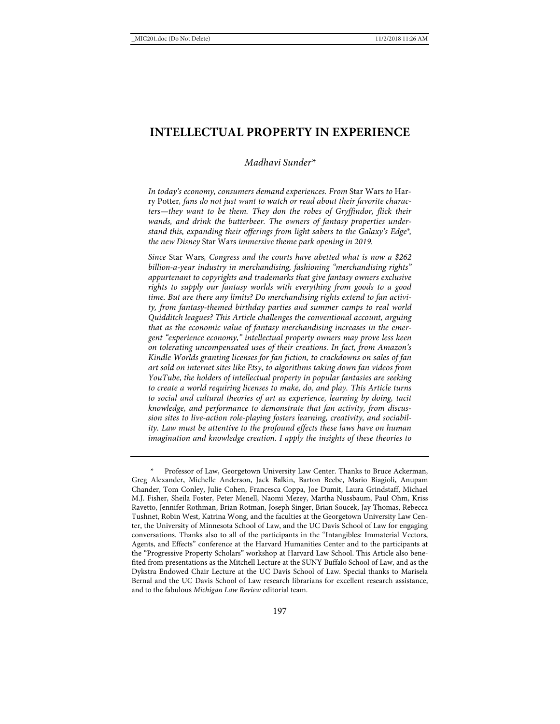# **INTELLECTUAL PROPERTY IN EXPERIENCE**

#### *Madhavi Sunder\**

*In today's economy, consumers demand experiences. From* Star Wars *to* Harry Potter*, fans do not just want to watch or read about their favorite characters—they want to be them. They don the robes of Gryffindor, flick their wands, and drink the butterbeer. The owners of fantasy properties understand this, expanding their offerings from light sabers to the Galaxy's Edge®, the new Disney* Star Wars *immersive theme park opening in 2019.*

*Since* Star Wars*, Congress and the courts have abetted what is now a \$262 billion-a-year industry in merchandising, fashioning "merchandising rights" appurtenant to copyrights and trademarks that give fantasy owners exclusive rights to supply our fantasy worlds with everything from goods to a good time. But are there any limits? Do merchandising rights extend to fan activity, from fantasy-themed birthday parties and summer camps to real world Quidditch leagues? This Article challenges the conventional account, arguing that as the economic value of fantasy merchandising increases in the emergent "experience economy," intellectual property owners may prove less keen on tolerating uncompensated uses of their creations. In fact, from Amazon's Kindle Worlds granting licenses for fan fiction, to crackdowns on sales of fan art sold on internet sites like Etsy, to algorithms taking down fan videos from YouTube, the holders of intellectual property in popular fantasies are seeking to create a world requiring licenses to make, do, and play. This Article turns to social and cultural theories of art as experience, learning by doing, tacit knowledge, and performance to demonstrate that fan activity, from discussion sites to live-action role-playing fosters learning, creativity, and sociability. Law must be attentive to the profound effects these laws have on human imagination and knowledge creation. I apply the insights of these theories to* 

Professor of Law, Georgetown University Law Center. Thanks to Bruce Ackerman, Greg Alexander, Michelle Anderson, Jack Balkin, Barton Beebe, Mario Biagioli, Anupam Chander, Tom Conley, Julie Cohen, Francesca Coppa, Joe Dumit, Laura Grindstaff, Michael M.J. Fisher, Sheila Foster, Peter Menell, Naomi Mezey, Martha Nussbaum, Paul Ohm, Kriss Ravetto, Jennifer Rothman, Brian Rotman, Joseph Singer, Brian Soucek, Jay Thomas, Rebecca Tushnet, Robin West, Katrina Wong, and the faculties at the Georgetown University Law Center, the University of Minnesota School of Law, and the UC Davis School of Law for engaging conversations. Thanks also to all of the participants in the "Intangibles: Immaterial Vectors, Agents, and Effects" conference at the Harvard Humanities Center and to the participants at the "Progressive Property Scholars" workshop at Harvard Law School. This Article also benefited from presentations as the Mitchell Lecture at the SUNY Buffalo School of Law, and as the Dykstra Endowed Chair Lecture at the UC Davis School of Law. Special thanks to Marisela Bernal and the UC Davis School of Law research librarians for excellent research assistance, and to the fabulous *Michigan Law Review* editorial team.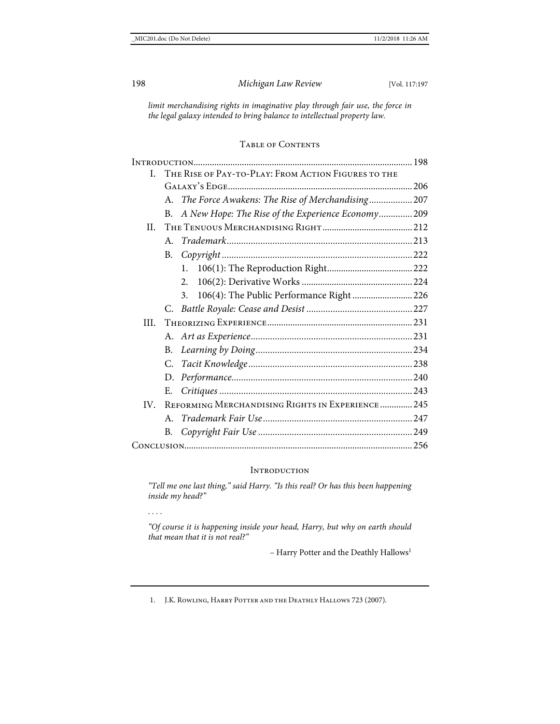*limit merchandising rights in imaginative play through fair use, the force in the legal galaxy intended to bring balance to intellectual property law.*

# Table of Contents

| L.  | THE RISE OF PAY-TO-PLAY: FROM ACTION FIGURES TO THE |                                                    |  |
|-----|-----------------------------------------------------|----------------------------------------------------|--|
|     |                                                     |                                                    |  |
|     | $A_{-}$                                             | The Force Awakens: The Rise of Merchandising 207   |  |
|     | B.                                                  | A New Hope: The Rise of the Experience Economy 209 |  |
| H.  |                                                     |                                                    |  |
|     | A                                                   |                                                    |  |
|     | B.                                                  |                                                    |  |
|     |                                                     | 1.                                                 |  |
|     |                                                     | 2.                                                 |  |
|     |                                                     | 106(4): The Public Performance Right  226<br>3.    |  |
|     |                                                     |                                                    |  |
| HL. |                                                     |                                                    |  |
|     |                                                     |                                                    |  |
|     | $B_{-}$                                             |                                                    |  |
|     | C.                                                  |                                                    |  |
|     |                                                     |                                                    |  |
|     | Е.                                                  |                                                    |  |
| IV. | REFORMING MERCHANDISING RIGHTS IN EXPERIENCE 245    |                                                    |  |
|     | A.                                                  |                                                    |  |
|     | В.                                                  |                                                    |  |
|     |                                                     |                                                    |  |
|     |                                                     |                                                    |  |

#### **INTRODUCTION**

*"Tell me one last thing," said Harry. "Is this real? Or has this been happening inside my head?"* 

*. . . .*

*"Of course it is happening inside your head, Harry, but why on earth should that mean that it is not real?"*

- Harry Potter and the Deathly Hallows<sup>1</sup>

1. J.K. ROWLING, HARRY POTTER AND THE DEATHLY HALLOWS 723 (2007).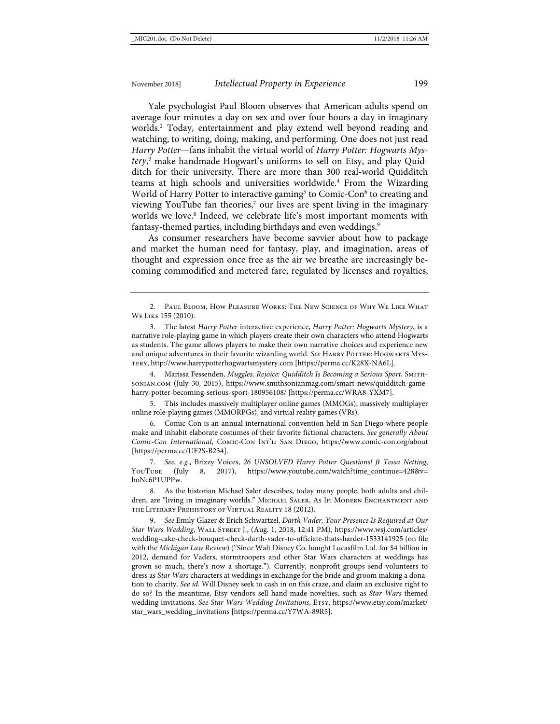<span id="page-3-1"></span><span id="page-3-0"></span>Yale psychologist Paul Bloom observes that American adults spend on average four minutes a day on sex and over four hours a day in imaginary worlds.2 Today, entertainment and play extend well beyond reading and watching, to writing, doing, making, and performing. One does not just read *Harry Potter*—fans inhabit the virtual world of *Harry Potter: Hogwarts Mystery*, <sup>3</sup> make handmade Hogwart's uniforms to sell on Etsy, and play Quidditch for their university. There are more than 300 real-world Quidditch teams at high schools and universities worldwide.<sup>4</sup> From the Wizarding World of Harry Potter to interactive gaming<sup>5</sup> to Comic-Con<sup>6</sup> to creating and viewing YouTube fan theories,<sup>7</sup> our lives are spent living in the imaginary worlds we love.<sup>8</sup> Indeed, we celebrate life's most important moments with fantasy-themed parties, including birthdays and even weddings.<sup>9</sup>

As consumer researchers have become savvier about how to package and market the human need for fantasy, play, and imagination, areas of thought and expression once free as the air we breathe are increasingly becoming commodified and metered fare, regulated by licenses and royalties,

4. Marissa Fessenden, *Muggles, Rejoice: Quidditch Is Becoming a Serious Sport*, Smithsonian.com (July 30, 2015), [https://www.smithsonianmag.com/smart-news/quidditch-game](https://www.smithsonianmag.com/smart-news/quidditch-game-harry-potter-becoming-serious-sport-180956108/)[harry-potter-becoming-serious-sport-180956108/](https://www.smithsonianmag.com/smart-news/quidditch-game-harry-potter-becoming-serious-sport-180956108/) [\[https://perma.cc/WRA8-YXM7\]](https://perma.cc/WRA8-YXM7).

5. This includes massively multiplayer online games (MMOGs), massively multiplayer online role-playing games (MMORPGs), and virtual reality games (VRs).

6. Comic-Con is an annual international convention held in San Diego where people make and inhabit elaborate costumes of their favorite fictional characters. *See generally About Comic-Con International*, Comic-Con Int'l: San Diego, https://www.comic-con.org/about [\[https://perma.cc/UF2S-B234\]](https://perma.cc/UF2S-B234).

7. *See, e.g.*, Brizzy Voices, *26 UNSOLVED Harry Potter Questions! ft Tessa Netting*, YouTube (July 8, 2017), [https://www.youtube.com/watch?time\\_continue=428&v=](https://www.youtube.com/watch?time_continue=428&v=boNc6P1UPPw%20) [boNc6P1UPPw.](https://www.youtube.com/watch?time_continue=428&v=boNc6P1UPPw%20)

8. As the historian Michael Saler describes, today many people, both adults and children, are "living in imaginary worlds." Michael Saler, As If: Modern Enchantment and the Literary Prehistory of Virtual Reality 18 (2012).

9. *See* Emily Glazer & Erich Schwartzel, *Darth Vader, Your Presence Is Required at Our Star Wars Wedding*, Wall Street J., (Aug. 1, 2018, 12:41 PM), [https://www.wsj.com/articles/](https://www.wsj.com/articles/wedding-cake-check-bouquet-check-darth-vader-to-officiate-thats-harder-1533141925) [wedding-cake-check-bouquet-check-darth-vader-to-officiate-thats-harder-1533141925](https://www.wsj.com/articles/wedding-cake-check-bouquet-check-darth-vader-to-officiate-thats-harder-1533141925) (on file with the *Michigan Law Review*) (["Since Walt Disney Co. bought Lucasfilm Ltd. for \\$4 billion in](https://www.wsj.com/articles/SB10001424052970203335504578089092063718614?mod=article_inline)  [2012,](https://www.wsj.com/articles/SB10001424052970203335504578089092063718614?mod=article_inline) demand for Vaders, stormtroopers and other Star Wars characters at weddings has grown so much, there's now a shortage."). Currently, nonprofit groups send volunteers to dress as *Star Wars* characters at weddings in exchange for the bride and groom making a donation to charity. *See id.* Will Disney seek to cash in on this craze, and claim an exclusive right to do so? In the meantime, Etsy vendors sell hand-made novelties, such as *Star Wars* themed wedding invitations. *See Star Wars Wedding Invitations*, Etsy, [https://www.etsy.com/market/](https://www.etsy.com/market/star_wars_wedding_invitations) [star\\_wars\\_wedding\\_invitations](https://www.etsy.com/market/star_wars_wedding_invitations) [\[https://perma.cc/Y7WA-89R5\]](https://perma.cc/Y7WA-89R5).

<sup>2.</sup> Paul Bloom, How Pleasure Works: The New Science of Why We Like What We Like 155 (2010).

<sup>3.</sup> The latest *Harry Potter* interactive experience, *Harry Potter: Hogwarts Mystery*, is a narrative role-playing game in which players create their own characters who attend Hogwarts as students. The game allows players to make their own narrative choices and experience new and unique adventures in their favorite wizarding world. See HARRY POTTER: HOGWARTS MYStery, [http://www.harrypotterhogwartsmystery.com](http://www.harrypotterhogwartsmystery.com/) [\[https://perma.cc/K28X-NA6L\]](https://perma.cc/K28X-NA6L).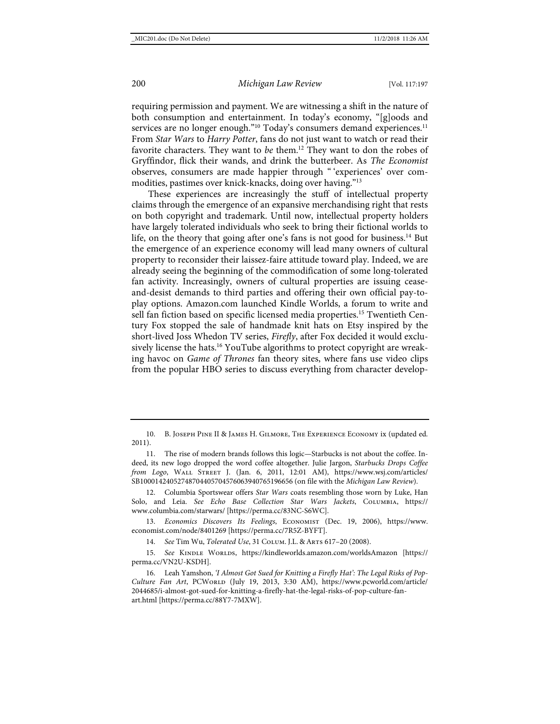<span id="page-4-0"></span>requiring permission and payment. We are witnessing a shift in the nature of both consumption and entertainment. In today's economy, "[g]oods and services are no longer enough."<sup>10</sup> Today's consumers demand experiences.<sup>11</sup> From *Star Wars* to *Harry Potter*, fans do not just want to watch or read their favorite characters. They want to *be* them.<sup>12</sup> They want to don the robes of Gryffindor, flick their wands, and drink the butterbeer. As *The Economist* observes, consumers are made happier through " 'experiences' over commodities, pastimes over knick-knacks, doing over having."13

<span id="page-4-3"></span><span id="page-4-1"></span>These experiences are increasingly the stuff of intellectual property claims through the emergence of an expansive merchandising right that rests on both copyright and trademark. Until now, intellectual property holders have largely tolerated individuals who seek to bring their fictional worlds to life, on the theory that going after one's fans is not good for business.<sup>14</sup> But the emergence of an experience economy will lead many owners of cultural property to reconsider their laissez-faire attitude toward play. Indeed, we are already seeing the beginning of the commodification of some long-tolerated fan activity. Increasingly, owners of cultural properties are issuing ceaseand-desist demands to third parties and offering their own official pay-toplay options. Amazon.com launched Kindle Worlds, a forum to write and sell fan fiction based on specific licensed media properties.15 Twentieth Century Fox stopped the sale of handmade knit hats on Etsy inspired by the short-lived Joss Whedon TV series, *Firefly*, after Fox decided it would exclusively license the hats.<sup>16</sup> YouTube algorithms to protect copyright are wreaking havoc on *Game of Thrones* fan theory sites, where fans use video clips from the popular HBO series to discuss everything from character develop-

<span id="page-4-2"></span><sup>10.</sup> B. Joseph Pine II & James H. Gilmore, The Experience Economy ix (updated ed. 2011).

<sup>11.</sup> The rise of modern brands follows this logic—Starbucks is not about the coffee. Indeed, its new logo dropped the word coffee altogether. Julie Jargon, *Starbucks Drops Coffee from Logo*, Wall Street J. (Jan. 6, 2011, 12:01 AM), [https://www.wsj.com/articles/](https://www.wsj.com/articles/SB10001424052748704405704576063940765196656) [SB10001424052748704405704576063940765196656](https://www.wsj.com/articles/SB10001424052748704405704576063940765196656) (on file with the *Michigan Law Review*).

<sup>12.</sup> Columbia Sportswear offers *Star Wars* coats resembling those worn by Luke, Han Solo, and Leia. *See Echo Base Collection Star Wars Jackets*, Columbia, https:// www.columbia.com/starwars/ [https://perma.cc/83NC-S6WC].

<sup>13.</sup> *Economics Discovers Its Feelings*, Economist (Dec. 19, 2006), [https://www.](https://www.economist.com/node/8401269) [economist.com/node/8401269](https://www.economist.com/node/8401269) [\[https://perma.cc/7R5Z-BYFT\]](https://perma.cc/7R5Z-BYFT).

<sup>14.</sup> *See* Tim Wu, *Tolerated Use*, 31 Colum. J.L. & Arts 617–20 (2008).

<sup>15.</sup> See KINDLE WORLDS, <https://kindleworlds.amazon.com/worldsAmazon> [\[https://](https://perma.cc/VN2U-KSDH) [perma.cc/VN2U-KSDH\]](https://perma.cc/VN2U-KSDH).

<sup>16.</sup> Leah Yamshon, *'I Almost Got Sued for Knitting a Firefly Hat': The Legal Risks of Pop*Culture Fan Art, PCWorld (July 19, 2013, 3:30 AM), [https://www.pcworld.com/article/](https://www.pcworld.com/article/2044685/i-almost-got-sued-for-knitting-a-firefly-hat-the-legal-risks-of-pop-culture-fan-art.html) [2044685/i-almost-got-sued-for-knitting-a-firefly-hat-the-legal-risks-of-pop-culture-fan](https://www.pcworld.com/article/2044685/i-almost-got-sued-for-knitting-a-firefly-hat-the-legal-risks-of-pop-culture-fan-art.html)[art.html](https://www.pcworld.com/article/2044685/i-almost-got-sued-for-knitting-a-firefly-hat-the-legal-risks-of-pop-culture-fan-art.html) [\[https://perma.cc/88Y7-7MXW\]](https://perma.cc/88Y7-7MXW).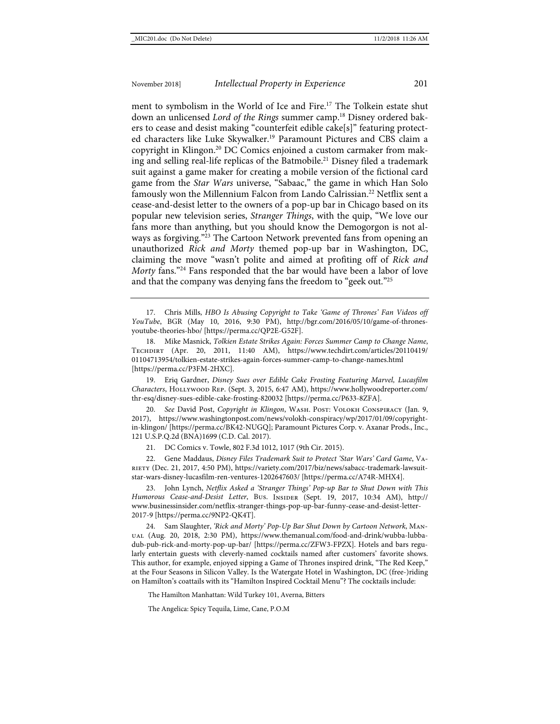<span id="page-5-0"></span>ment to symbolism in the World of Ice and Fire.<sup>17</sup> The Tolkein estate shut down an unlicensed *Lord of the Rings* summer camp.<sup>18</sup> Disney ordered bakers to cease and desist making "counterfeit edible cake[s]" featuring protected characters like Luke Skywalker.<sup>19</sup> Paramount Pictures and CBS claim a copyright in Klingon.20 DC Comics enjoined a custom carmaker from making and selling real-life replicas of the Batmobile.<sup>21</sup> Disney filed a trademark suit against a game maker for creating a mobile version of the fictional card game from the *Star Wars* universe, "Sabaac," the game in which Han Solo famously won the Millennium Falcon from Lando Calrissian.<sup>22</sup> Netflix sent a cease-and-desist letter to the owners of a pop-up bar in Chicago based on its popular new television series, *Stranger Things*, with the quip, "We love our fans more than anything, but you should know the Demogorgon is not always as forgiving."<sup>23</sup> The Cartoon Network prevented fans from opening an unauthorized *Rick and Morty* themed pop-up bar in Washington, DC, claiming the move "wasn't polite and aimed at profiting off of *Rick and Morty* fans."24 Fans responded that the bar would have been a labor of love and that the company was denying fans the freedom to "geek out."25

17. Chris Mills, *HBO Is Abusing Copyright to Take 'Game of Thrones' Fan Videos off YouTube*, BGR (May 10, 2016, 9:30 PM), [http://bgr.com/2016/05/10/game-of-thrones](http://bgr.com/2016/05/10/game-of-thrones-youtube-theories-hbo/)[youtube-theories-hbo/](http://bgr.com/2016/05/10/game-of-thrones-youtube-theories-hbo/) [\[https://perma.cc/QP2E-G52F\]](https://perma.cc/QP2E-G52F).

18. Mike Masnick, *Tolkien Estate Strikes Again: Forces Summer Camp to Change Name*, Techdirt (Apr. 20, 2011, 11:40 AM), [https://www.techdirt.com/articles/20110419/](https://www.techdirt.com/articles/20110419/01104713954/tolkien-estate-strikes-again-forces-summer-camp-to-change-names.html) [01104713954/tolkien-estate-strikes-again-forces-summer-camp-to-change-names.html](https://www.techdirt.com/articles/20110419/01104713954/tolkien-estate-strikes-again-forces-summer-camp-to-change-names.html) [\[https://perma.cc/P3FM-2HXC\]](https://perma.cc/P3FM-2HXC).

19. Eriq Gardner, *Disney Sues over Edible Cake Frosting Featuring Marvel, Lucasfilm Characters*, Hollywood Rep. (Sept. 3, 2015, 6:47 AM), [https://www.hollywoodreporter.com/](https://www.hollywoodreporter.com/thr-esq/disney-sues-edible-cake-frosting-820032) [thr-esq/disney-sues-edible-cake-frosting-820032](https://www.hollywoodreporter.com/thr-esq/disney-sues-edible-cake-frosting-820032) [\[https://perma.cc/P633-8ZFA\]](https://perma.cc/P633-8ZFA).

20. *See* David Post, *Copyright in Klingon*, Wash. Post: Volokh Conspiracy (Jan. 9, 2017), https://www.washingtonpost.com/news/volokh-conspiracy/wp/2017/01/09/copyrightin-klingon/ [\[https://perma.cc/BK42-NUGQ\]](https://perma.cc/BK42-NUGQ); Paramount Pictures Corp. v. Axanar Prods., Inc., 121 U.S.P.Q.2d (BNA)1699 (C.D. Cal. 2017).

21. DC Comics v. Towle, 802 F.3d 1012, 1017 (9th Cir. 2015).

22. Gene Maddaus, *Disney Files Trademark Suit to Protect 'Star Wars' Card Game*, Variety (Dec. 21, 2017, 4:50 PM), [https://variety.com/2017/biz/news/sabacc-trademark-lawsuit](https://variety.com/2017/biz/news/sabacc-trademark-lawsuit-star-wars-disney-lucasfilm-ren-ventures-1202647603/)[star-wars-disney-lucasfilm-ren-ventures-1202647603/](https://variety.com/2017/biz/news/sabacc-trademark-lawsuit-star-wars-disney-lucasfilm-ren-ventures-1202647603/) [\[https://perma.cc/A74R-MHX4\]](https://perma.cc/A74R-MHX4).

23. John Lynch, *Netflix Asked a 'Stranger Things' Pop-up Bar to Shut Down with This Humorous Cease-and-Desist Letter*, Bus. Insider (Sept. 19, 2017, 10:34 AM), [http://](http://www.businessinsider.com/netflix-stranger-things-pop-up-bar-funny-cease-and-desist-letter-2017-9) [www.businessinsider.com/netflix-stranger-things-pop-up-bar-funny-cease-and-desist-letter-](http://www.businessinsider.com/netflix-stranger-things-pop-up-bar-funny-cease-and-desist-letter-2017-9)[2017-9](http://www.businessinsider.com/netflix-stranger-things-pop-up-bar-funny-cease-and-desist-letter-2017-9) [\[https://perma.cc/9NP2-QK4T\]](https://perma.cc/9NP2-QK4T).

24. Sam Slaughter, *'Rick and Morty' Pop-Up Bar Shut Down by Cartoon Network*, Manual (Aug. 20, 2018, 2:30 PM), [https://www.themanual.com/food-and-drink/wubba-lubba](https://www.themanual.com/food-and-drink/wubba-lubba-dub-pub-rick-and-morty-pop-up-bar/)[dub-pub-rick-and-morty-pop-up-bar/](https://www.themanual.com/food-and-drink/wubba-lubba-dub-pub-rick-and-morty-pop-up-bar/) [\[https://perma.cc/ZFW3-FPZX\]](https://perma.cc/ZFW3-FPZX). Hotels and bars regularly entertain guests with cleverly-named cocktails named after customers' favorite shows. This author, for example, enjoyed sipping a Game of Thrones inspired drink, "The Red Keep," at the Four Seasons in Silicon Valley. Is the Watergate Hotel in Washington, DC (free-)riding on Hamilton's coattails with its "Hamilton Inspired Cocktail Menu"? The cocktails include:

The Hamilton Manhattan: Wild Turkey 101, Averna, Bitters

The Angelica: Spicy Tequila, Lime, Cane, P.O.M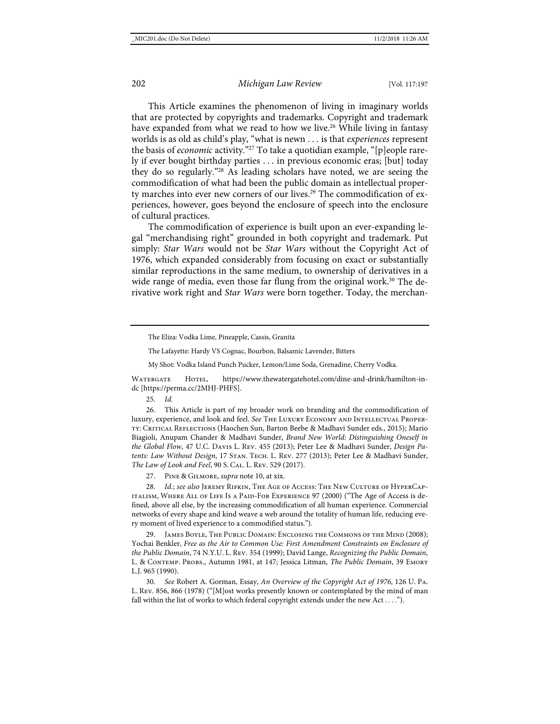This Article examines the phenomenon of living in imaginary worlds that are protected by copyrights and trademarks. Copyright and trademark have expanded from what we read to how we live.<sup>26</sup> While living in fantasy worlds is as old as child's play, "what is newn . . . is that *experiences* represent the basis of *economic* activity."27 To take a quotidian example, "[p]eople rarely if ever bought birthday parties . . . in previous economic eras; [but] today they do so regularly."28 As leading scholars have noted, we are seeing the commodification of what had been the public domain as intellectual property marches into ever new corners of our lives.<sup>29</sup> The commodification of experiences, however, goes beyond the enclosure of speech into the enclosure of cultural practices.

<span id="page-6-0"></span>The commodification of experience is built upon an ever-expanding legal "merchandising right" grounded in both copyright and trademark. Put simply: *Star Wars* would not be *Star Wars* without the Copyright Act of 1976, which expanded considerably from focusing on exact or substantially similar reproductions in the same medium, to ownership of derivatives in a wide range of media, even those far flung from the original work.<sup>30</sup> The derivative work right and *Star Wars* were born together. Today, the merchan-

The Lafayette: Hardy VS Cognac, Bourbon, Balsamic Lavender, Bitters

My Shot: Vodka Island Punch Pucker, Lemon/Lime Soda, Grenadine, Cherry Vodka.

Watergate Hotel, [https://www.thewatergatehotel.com/dine-and-drink/hamilton-in](https://www.thewatergatehotel.com/dine-and-drink/hamilton-in-dc)[dc](https://www.thewatergatehotel.com/dine-and-drink/hamilton-in-dc) [https://perma.cc/2MHJ-PHFS].

25. *Id.*

26. This Article is part of my broader work on branding and the commodification of luxury, experience, and look and feel. *See* The Luxury Economy and Intellectual Property: Critical Reflections (Haochen Sun, Barton Beebe & Madhavi Sunder eds., 2015); Mario Biagioli, Anupam Chander & Madhavi Sunder, *Brand New World: Distinguishing Oneself in the Global Flow*, 47 U.C. Davis L. Rev. 455 (2013); Peter Lee & Madhavi Sunder, *Design Patents: Law Without Design*, 17 Stan. Tech. L. Rev. 277 (2013); Peter Lee & Madhavi Sunder, *The Law of Look and Feel*, 90 S. Cal. L. Rev. 529 (2017).

27. Pine & Gilmore, *supra* not[e 10,](#page-4-0) at xix.

28. *Id.*; *see also* Jeremy Rifkin, The Age of Access: The New Culture of HyperCapitalism, Where All of Life Is a Paid-For Experience 97 (2000) ("The Age of Access is defined, above all else, by the increasing commodification of all human experience. Commercial networks of every shape and kind weave a web around the totality of human life, reducing every moment of lived experience to a commodified status.").

JAMES BOYLE, THE PUBLIC DOMAIN: ENCLOSING THE COMMONS OF THE MIND (2008); Yochai Benkler, *Free as the Air to Common Use: First Amendment Constraints on Enclosure of the Public Domain*, 74 N.Y.U. L. Rev. 354 (1999); David Lange, *Recognizing the Public Domain*, L. & Contemp. Probs., Autumn 1981, at 147; Jessica Litman, *The Public Domain*, 39 Emory L.J. 965 (1990).

30. *See* Robert A. Gorman, Essay, *An Overview of the Copyright Act of 1976*, 126 U. Pa. L. Rev. 856, 866 (1978) ("[M]ost works presently known or contemplated by the mind of man fall within the list of works to which federal copyright extends under the new Act . . . .").

The Eliza: Vodka Lime, Pineapple, Cassis, Granita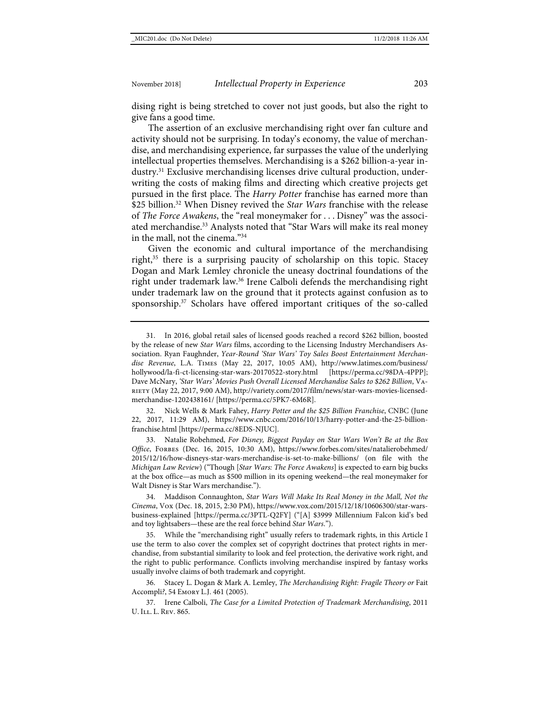dising right is being stretched to cover not just goods, but also the right to give fans a good time.

The assertion of an exclusive merchandising right over fan culture and activity should not be surprising. In today's economy, the value of merchandise, and merchandising experience, far surpasses the value of the underlying intellectual properties themselves. Merchandising is a \$262 billion-a-year industry.<sup>31</sup> Exclusive merchandising licenses drive cultural production, underwriting the costs of making films and directing which creative projects get pursued in the first place. The *Harry Potter* franchise has earned more than \$25 billion.<sup>32</sup> When Disney revived the *Star Wars* franchise with the release of *The Force Awakens*, the "real moneymaker for . . . Disney" was the associated merchandise.<sup>33</sup> Analysts noted that "Star Wars will make its real money in the mall, not the cinema."34

<span id="page-7-0"></span>Given the economic and cultural importance of the merchandising right, $35$  there is a surprising paucity of scholarship on this topic. Stacey Dogan and Mark Lemley chronicle the uneasy doctrinal foundations of the right under trademark law.36 Irene Calboli defends the merchandising right under trademark law on the ground that it protects against confusion as to sponsorship.<sup>37</sup> Scholars have offered important critiques of the so-called

32. Nick Wells & Mark Fahey, *Harry Potter and the \$25 Billion Franchise*, CNBC (June 22, 2017, 11:29 AM), [https://www.cnbc.com/2016/10/13/harry-potter-and-the-25-billion](https://www.cnbc.com/2016/10/13/harry-potter-and-the-25-billion-franchise.html)[franchise.html](https://www.cnbc.com/2016/10/13/harry-potter-and-the-25-billion-franchise.html) [\[https://perma.cc/8EDS-NJUC\]](https://perma.cc/8EDS-NJUC).

33. Natalie Robehmed, *For Disney, Biggest Payday on Star Wars Won't Be at the Box*  Office, FORBES (Dec. 16, 2015, 10:30 AM), [https://www.forbes.com/sites/natalierobehmed/](https://www.forbes.com/sites/natalierobehmed/2015/12/16/how-disneys-star-wars-merchandise-is-set-to-make-billions/) [2015/12/16/how-disneys-star-wars-merchandise-is-set-to-make-billions/](https://www.forbes.com/sites/natalierobehmed/2015/12/16/how-disneys-star-wars-merchandise-is-set-to-make-billions/) (on file with the *Michigan Law Review*) ("Though [*Star Wars: The Force Awakens*] is expected to earn big bucks at the box office—as much as \$500 million in its opening weekend—the real moneymaker for Walt Disney is Star Wars merchandise.").

34. Maddison Connaughton, *Star Wars Will Make Its Real Money in the Mall, Not the Cinema*, Vox (Dec. 18, 2015, 2:30 PM), [https://www.vox.com/2015/12/18/10606300/star-wars](https://www.vox.com/2015/12/18/10606300/star-wars-business-explained)[business-explained](https://www.vox.com/2015/12/18/10606300/star-wars-business-explained) [\[https://perma.cc/3PTL-Q2FY\]](https://perma.cc/3PTL-Q2FY) ("[A] \$3999 Millennium Falcon kid's bed and toy lightsabers—these are the real force behind *Star Wars*.").

35. While the "merchandising right" usually refers to trademark rights, in this Article I use the term to also cover the complex set of copyright doctrines that protect rights in merchandise, from substantial similarity to look and feel protection, the derivative work right, and the right to public performance. Conflicts involving merchandise inspired by fantasy works usually involve claims of both trademark and copyright.

36. Stacey L. Dogan & Mark A. Lemley, *The Merchandising Right: Fragile Theory or* Fait Accompli*?*, 54 Emory L.J. 461 (2005).

37. Irene Calboli, *The Case for a Limited Protection of Trademark Merchandising*, 2011 U. Ill. L. Rev. 865.

<sup>31.</sup> In 2016, global retail sales of licensed goods reached a record \$262 billion, boosted by the release of new *Star Wars* films, according to the Licensing Industry Merchandisers Association. Ryan Faughnder, *Year-Round 'Star Wars' Toy Sales Boost Entertainment Merchandise Revenue*, L.A. Times (May 22, 2017, 10:05 AM), [http://www.latimes.com/business/](http://www.latimes.com/business/hollywood/la-fi-ct-licensing-star-wars-20170522-story.html) [hollywood/la-fi-ct-licensing-star-wars-20170522-story.html](http://www.latimes.com/business/hollywood/la-fi-ct-licensing-star-wars-20170522-story.html) [\[https://perma.cc/98DA-4PPP\]](https://perma.cc/98DA-4PPP); Dave McNary, *'Star Wars' Movies Push Overall Licensed Merchandise Sales to \$262 Billion*, Variety (May 22, 2017, 9:00 AM)[, http://variety.com/2017/film/news/star-wars-movies-licensed](http://variety.com/2017/film/news/star-wars-movies-licensed-merchandise-1202438161/)[merchandise-1202438161/](http://variety.com/2017/film/news/star-wars-movies-licensed-merchandise-1202438161/) [\[https://perma.cc/5PK7-6M6R\]](https://perma.cc/5PK7-6M6R).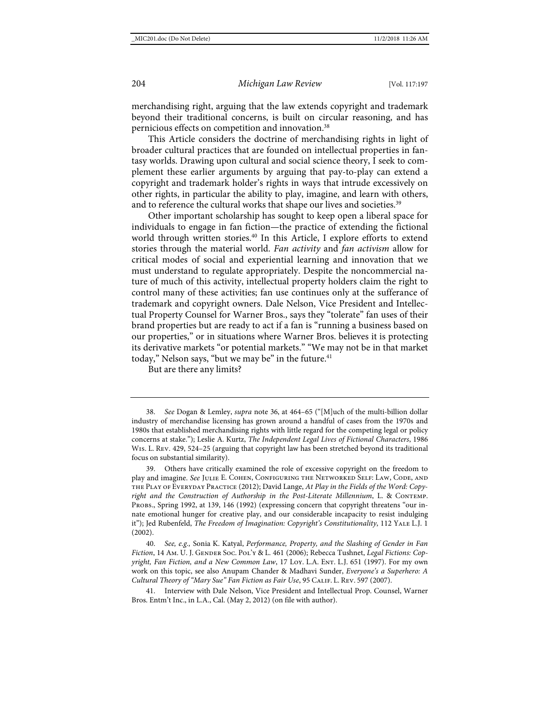merchandising right, arguing that the law extends copyright and trademark beyond their traditional concerns, is built on circular reasoning, and has pernicious effects on competition and innovation. 38

<span id="page-8-1"></span>This Article considers the doctrine of merchandising rights in light of broader cultural practices that are founded on intellectual properties in fantasy worlds. Drawing upon cultural and social science theory, I seek to complement these earlier arguments by arguing that pay-to-play can extend a copyright and trademark holder's rights in ways that intrude excessively on other rights, in particular the ability to play, imagine, and learn with others, and to reference the cultural works that shape our lives and societies.<sup>39</sup>

<span id="page-8-0"></span>Other important scholarship has sought to keep open a liberal space for individuals to engage in fan fiction—the practice of extending the fictional world through written stories.<sup>40</sup> In this Article, I explore efforts to extend stories through the material world. *Fan activity* and *fan activism* allow for critical modes of social and experiential learning and innovation that we must understand to regulate appropriately. Despite the noncommercial nature of much of this activity, intellectual property holders claim the right to control many of these activities; fan use continues only at the sufferance of trademark and copyright owners. Dale Nelson, Vice President and Intellectual Property Counsel for Warner Bros., says they "tolerate" fan uses of their brand properties but are ready to act if a fan is "running a business based on our properties," or in situations where Warner Bros. believes it is protecting its derivative markets "or potential markets." "We may not be in that market today," Nelson says, "but we may be" in the future.<sup>41</sup>

<span id="page-8-2"></span>But are there any limits?

39. Others have critically examined the role of excessive copyright on the freedom to play and imagine. *See* Julie E. Cohen, Configuring the Networked Self: Law, Code, and the Play of Everyday Practice (2012); David Lange, *At Play in the Fields of the Word: Copyright and the Construction of Authorship in the Post-Literate Millennium*, L. & Contemp. Probs., Spring 1992, at 139, 146 (1992) (expressing concern that copyright threatens "our innate emotional hunger for creative play, and our considerable incapacity to resist indulging it"); Jed Rubenfeld, *The Freedom of Imagination: Copyright's Constitutionality*, 112 Yale L.J. 1 (2002).

40. *See, e.g.,* Sonia K. Katyal, *Performance, Property, and the Slashing of Gender in Fan Fiction*, 14 Am. U. J. Gender Soc. Pol'y & L. 461 (2006); Rebecca Tushnet, *Legal Fictions: Copyright, Fan Fiction, and a New Common Law, 17 Loy. L.A. Ent. L.J. 651 (1997). For my own* work on this topic, see also Anupam Chander & Madhavi Sunder, *Everyone's a Superhero: A Cultural Theory of "Mary Sue" Fan Fiction as Fair Use*, 95 Calif. L. Rev. 597 (2007).

41. Interview with Dale Nelson, Vice President and Intellectual Prop. Counsel, Warner Bros. Entm't Inc., in L.A., Cal. (May 2, 2012) (on file with author).

<sup>38.</sup> *See* Dogan & Lemley, *supra* not[e 36,](#page-7-0) at 464–65 ("[M]uch of the multi-billion dollar industry of merchandise licensing has grown around a handful of cases from the 1970s and 1980s that established merchandising rights with little regard for the competing legal or policy concerns at stake."); Leslie A. Kurtz, *The Independent Legal Lives of Fictional Characters*, 1986 Wis. L. Rev. 429, 524–25 (arguing that copyright law has been stretched beyond its traditional focus on substantial similarity).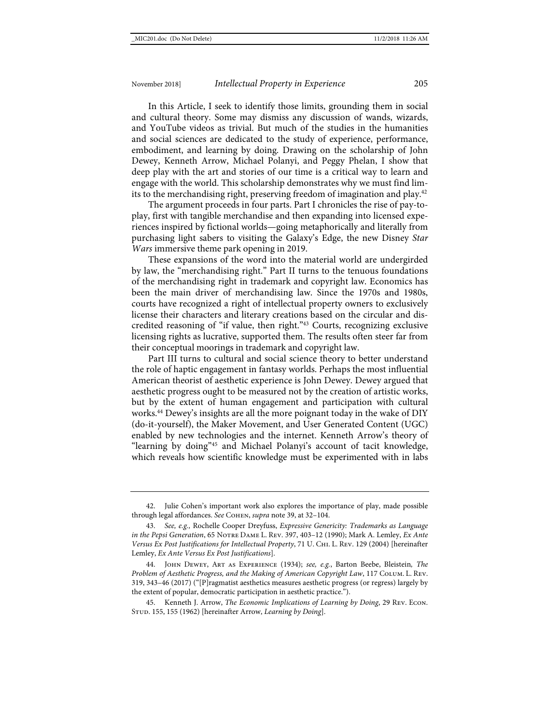In this Article, I seek to identify those limits, grounding them in social and cultural theory. Some may dismiss any discussion of wands, wizards, and YouTube videos as trivial. But much of the studies in the humanities and social sciences are dedicated to the study of experience, performance, embodiment, and learning by doing. Drawing on the scholarship of John Dewey, Kenneth Arrow, Michael Polanyi, and Peggy Phelan, I show that deep play with the art and stories of our time is a critical way to learn and engage with the world. This scholarship demonstrates why we must find limits to the merchandising right, preserving freedom of imagination and play.<sup>42</sup>

The argument proceeds in four parts. Part I chronicles the rise of pay-toplay, first with tangible merchandise and then expanding into licensed experiences inspired by fictional worlds—going metaphorically and literally from purchasing light sabers to visiting the Galaxy's Edge, the new Disney *Star Wars* immersive theme park opening in 2019.

These expansions of the word into the material world are undergirded by law, the "merchandising right." Part II turns to the tenuous foundations of the merchandising right in trademark and copyright law. Economics has been the main driver of merchandising law. Since the 1970s and 1980s, courts have recognized a right of intellectual property owners to exclusively license their characters and literary creations based on the circular and discredited reasoning of "if value, then right."43 Courts, recognizing exclusive licensing rights as lucrative, supported them. The results often steer far from their conceptual moorings in trademark and copyright law.

<span id="page-9-1"></span><span id="page-9-0"></span>Part III turns to cultural and social science theory to better understand the role of haptic engagement in fantasy worlds. Perhaps the most influential American theorist of aesthetic experience is John Dewey. Dewey argued that aesthetic progress ought to be measured not by the creation of artistic works, but by the extent of human engagement and participation with cultural works.<sup>44</sup> Dewey's insights are all the more poignant today in the wake of DIY (do-it-yourself), the Maker Movement, and User Generated Content (UGC) enabled by new technologies and the internet. Kenneth Arrow's theory of "learning by doing"45 and Michael Polanyi's account of tacit knowledge, which reveals how scientific knowledge must be experimented with in labs

<span id="page-9-2"></span><sup>42.</sup> Julie Cohen's important work also explores the importance of play, made possible through legal affordances. *See* Cohen, *supra* not[e 39,](#page-8-0) at 32–104.

<sup>43.</sup> *See, e.g.,* Rochelle Cooper Dreyfuss, *Expressive Genericity: Trademarks as Language in the Pepsi Generation*, 65 Notre Dame L. Rev. 397, 403–12 (1990); Mark A. Lemley, *Ex Ante Versus Ex Post Justifications for Intellectual Property*, 71 U. Chi. L. Rev. 129 (2004) [hereinafter Lemley, *Ex Ante Versus Ex Post Justifications*].

<sup>44.</sup> John Dewey, Art as Experience (1934); *see, e.g.*, Barton Beebe, Bleistein*, The Problem of Aesthetic Progress, and the Making of American Copyright Law*, 117 Colum. L. Rev. 319, 343–46 (2017) ("[P]ragmatist aesthetics measures aesthetic progress (or regress) largely by the extent of popular, democratic participation in aesthetic practice.").

<sup>45.</sup> Kenneth J. Arrow, *The Economic Implications of Learning by Doing*, 29 Rev. Econ. STUD. 155, 155 (1962) [hereinafter Arrow, *Learning by Doing*].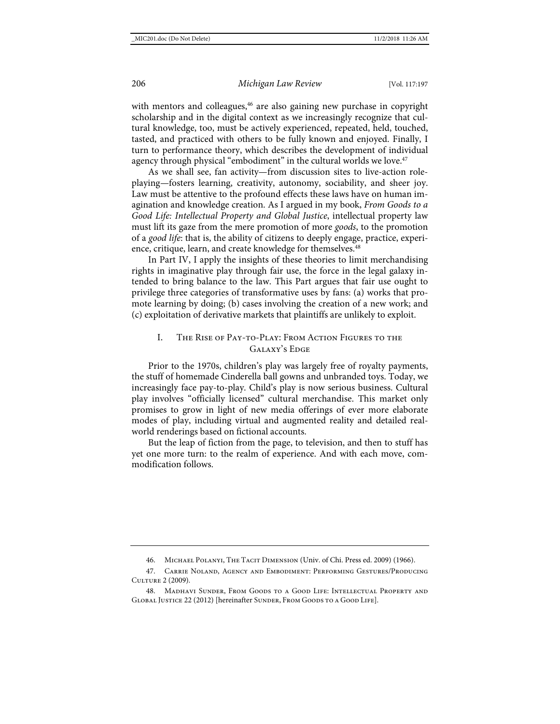<span id="page-10-1"></span>with mentors and colleagues,<sup>46</sup> are also gaining new purchase in copyright scholarship and in the digital context as we increasingly recognize that cultural knowledge, too, must be actively experienced, repeated, held, touched, tasted, and practiced with others to be fully known and enjoyed. Finally, I turn to performance theory, which describes the development of individual agency through physical "embodiment" in the cultural worlds we love.<sup>47</sup>

<span id="page-10-2"></span>As we shall see, fan activity—from discussion sites to live-action roleplaying—fosters learning, creativity, autonomy, sociability, and sheer joy. Law must be attentive to the profound effects these laws have on human imagination and knowledge creation. As I argued in my book, *From Goods to a Good Life: Intellectual Property and Global Justice*, intellectual property law must lift its gaze from the mere promotion of more *goods*, to the promotion of a *good life*: that is, the ability of citizens to deeply engage, practice, experience, critique, learn, and create knowledge for themselves.<sup>48</sup>

In Part IV, I apply the insights of these theories to limit merchandising rights in imaginative play through fair use, the force in the legal galaxy intended to bring balance to the law. This Part argues that fair use ought to privilege three categories of transformative uses by fans: (a) works that promote learning by doing; (b) cases involving the creation of a new work; and (c) exploitation of derivative markets that plaintiffs are unlikely to exploit.

### <span id="page-10-0"></span>I. The Rise of Pay-to-Play: From Action Figures to the GALAXY'S EDGE

Prior to the 1970s, children's play was largely free of royalty payments, the stuff of homemade Cinderella ball gowns and unbranded toys. Today, we increasingly face pay-to-play. Child's play is now serious business. Cultural play involves "officially licensed" cultural merchandise. This market only promises to grow in light of new media offerings of ever more elaborate modes of play, including virtual and augmented reality and detailed realworld renderings based on fictional accounts.

But the leap of fiction from the page, to television, and then to stuff has yet one more turn: to the realm of experience. And with each move, commodification follows.

<sup>46.</sup> Michael Polanyi, The Tacit Dimension (Univ. of Chi. Press ed. 2009) (1966).

<sup>47.</sup> Carrie Noland, Agency and Embodiment: Performing Gestures/Producing Culture 2 (2009).

<sup>48.</sup> Madhavi Sunder, From Goods to a Good Life: Intellectual Property and GLOBAL JUSTICE 22 (2012) [hereinafter SUNDER, FROM GOODS TO A GOOD LIFE].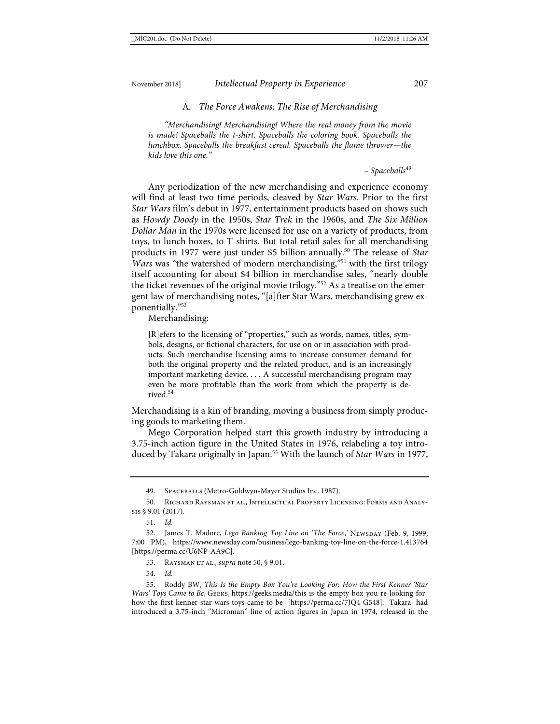#### A*. The Force Awakens: The Rise of Merchandising*

*"Merchandising! Merchandising! Where the real money from the movie is made! Spaceballs the t-shirt. Spaceballs the coloring book. Spaceballs the lunchbox. Spaceballs the breakfast cereal. Spaceballs the flame thrower—the kids love this one."* 

<span id="page-11-0"></span>*– Spaceballs*<sup>49</sup>

Any periodization of the new merchandising and experience economy will find at least two time periods, cleaved by *Star Wars*. Prior to the first *Star Wars* film's debut in 1977, entertainment products based on shows such as *Howdy Doody* in the 1950s, *Star Trek* in the 1960s, and *The Six Million Dollar Man* in the 1970s were licensed for use on a variety of products, from toys, to lunch boxes, to T-shirts. But total retail sales for all merchandising products in 1977 were just under \$5 billion annually.50 The release of *Star Wars* was "the watershed of modern merchandising,"<sup>51</sup> with the first trilogy itself accounting for about \$4 billion in merchandise sales, "nearly double the ticket revenues of the original movie trilogy."52 As a treatise on the emergent law of merchandising notes, "[a]fter Star Wars, merchandising grew exponentially."53

Merchandising:

[R]efers to the licensing of "properties," such as words, names, titles, symbols, designs, or fictional characters, for use on or in association with products. Such merchandise licensing aims to increase consumer demand for both the original property and the related product, and is an increasingly important marketing device. . . . A successful merchandising program may even be more profitable than the work from which the property is derived.<sup>54</sup>

Merchandising is a kin of branding, moving a business from simply producing goods to marketing them.

Mego Corporation helped start this growth industry by introducing a 3.75-inch action figure in the United States in 1976, relabeling a toy introduced by Takara originally in Japan.55 With the launch of *Star Wars* in 1977,

<span id="page-11-1"></span><sup>49.</sup> SPACEBALLS (Metro-Goldwyn-Mayer Studios Inc. 1987).

<sup>50.</sup> Richard Raysman et al., Intellectual Property Licensing: Forms and Analysis § 9.01 (2017).

<sup>51.</sup> *Id.*

<sup>52.</sup> James T. Madore, *Lego Banking Toy Line on 'The Force*,' Newspay (Feb. 9, 1999, 7:00 PM), <https://www.newsday.com/business/lego-banking-toy-line-on-the-force-1.413764> [\[https://perma.cc/U6NP-AA9C\]](https://perma.cc/U6NP-AA9C).

<sup>53.</sup> Raysman et al., *supra* not[e 50,](#page-11-0) § 9.01.

<sup>54.</sup> *Id.*

<sup>55.</sup> Roddy BW, *This Is the Empty Box You're Looking For: How the First Kenner 'Star Wars' Toys Came to Be*, Geeks[, https://geeks.media/this-is-the-empty-box-you-re-looking-for](https://geeks.media/this-is-the-empty-box-you-re-looking-for-how-the-first-kenner-star-wars-toys-came-to-be)[how-the-first-kenner-star-wars-toys-came-to-be](https://geeks.media/this-is-the-empty-box-you-re-looking-for-how-the-first-kenner-star-wars-toys-came-to-be) [\[https://perma.cc/7JQ4-G548\]](https://perma.cc/7JQ4-G548). Takara had introduced a 3.75-inch "Microman" line of action figures in Japan in 1974, released in the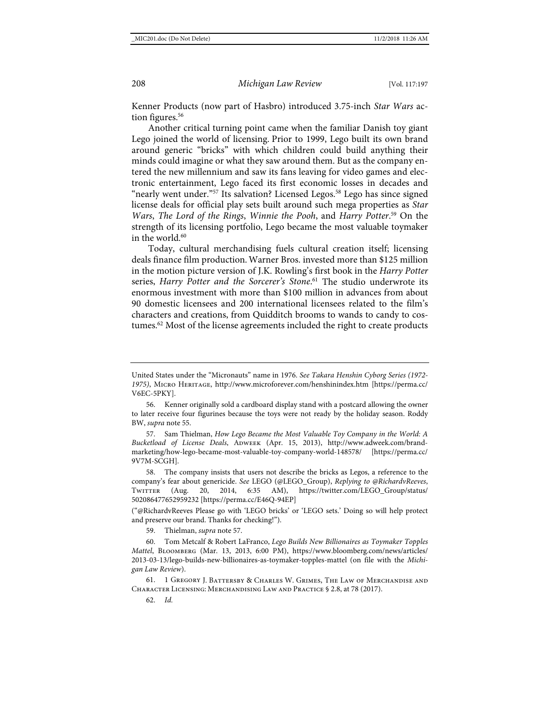Kenner Products (now part of Hasbro) introduced 3.75-inch *Star Wars* action figures.<sup>56</sup>

Another critical turning point came when the familiar Danish toy giant Lego joined the world of licensing. Prior to 1999, Lego built its own brand around generic "bricks" with which children could build anything their minds could imagine or what they saw around them. But as the company entered the new millennium and saw its fans leaving for video games and electronic entertainment, Lego faced its first economic losses in decades and "nearly went under."<sup>57</sup> Its salvation? Licensed Legos.<sup>58</sup> Lego has since signed license deals for official play sets built around such mega properties as *Star Wars*, *The Lord of the Rings*, *Winnie the Pooh*, and *Harry Potter*. <sup>59</sup> On the strength of its licensing portfolio, Lego became the most valuable toymaker in the world. $60$ 

<span id="page-12-0"></span>Today, cultural merchandising fuels cultural creation itself; licensing deals finance film production.Warner Bros. invested more than \$125 million in the motion picture version of J.K. Rowling's first book in the *Harry Potter* series, *Harry Potter and the Sorcerer's Stone*. <sup>61</sup> The studio underwrote its enormous investment with more than \$100 million in advances from about 90 domestic licensees and 200 international licensees related to the film's characters and creations, from Quidditch brooms to wands to candy to costumes.<sup>62</sup> Most of the license agreements included the right to create products

United States under the "Micronauts" name in 1976. *See Takara Henshin Cyborg Series (1972- 1975)*, Micro Heritage,<http://www.microforever.com/henshinindex.htm> [\[https://perma.cc/](https://perma.cc/V6EC-5PKY) [V6EC-5PKY\]](https://perma.cc/V6EC-5PKY).

<sup>56.</sup> Kenner originally sold a cardboard display stand with a postcard allowing the owner to later receive four figurines because the toys were not ready by the holiday season. Roddy BW, *supra* not[e 55.](#page-11-1)

Sam Thielman, *How Lego Became the Most Valuable Toy Company in the World: A* Bucketload of License Deals, ADWEEK (Apr. 15, 2013), [http://www.adweek.com/brand](http://www.adweek.com/brand-marketing/how-lego-became-most-valuable-toy-company-world-148578/)[marketing/how-lego-became-most-valuable-toy-company-world-148578/](http://www.adweek.com/brand-marketing/how-lego-became-most-valuable-toy-company-world-148578/) [\[https://perma.cc/](https://perma.cc/9V7M-SCGH) [9V7M-SCGH\]](https://perma.cc/9V7M-SCGH).

<sup>58.</sup> The company insists that users not describe the bricks as Legos, a reference to the company's fear about genericide. *See* LEGO (@LEGO\_Group), *Replying to @RichardvReeves*, Twitter (Aug. 20, 2014, 6:35 AM), [https://twitter.com/LEGO\\_Group/status/](https://twitter.com/LEGO_Group/status/502086477652959232) [502086477652959232](https://twitter.com/LEGO_Group/status/502086477652959232) [\[https://perma.cc/E46Q-94EP\]](https://perma.cc/E46Q-94EP)

<sup>(&</sup>quot;@RichardvReeves Please go with 'LEGO bricks' or 'LEGO sets.' Doing so will help protect and preserve our brand. Thanks for checking!").

<sup>59.</sup> Thielman, *supra* not[e 57.](#page-12-0)

<sup>60.</sup> Tom Metcalf & Robert LaFranco, *Lego Builds New Billionaires as Toymaker Topples Mattel*, Bloomberg (Mar. 13, 2013, 6:00 PM), [https://www.bloomberg.com/news/articles/](https://www.bloomberg.com/news/articles/2013-03-13/lego-builds-new-billionaires-as-toymaker-topples-mattel) [2013-03-13/lego-builds-new-billionaires-as-toymaker-topples-mattel](https://www.bloomberg.com/news/articles/2013-03-13/lego-builds-new-billionaires-as-toymaker-topples-mattel) (on file with the *Michigan Law Review*).

<sup>61.</sup> 1 Gregory J. Battersby & Charles W. Grimes, The Law of Merchandise and Character Licensing: Merchandising Law and Practice § 2.8, at 78 (2017).

<sup>62.</sup> *Id.*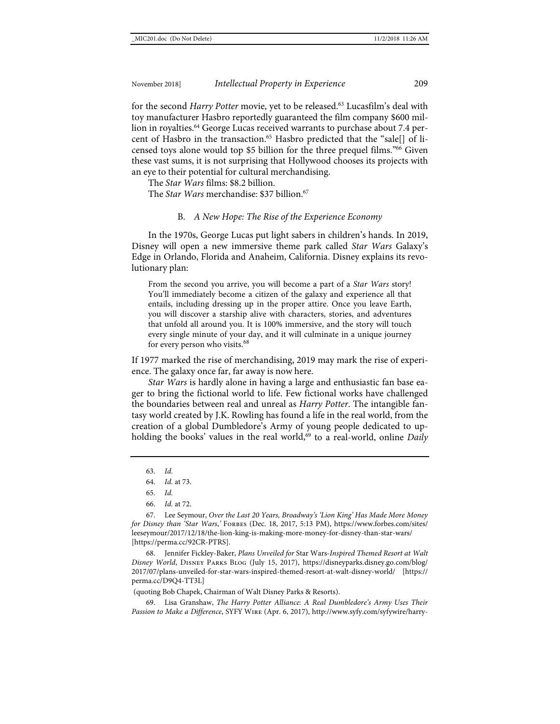for the second *Harry Potter* movie, yet to be released.<sup>63</sup> Lucasfilm's deal with toy manufacturer Hasbro reportedly guaranteed the film company \$600 million in royalties.<sup>64</sup> George Lucas received warrants to purchase about 7.4 percent of Hasbro in the transaction.<sup>65</sup> Hasbro predicted that the "sale[] of licensed toys alone would top \$5 billion for the three prequel films."66 Given these vast sums, it is not surprising that Hollywood chooses its projects with an eye to their potential for cultural merchandising.

The *Star Wars* films: \$8.2 billion.

The *Star Wars* merchandise: \$37 billion.<sup>67</sup>

#### B. *A New Hope: The Rise of the Experience Economy*

In the 1970s, George Lucas put light sabers in children's hands. In 2019, Disney will open a new immersive theme park called *Star Wars* Galaxy's Edge in Orlando, Florida and Anaheim, California. Disney explains its revolutionary plan:

From the second you arrive, you will become a part of a *Star Wars* story! You'll immediately become a citizen of the galaxy and experience all that entails, including dressing up in the proper attire. Once you leave Earth, you will discover a starship alive with characters, stories, and adventures that unfold all around you. It is 100% immersive, and the story will touch every single minute of your day, and it will culminate in a unique journey for every person who visits.<sup>68</sup>

If 1977 marked the rise of merchandising, 2019 may mark the rise of experience. The galaxy once far, far away is now here.

*Star Wars* is hardly alone in having a large and enthusiastic fan base eager to bring the fictional world to life. Few fictional works have challenged the boundaries between real and unreal as *Harry Potter*. The intangible fantasy world created by J.K. Rowling has found a life in the real world, from the creation of a global Dumbledore's Army of young people dedicated to upholding the books' values in the real world,<sup>69</sup> to a real-world, online *Daily* 

63. *Id.*

67. Lee Seymour, *Over the Last 20 Years, Broadway's 'Lion King' Has Made More Money for Disney than 'Star Wars*,*'* Forbes (Dec. 18, 2017, 5:13 PM), [https://www.forbes.com/sites/](https://www.forbes.com/sites/leeseymour/2017/12/18/the-lion-king-is-making-more-money-for-disney-than-star-wars/) [leeseymour/2017/12/18/the-lion-king-is-making-more-money-for-disney-than-star-wars/](https://www.forbes.com/sites/leeseymour/2017/12/18/the-lion-king-is-making-more-money-for-disney-than-star-wars/) [\[https://perma.cc/92CR-PTRS\]](https://perma.cc/92CR-PTRS).

68. Jennifer Fickley-Baker, *Plans Unveiled for* Star Wars*-Inspired Themed Resort at Walt Disney World*, Disney Parks Blog (July 15, 2017), [https://disneyparks.disney.go.com/blog/](https://disneyparks.disney.go.com/blog/2017/07/plans-unveiled-for-star-wars-inspired-themed-resort-at-walt-disney-world/) [2017/07/plans-unveiled-for-star-wars-inspired-themed-resort-at-walt-disney-world/](https://disneyparks.disney.go.com/blog/2017/07/plans-unveiled-for-star-wars-inspired-themed-resort-at-walt-disney-world/) [\[https://](https://perma.cc/D9Q4-TT3L) [perma.cc/D9Q4-TT3L\]](https://perma.cc/D9Q4-TT3L)

(quoting Bob Chapek, Chairman of Walt Disney Parks & Resorts).

69. Lisa Granshaw, *The Harry Potter Alliance: A Real Dumbledore's Army Uses Their Passion to Make a Difference*, SYFY Wire (Apr. 6, 2017), [http://www.syfy.com/syfywire/harry-](http://www.syfy.com/syfywire/harry-potter-alliance-real-dumbledores-army-using-their-passion-jk-rowlings-series-make)

<sup>64.</sup> *Id.* at 73.

<sup>65.</sup> *Id.*

<sup>66.</sup> *Id.* at 72.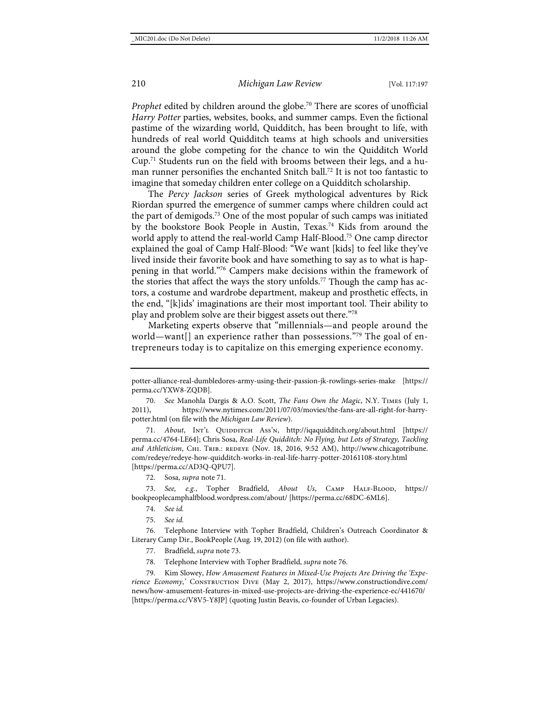*Prophet* edited by children around the globe.<sup>70</sup> There are scores of unofficial *Harry Potter* parties, websites, books, and summer camps. Even the fictional pastime of the wizarding world, Quidditch, has been brought to life, with hundreds of real world Quidditch teams at high schools and universities around the globe competing for the chance to win the Quidditch World Cup.71 Students run on the field with brooms between their legs, and a human runner personifies the enchanted Snitch ball.<sup>72</sup> It is not too fantastic to imagine that someday children enter college on a Quidditch scholarship.

<span id="page-14-1"></span><span id="page-14-0"></span>The *Percy Jackson* series of Greek mythological adventures by Rick Riordan spurred the emergence of summer camps where children could act the part of demigods.73 One of the most popular of such camps was initiated by the bookstore Book People in Austin, Texas.<sup>74</sup> Kids from around the world apply to attend the real-world Camp Half-Blood.75 One camp director explained the goal of Camp Half-Blood: "We want [kids] to feel like they've lived inside their favorite book and have something to say as to what is happening in that world."76 Campers make decisions within the framework of the stories that affect the ways the story unfolds.<sup>77</sup> Though the camp has actors, a costume and wardrobe department, makeup and prosthetic effects, in the end, "[k]ids' imaginations are their most important tool. Their ability to play and problem solve are their biggest assets out there."78

<span id="page-14-2"></span>Marketing experts observe that "millennials—and people around the world—want[] an experience rather than possessions."<sup>79</sup> The goal of entrepreneurs today is to capitalize on this emerging experience economy.

71. *About*, INT'L QUIDDITCH Ass'N, <http://iqaquidditch.org/about.html> [\[https://](https://perma.cc/4764-LE64) [perma.cc/4764-LE64\]](https://perma.cc/4764-LE64); Chris Sosa, *Real-Life Quidditch: No Flying, but Lots of Strategy, Tackling*  and Athleticism, CHI. TRIB.: REDEYE (Nov. 18, 2016, 9:52 AM), [http://www.chicagotribune.](http://www.chicagotribune.com/redeye/redeye-how-quidditch-works-in-real-life-harry-potter-20161108-story.html) [com/redeye/redeye-how-quidditch-works-in-real-life-harry-potter-20161108-story.html](http://www.chicagotribune.com/redeye/redeye-how-quidditch-works-in-real-life-harry-potter-20161108-story.html) [\[https://perma.cc/AD3Q-QPU7\]](https://perma.cc/AD3Q-QPU7).

72. Sosa, *supra* not[e 71.](#page-14-0)

73. *See, e.g.*, Topher Bradfield, *About Us*, Camp Half-Blood, [https://](https://bookpeoplecamphalfblood.wordpress.com/about/) [bookpeoplecamphalfblood.wordpress.com/about/](https://bookpeoplecamphalfblood.wordpress.com/about/) [\[https://perma.cc/68DC-6ML6\]](https://perma.cc/68DC-6ML6).

- 74. *See id.*
- 75. *See id.*

76. Telephone Interview with Topher Bradfield, Children's Outreach Coordinator & Literary Camp Dir., BookPeople (Aug. 19, 2012) (on file with author).

- 77. Bradfield, *supra* not[e 73.](#page-14-1)
- 78. Telephone Interview with Topher Bradfield, *supra* not[e 76.](#page-14-2)

79. Kim Slowey, *How Amusement Features in Mixed-Use Projects Are Driving the 'Experience Economy*,*'* Construction Dive (May 2, 2017), [https://www.constructiondive.com/](https://www.constructiondive.com/news/how-amusement-features-in-mixed-use-projects-are-driving-the-experience-ec/441670/) [news/how-amusement-features-in-mixed-use-projects-are-driving-the-experience-ec/441670/](https://www.constructiondive.com/news/how-amusement-features-in-mixed-use-projects-are-driving-the-experience-ec/441670/) [\[https://perma.cc/V8V5-Y8JP\]](https://perma.cc/V8V5-Y8JP) (quoting Justin Beavis, co-founder of Urban Legacies).

[potter-alliance-real-dumbledores-army-using-their-passion-jk-rowlings-series-make](http://www.syfy.com/syfywire/harry-potter-alliance-real-dumbledores-army-using-their-passion-jk-rowlings-series-make) [\[https://](https://perma.cc/YXW8-ZQDB) [perma.cc/YXW8-ZQDB\]](https://perma.cc/YXW8-ZQDB).

<sup>70.</sup> *See* Manohla Dargis & A.O. Scott, *The Fans Own the Magic*, N.Y. Times (July 1, 2011), [https://www.nytimes.com/2011/07/03/movies/the-fans-are-all-right-for-harry](https://www.nytimes.com/2011/07/03/movies/the-fans-are-all-right-for-harry-potter.html)[potter.html](https://www.nytimes.com/2011/07/03/movies/the-fans-are-all-right-for-harry-potter.html) (on file with the *Michigan Law Review*).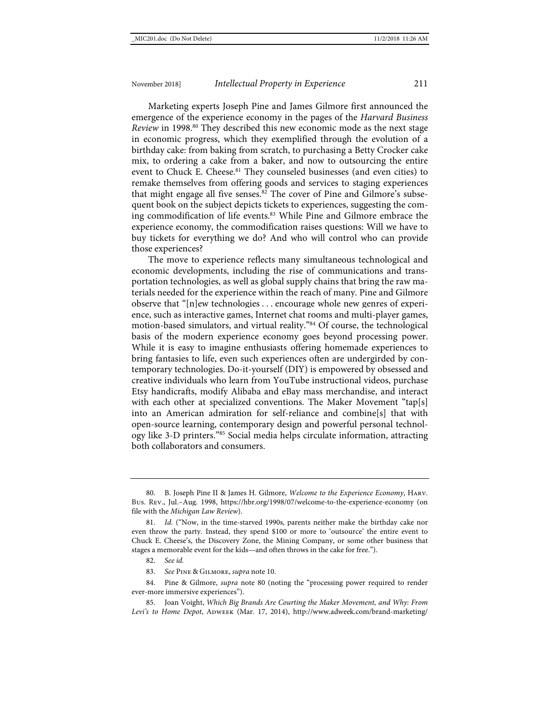<span id="page-15-0"></span>Marketing experts Joseph Pine and James Gilmore first announced the emergence of the experience economy in the pages of the *Harvard Business Review* in 1998.<sup>80</sup> They described this new economic mode as the next stage in economic progress, which they exemplified through the evolution of a birthday cake: from baking from scratch, to purchasing a Betty Crocker cake mix, to ordering a cake from a baker, and now to outsourcing the entire event to Chuck E. Cheese.<sup>81</sup> They counseled businesses (and even cities) to remake themselves from offering goods and services to staging experiences that might engage all five senses.<sup>82</sup> The cover of Pine and Gilmore's subsequent book on the subject depicts tickets to experiences, suggesting the coming commodification of life events.83 While Pine and Gilmore embrace the experience economy, the commodification raises questions: Will we have to buy tickets for everything we do? And who will control who can provide those experiences?

The move to experience reflects many simultaneous technological and economic developments, including the rise of communications and transportation technologies, as well as global supply chains that bring the raw materials needed for the experience within the reach of many. Pine and Gilmore observe that "[n]ew technologies . . . encourage whole new genres of experience, such as interactive games, Internet chat rooms and multi-player games, motion-based simulators, and virtual reality."84 Of course, the technological basis of the modern experience economy goes beyond processing power. While it is easy to imagine enthusiasts offering homemade experiences to bring fantasies to life, even such experiences often are undergirded by contemporary technologies. Do-it-yourself (DIY) is empowered by obsessed and creative individuals who learn from YouTube instructional videos, purchase Etsy handicrafts, modify Alibaba and eBay mass merchandise, and interact with each other at specialized conventions. The Maker Movement "tap[s] into an American admiration for self-reliance and combine[s] that with open-source learning, contemporary design and powerful personal technology like 3-D printers."85 Social media helps circulate information, attracting both collaborators and consumers.

83. *See* Pine & Gilmore, *supra* note [10.](#page-4-0)

<sup>80.</sup> B. Joseph Pine II & James H. Gilmore, *Welcome to the Experience Economy*, Harv. Bus. Rev., Jul.–Aug. 1998,<https://hbr.org/1998/07/welcome-to-the-experience-economy> (on file with the *Michigan Law Review*).

<sup>81.</sup> *Id.* ("Now, in the time-starved 1990s, parents neither make the birthday cake nor even throw the party. Instead, they spend \$100 or more to 'outsource' the entire event to Chuck E. Cheese's, the Discovery Zone, the Mining Company, or some other business that stages a memorable event for the kids—and often throws in the cake for free.").

<sup>82.</sup> *See id.*

<sup>84.</sup> Pine & Gilmore, *supra* note [80](#page-15-0) (noting the "processing power required to render ever-more immersive experiences").

<sup>85.</sup> Joan Voight, *Which Big Brands Are Courting the Maker Movement, and Why: From*  Levi's to Home Depot, ADWEEK (Mar. 17, 2014), [http://www.adweek.com/brand-marketing/](http://www.adweek.com/brand-marketing/which-big-brands-are-courting-maker-movement-and-why-156315/)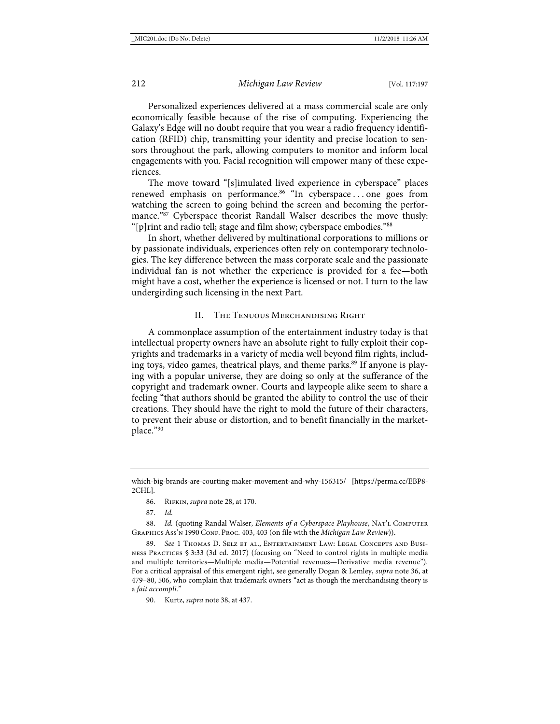Personalized experiences delivered at a mass commercial scale are only economically feasible because of the rise of computing. Experiencing the Galaxy's Edge will no doubt require that you wear a radio frequency identification (RFID) chip, transmitting your identity and precise location to sensors throughout the park, allowing computers to monitor and inform local engagements with you. Facial recognition will empower many of these experiences.

The move toward "[s]imulated lived experience in cyberspace" places renewed emphasis on performance.<sup>86</sup> "In cyberspace ... one goes from watching the screen to going behind the screen and becoming the performance."<sup>87</sup> Cyberspace theorist Randall Walser describes the move thusly: "[p]rint and radio tell; stage and film show; cyberspace embodies."88

In short, whether delivered by multinational corporations to millions or by passionate individuals, experiences often rely on contemporary technologies. The key difference between the mass corporate scale and the passionate individual fan is not whether the experience is provided for a fee—both might have a cost, whether the experience is licensed or not. I turn to the law undergirding such licensing in the next Part.

#### II. The Tenuous Merchandising Right

A commonplace assumption of the entertainment industry today is that intellectual property owners have an absolute right to fully exploit their copyrights and trademarks in a variety of media well beyond film rights, including toys, video games, theatrical plays, and theme parks.<sup>89</sup> If anyone is playing with a popular universe, they are doing so only at the sufferance of the copyright and trademark owner. Courts and laypeople alike seem to share a feeling "that authors should be granted the ability to control the use of their creations. They should have the right to mold the future of their characters, to prevent their abuse or distortion, and to benefit financially in the marketplace."90

[which-big-brands-are-courting-maker-movement-and-why-156315/](http://www.adweek.com/brand-marketing/which-big-brands-are-courting-maker-movement-and-why-156315/) [\[https://perma.cc/EBP8-](https://perma.cc/EBP8-2CHL) [2CHL\]](https://perma.cc/EBP8-2CHL).

<sup>86.</sup> Rifkin, *supra* note [28,](#page-6-0) at 170.

<sup>87.</sup> *Id.*

<sup>88.</sup> *Id.* (quoting Randal Walser, *Elements of a Cyberspace Playhouse*, NAT'L COMPUTER GRAPHICS Ass'n 1990 CONF. PROC. 403, 403 (on file with the *Michigan Law Review*)).

<sup>89.</sup> *See* 1 Thomas D. Selz et al., Entertainment Law: Legal Concepts and Business Practices § 3:33 (3d ed. 2017) (focusing on "Need to control rights in multiple media and multiple territories—Multiple media—Potential revenues—Derivative media revenue"). For a critical appraisal of this emergent right, see generally Dogan & Lemley, *supra* not[e 36,](#page-7-0) at 479–80, 506, who complain that trademark owners "act as though the merchandising theory is a *fait accompli*."

<sup>90.</sup> Kurtz, *supra* not[e 38,](#page-8-1) at 437.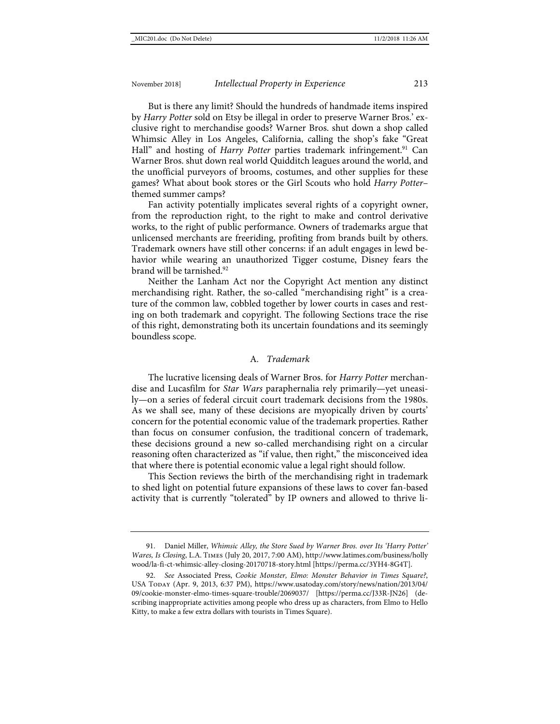But is there any limit? Should the hundreds of handmade items inspired by *Harry Potter* sold on Etsy be illegal in order to preserve Warner Bros.' exclusive right to merchandise goods? Warner Bros. shut down a shop called Whimsic Alley in Los Angeles, California, calling the shop's fake "Great Hall" and hosting of *Harry Potter* parties trademark infringement.<sup>91</sup> Can Warner Bros. shut down real world Quidditch leagues around the world, and the unofficial purveyors of brooms, costumes, and other supplies for these games? What about book stores or the Girl Scouts who hold *Harry Potter*– themed summer camps?

Fan activity potentially implicates several rights of a copyright owner, from the reproduction right, to the right to make and control derivative works, to the right of public performance. Owners of trademarks argue that unlicensed merchants are freeriding, profiting from brands built by others. Trademark owners have still other concerns: if an adult engages in lewd behavior while wearing an unauthorized Tigger costume, Disney fears the brand will be tarnished.<sup>92</sup>

Neither the Lanham Act nor the Copyright Act mention any distinct merchandising right. Rather, the so-called "merchandising right" is a creature of the common law, cobbled together by lower courts in cases and resting on both trademark and copyright. The following Sections trace the rise of this right, demonstrating both its uncertain foundations and its seemingly boundless scope.

#### A*. Trademark*

The lucrative licensing deals of Warner Bros. for *Harry Potter* merchandise and Lucasfilm for *Star Wars* paraphernalia rely primarily—yet uneasily—on a series of federal circuit court trademark decisions from the 1980s. As we shall see, many of these decisions are myopically driven by courts' concern for the potential economic value of the trademark properties. Rather than focus on consumer confusion, the traditional concern of trademark, these decisions ground a new so-called merchandising right on a circular reasoning often characterized as "if value, then right," the misconceived idea that where there is potential economic value a legal right should follow.

This Section reviews the birth of the merchandising right in trademark to shed light on potential future expansions of these laws to cover fan-based activity that is currently "tolerated" by IP owners and allowed to thrive li-

<sup>91.</sup> Daniel Miller, *Whimsic Alley, the Store Sued by Warner Bros. over Its 'Harry Potter' Wares, Is Closing*, L.A. Times (July 20, 2017, 7:00 AM), [http://www.latimes.com/business/holly](http://www.latimes.com/business/hollywood/la-fi-ct-whimsic-alley-closing-20170718-story.html) [wood/la-fi-ct-whimsic-alley-closing-20170718-story.html](http://www.latimes.com/business/hollywood/la-fi-ct-whimsic-alley-closing-20170718-story.html) [\[https://perma.cc/3YH4-8G4T\]](https://perma.cc/3YH4-8G4T).

<sup>92.</sup> *See* Associated Press, *Cookie Monster, Elmo: Monster Behavior in Times Square?*, USA Today (Apr. 9, 2013, 6:37 PM), [https://www.usatoday.com/story/news/nation/2013/04/](https://www.usatoday.com/story/news/nation/2013/04/09/cookie-monster-elmo-times-square-trouble/2069037/) [09/cookie-monster-elmo-times-square-trouble/2069037/](https://www.usatoday.com/story/news/nation/2013/04/09/cookie-monster-elmo-times-square-trouble/2069037/) [\[https://perma.cc/J33R-JN26\]](https://perma.cc/J33R-JN26) (describing inappropriate activities among people who dress up as characters, from Elmo to Hello Kitty, to make a few extra dollars with tourists in Times Square).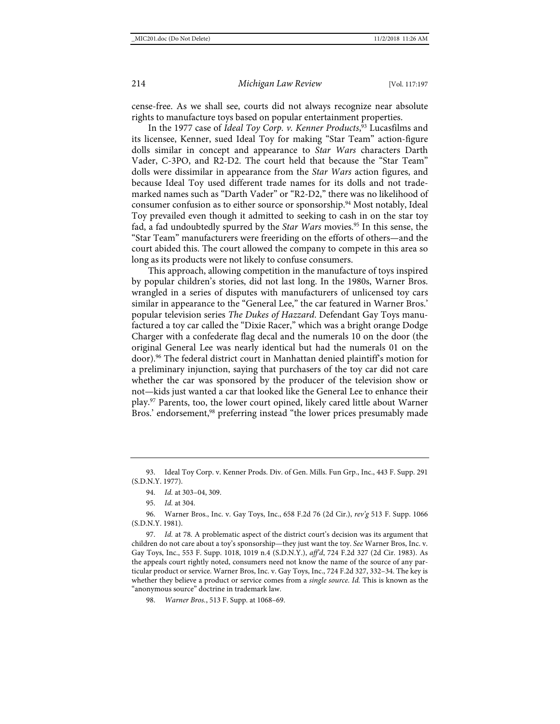cense-free. As we shall see, courts did not always recognize near absolute rights to manufacture toys based on popular entertainment properties.

In the 1977 case of *Ideal Toy Corp. v. Kenner Products*, <sup>93</sup> Lucasfilms and its licensee, Kenner, sued Ideal Toy for making "Star Team" action-figure dolls similar in concept and appearance to *Star Wars* characters Darth Vader, C-3PO, and R2-D2. The court held that because the "Star Team" dolls were dissimilar in appearance from the *Star Wars* action figures, and because Ideal Toy used different trade names for its dolls and not trademarked names such as "Darth Vader" or "R2-D2," there was no likelihood of consumer confusion as to either source or sponsorship.<sup>94</sup> Most notably, Ideal Toy prevailed even though it admitted to seeking to cash in on the star toy fad, a fad undoubtedly spurred by the *Star Wars* movies.95 In this sense, the "Star Team" manufacturers were freeriding on the efforts of others—and the court abided this. The court allowed the company to compete in this area so long as its products were not likely to confuse consumers.

This approach, allowing competition in the manufacture of toys inspired by popular children's stories, did not last long. In the 1980s, Warner Bros. wrangled in a series of disputes with manufacturers of unlicensed toy cars similar in appearance to the "General Lee," the car featured in Warner Bros.' popular television series *The Dukes of Hazzard*. Defendant Gay Toys manufactured a toy car called the "Dixie Racer," which was a bright orange Dodge Charger with a confederate flag decal and the numerals 10 on the door (the original General Lee was nearly identical but had the numerals 01 on the door).96 The federal district court in Manhattan denied plaintiff's motion for a preliminary injunction, saying that purchasers of the toy car did not care whether the car was sponsored by the producer of the television show or not—kids just wanted a car that looked like the General Lee to enhance their play.97 Parents, too, the lower court opined, likely cared little about Warner Bros.' endorsement,<sup>98</sup> preferring instead "the lower prices presumably made

<sup>93.</sup> Ideal Toy Corp. v. Kenner Prods. Div. of Gen. Mills. Fun Grp., Inc., 443 F. Supp. 291 (S.D.N.Y. 1977).

<sup>94.</sup> *Id.* at 303–04, 309.

<sup>95.</sup> *Id.* at 304.

<sup>96.</sup> Warner Bros., Inc. v. Gay Toys, Inc., 658 F.2d 76 (2d Cir.), *rev'g* 513 F. Supp. 1066 (S.D.N.Y. 1981).

<sup>97.</sup> *Id.* at 78. A problematic aspect of the district court's decision was its argument that children do not care about a toy's sponsorship—they just want the toy. *See* Warner Bros, Inc. v. Gay Toys, Inc., 553 F. Supp. 1018, 1019 n.4 (S.D.N.Y.), *aff'd*, 724 F.2d 327 (2d Cir. 1983). As the appeals court rightly noted, consumers need not know the name of the source of any particular product or service. Warner Bros, Inc. v. Gay Toys, Inc., 724 F.2d 327, 332–34. The key is whether they believe a product or service comes from a *single source*. *Id.* This is known as the "anonymous source" doctrine in trademark law.

<sup>98.</sup> *Warner Bros.*, 513 F. Supp. at 1068–69.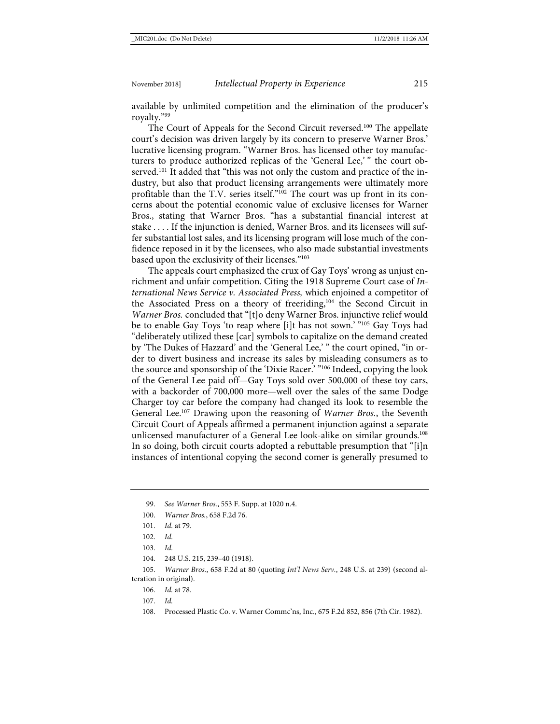available by unlimited competition and the elimination of the producer's royalty."99

The Court of Appeals for the Second Circuit reversed.<sup>100</sup> The appellate court's decision was driven largely by its concern to preserve Warner Bros.' lucrative licensing program. "Warner Bros. has licensed other toy manufacturers to produce authorized replicas of the 'General Lee,' " the court observed.<sup>101</sup> It added that "this was not only the custom and practice of the industry, but also that product licensing arrangements were ultimately more profitable than the T.V. series itself."102 The court was up front in its concerns about the potential economic value of exclusive licenses for Warner Bros., stating that Warner Bros. "has a substantial financial interest at stake . . . . If the injunction is denied, Warner Bros. and its licensees will suffer substantial lost sales, and its licensing program will lose much of the confidence reposed in it by the licensees, who also made substantial investments based upon the exclusivity of their licenses."103

The appeals court emphasized the crux of Gay Toys' wrong as unjust enrichment and unfair competition. Citing the 1918 Supreme Court case of *International News Service v. Associated Press,* which enjoined a competitor of the Associated Press on a theory of freeriding,<sup>104</sup> the Second Circuit in *Warner Bros.* concluded that "[t]o deny Warner Bros. injunctive relief would be to enable Gay Toys 'to reap where [i]t has not sown.' "105 Gay Toys had "deliberately utilized these [car] symbols to capitalize on the demand created by 'The Dukes of Hazzard' and the 'General Lee,' " the court opined, "in order to divert business and increase its sales by misleading consumers as to the source and sponsorship of the 'Dixie Racer.' "<sup>106</sup> Indeed, copying the look of the General Lee paid off—Gay Toys sold over 500,000 of these toy cars, with a backorder of 700,000 more—well over the sales of the same Dodge Charger toy car before the company had changed its look to resemble the General Lee.107 Drawing upon the reasoning of *Warner Bros.*, the Seventh Circuit Court of Appeals affirmed a permanent injunction against a separate unlicensed manufacturer of a General Lee look-alike on similar grounds.<sup>108</sup> In so doing, both circuit courts adopted a rebuttable presumption that "[i]n instances of intentional copying the second comer is generally presumed to

104. 248 U.S. 215, 239–40 (1918).

105. *Warner Bros.*, 658 F.2d at 80 (quoting *Int'l News Serv.*, 248 U.S. at 239) (second alteration in original).

106. *Id.* at 78.

107. *Id.*

108. Processed Plastic Co. v. Warner Commc'ns, Inc., 675 F.2d 852, 856 (7th Cir. 1982).

<sup>99.</sup> *See Warner Bros.*, 553 F. Supp. at 1020 n.4.

<sup>100.</sup> *Warner Bros.*, 658 F.2d 76.

<sup>101.</sup> *Id.* at 79.

<sup>102.</sup> *Id.*

<sup>103.</sup> *Id.*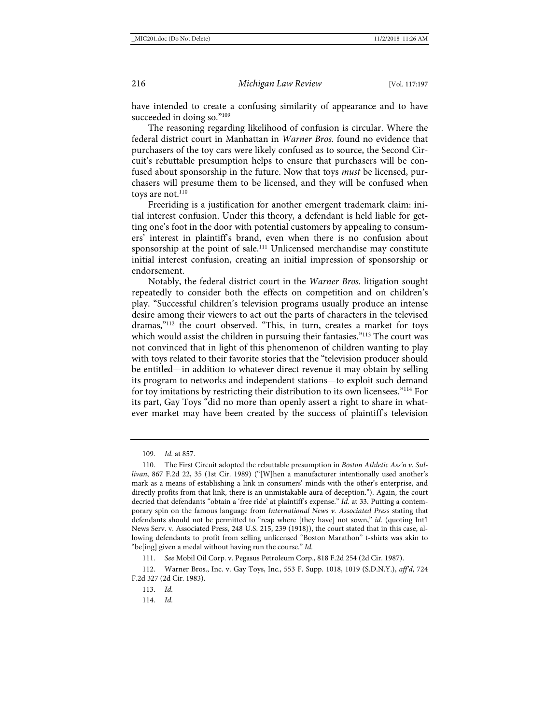<span id="page-20-0"></span>have intended to create a confusing similarity of appearance and to have succeeded in doing so."<sup>109</sup>

The reasoning regarding likelihood of confusion is circular. Where the federal district court in Manhattan in *Warner Bros.* found no evidence that purchasers of the toy cars were likely confused as to source, the Second Circuit's rebuttable presumption helps to ensure that purchasers will be confused about sponsorship in the future. Now that toys *must* be licensed, purchasers will presume them to be licensed, and they will be confused when toys are not. $110$ 

Freeriding is a justification for another emergent trademark claim: initial interest confusion. Under this theory, a defendant is held liable for getting one's foot in the door with potential customers by appealing to consumers' interest in plaintiff's brand, even when there is no confusion about sponsorship at the point of sale.<sup>111</sup> Unlicensed merchandise may constitute initial interest confusion, creating an initial impression of sponsorship or endorsement.

Notably, the federal district court in the *Warner Bros.* litigation sought repeatedly to consider both the effects on competition and on children's play. "Successful children's television programs usually produce an intense desire among their viewers to act out the parts of characters in the televised dramas,"112 the court observed. "This, in turn, creates a market for toys which would assist the children in pursuing their fantasies."<sup>113</sup> The court was not convinced that in light of this phenomenon of children wanting to play with toys related to their favorite stories that the "television producer should be entitled—in addition to whatever direct revenue it may obtain by selling its program to networks and independent stations—to exploit such demand for toy imitations by restricting their distribution to its own licensees."114 For its part, Gay Toys "did no more than openly assert a right to share in whatever market may have been created by the success of plaintiff's television

114. *Id.*

<sup>109.</sup> *Id.* at 857.

<sup>110.</sup> The First Circuit adopted the rebuttable presumption in *Boston Athletic Ass'n v. Sullivan*, 867 F.2d 22, 35 (1st Cir. 1989) ("[W]hen a manufacturer intentionally used another's mark as a means of establishing a link in consumers' minds with the other's enterprise, and directly profits from that link, there is an unmistakable aura of deception."). Again, the court decried that defendants "obtain a 'free ride' at plaintiff's expense." *Id.* at 33. Putting a contemporary spin on the famous language from *International News v. Associated Press* stating that defendants should not be permitted to "reap where [they have] not sown," *id.* (quoting Int'l News Serv. v. Associated Press, 248 U.S. 215, 239 (1918)), the court stated that in this case, allowing defendants to profit from selling unlicensed "Boston Marathon" t-shirts was akin to "be[ing] given a medal without having run the course." *Id.*

<sup>111.</sup> *See* Mobil Oil Corp. v. Pegasus Petroleum Corp., 818 F.2d 254 (2d Cir. 1987).

<sup>112.</sup> Warner Bros., Inc. v. Gay Toys, Inc., 553 F. Supp. 1018, 1019 (S.D.N.Y.), *aff'd*, 724 F.2d 327 (2d Cir. 1983).

<sup>113.</sup> *Id.*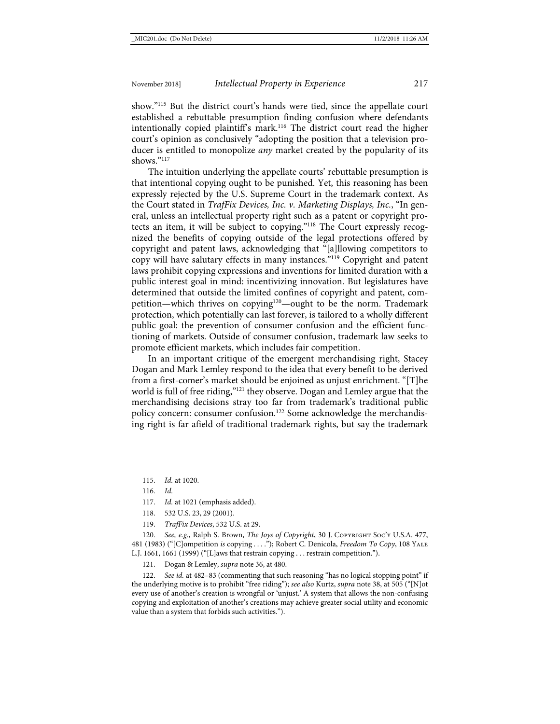show."115 But the district court's hands were tied, since the appellate court established a rebuttable presumption finding confusion where defendants intentionally copied plaintiff's mark.116 The district court read the higher court's opinion as conclusively "adopting the position that a television producer is entitled to monopolize *any* market created by the popularity of its shows."117

<span id="page-21-0"></span>The intuition underlying the appellate courts' rebuttable presumption is that intentional copying ought to be punished. Yet, this reasoning has been expressly rejected by the U.S. Supreme Court in the trademark context. As the Court stated in *TrafFix Devices, Inc. v. Marketing Displays, Inc.*, "In general, unless an intellectual property right such as a patent or copyright protects an item, it will be subject to copying."118 The Court expressly recognized the benefits of copying outside of the legal protections offered by copyright and patent laws, acknowledging that "[a]llowing competitors to copy will have salutary effects in many instances."119 Copyright and patent laws prohibit copying expressions and inventions for limited duration with a public interest goal in mind: incentivizing innovation. But legislatures have determined that outside the limited confines of copyright and patent, competition—which thrives on copying<sup>120</sup>—ought to be the norm. Trademark protection, which potentially can last forever, is tailored to a wholly different public goal: the prevention of consumer confusion and the efficient functioning of markets. Outside of consumer confusion, trademark law seeks to promote efficient markets, which includes fair competition.

In an important critique of the emergent merchandising right, Stacey Dogan and Mark Lemley respond to the idea that every benefit to be derived from a first-comer's market should be enjoined as unjust enrichment. "[T]he world is full of free riding,"121 they observe. Dogan and Lemley argue that the merchandising decisions stray too far from trademark's traditional public policy concern: consumer confusion.<sup>122</sup> Some acknowledge the merchandising right is far afield of traditional trademark rights, but say the trademark

- 118. 532 U.S. 23, 29 (2001).
- 119. *TrafFix Devices*, 532 U.S. at 29.

120. *See, e.g.*, Ralph S. Brown, *The Joys of Copyright*, 30 J. COPYRIGHT Soc'y U.S.A. 477, 481 (1983) ("[C]ompetition *is* copying . . . ."); Robert C. Denicola, *Freedom To Copy*, 108 Yale L.J. 1661, 1661 (1999) ("[L]aws that restrain copying . . . restrain competition.").

121. Dogan & Lemley, *supra* not[e 36,](#page-7-0) at 480.

See id. at 482-83 (commenting that such reasoning "has no logical stopping point" if the underlying motive is to prohibit "free riding"); *see also* Kurtz, *supra* not[e 38,](#page-8-1) at 505 ("[N]ot every use of another's creation is wrongful or 'unjust.' A system that allows the non-confusing copying and exploitation of another's creations may achieve greater social utility and economic value than a system that forbids such activities.").

<sup>115.</sup> *Id.* at 1020.

<sup>116.</sup> *Id.*

<sup>117.</sup> *Id.* at 1021 (emphasis added).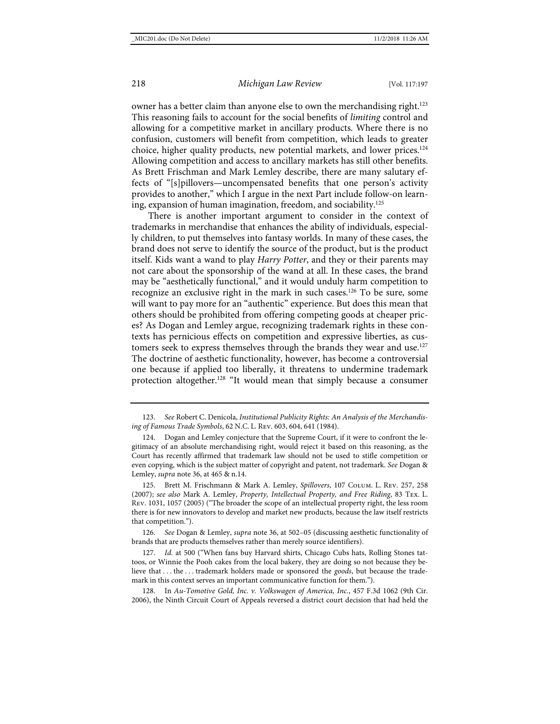owner has a better claim than anyone else to own the merchandising right.<sup>123</sup> This reasoning fails to account for the social benefits of *limiting* control and allowing for a competitive market in ancillary products. Where there is no confusion, customers will benefit from competition, which leads to greater choice, higher quality products, new potential markets, and lower prices.<sup>124</sup> Allowing competition and access to ancillary markets has still other benefits. As Brett Frischman and Mark Lemley describe, there are many salutary effects of "[s]pillovers—uncompensated benefits that one person's activity provides to another," which I argue in the next Part include follow-on learning, expansion of human imagination, freedom, and sociability.125

There is another important argument to consider in the context of trademarks in merchandise that enhances the ability of individuals, especially children, to put themselves into fantasy worlds. In many of these cases, the brand does not serve to identify the source of the product, but is the product itself. Kids want a wand to play *Harry Potter*, and they or their parents may not care about the sponsorship of the wand at all. In these cases, the brand may be "aesthetically functional," and it would unduly harm competition to recognize an exclusive right in the mark in such cases.<sup>126</sup> To be sure, some will want to pay more for an "authentic" experience. But does this mean that others should be prohibited from offering competing goods at cheaper prices? As Dogan and Lemley argue, recognizing trademark rights in these contexts has pernicious effects on competition and expressive liberties, as customers seek to express themselves through the brands they wear and use.<sup>127</sup> The doctrine of aesthetic functionality, however, has become a controversial one because if applied too liberally, it threatens to undermine trademark protection altogether.<sup>128</sup> "It would mean that simply because a consumer

125. Brett M. Frischmann & Mark A. Lemley, *Spillovers*, 107 Colum. L. Rev. 257, 258 (2007); *see also* Mark A. Lemley, *Property, Intellectual Property, and Free Riding*, 83 Tex. L. Rev. 1031, 1057 (2005) ("The broader the scope of an intellectual property right, the less room there is for new innovators to develop and market new products, because the law itself restricts that competition.").

126. *See* Dogan & Lemley, *supra* not[e 36,](#page-7-0) at 502–05 (discussing aesthetic functionality of brands that are products themselves rather than merely source identifiers).

127. *Id.* at 500 ("When fans buy Harvard shirts, Chicago Cubs hats, Rolling Stones tattoos, or Winnie the Pooh cakes from the local bakery, they are doing so not because they believe that . . . the . . . trademark holders made or sponsored the *goods*, but because the trademark in this context serves an important communicative function for them.").

128. In *Au-Tomotive Gold, Inc. v. Volkswagen of America, Inc.*, 457 F.3d 1062 (9th Cir. 2006), the Ninth Circuit Court of Appeals reversed a district court decision that had held the

<sup>123.</sup> *See* Robert C. Denicola, *Institutional Publicity Rights: An Analysis of the Merchandising of Famous Trade Symbols*, 62 N.C. L. Rev. 603, 604, 641 (1984).

Dogan and Lemley conjecture that the Supreme Court, if it were to confront the legitimacy of an absolute merchandising right, would reject it based on this reasoning, as the Court has recently affirmed that trademark law should not be used to stifle competition or even copying, which is the subject matter of copyright and patent, not trademark. *See* Dogan & Lemley, *supra* not[e 36,](#page-7-0) at 465 & n.14.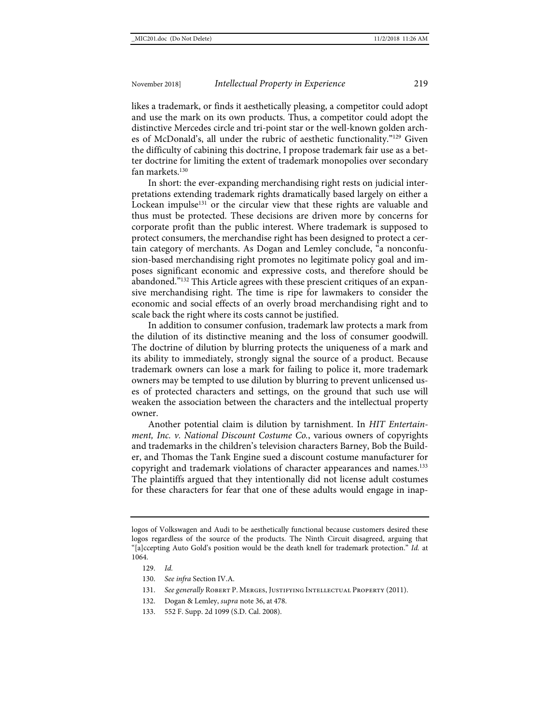likes a trademark, or finds it aesthetically pleasing, a competitor could adopt and use the mark on its own products. Thus, a competitor could adopt the distinctive Mercedes circle and tri-point star or the well-known golden arches of McDonald's, all under the rubric of aesthetic functionality."129 Given the difficulty of cabining this doctrine, I propose trademark fair use as a better doctrine for limiting the extent of trademark monopolies over secondary fan markets.<sup>130</sup>

In short: the ever-expanding merchandising right rests on judicial interpretations extending trademark rights dramatically based largely on either a Lockean impulse<sup>131</sup> or the circular view that these rights are valuable and thus must be protected. These decisions are driven more by concerns for corporate profit than the public interest. Where trademark is supposed to protect consumers, the merchandise right has been designed to protect a certain category of merchants. As Dogan and Lemley conclude, "a nonconfusion-based merchandising right promotes no legitimate policy goal and imposes significant economic and expressive costs, and therefore should be abandoned."<sup>132</sup> This Article agrees with these prescient critiques of an expansive merchandising right. The time is ripe for lawmakers to consider the economic and social effects of an overly broad merchandising right and to scale back the right where its costs cannot be justified.

In addition to consumer confusion, trademark law protects a mark from the dilution of its distinctive meaning and the loss of consumer goodwill. The doctrine of dilution by blurring protects the uniqueness of a mark and its ability to immediately, strongly signal the source of a product. Because trademark owners can lose a mark for failing to police it, more trademark owners may be tempted to use dilution by blurring to prevent unlicensed uses of protected characters and settings, on the ground that such use will weaken the association between the characters and the intellectual property owner.

Another potential claim is dilution by tarnishment. In *HIT Entertainment, Inc. v. National Discount Costume Co.*, various owners of copyrights and trademarks in the children's television characters Barney, Bob the Builder, and Thomas the Tank Engine sued a discount costume manufacturer for copyright and trademark violations of character appearances and names.<sup>133</sup> The plaintiffs argued that they intentionally did not license adult costumes for these characters for fear that one of these adults would engage in inap-

logos of Volkswagen and Audi to be aesthetically functional because customers desired these logos regardless of the source of the products. The Ninth Circuit disagreed, arguing that "[a]ccepting Auto Gold's position would be the death knell for trademark protection." *Id.* at 1064.

<sup>129.</sup> *Id.*

<sup>130.</sup> *See infra* Section IV.A.

<sup>131.</sup> See generally ROBERT P. MERGES, JUSTIFYING INTELLECTUAL PROPERTY (2011).

<sup>132.</sup> Dogan & Lemley, *supra* not[e 36,](#page-7-0) at 478.

<sup>133.</sup> 552 F. Supp. 2d 1099 (S.D. Cal. 2008).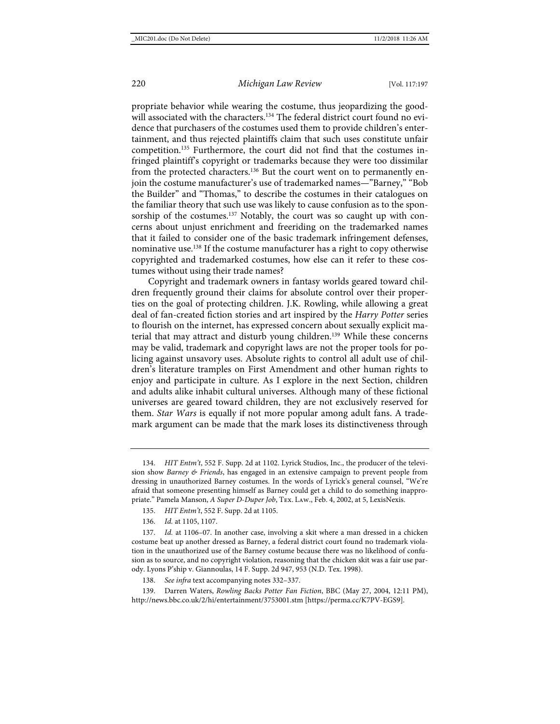propriate behavior while wearing the costume, thus jeopardizing the goodwill associated with the characters.<sup>134</sup> The federal district court found no evidence that purchasers of the costumes used them to provide children's entertainment, and thus rejected plaintiffs claim that such uses constitute unfair competition.135 Furthermore, the court did not find that the costumes infringed plaintiff's copyright or trademarks because they were too dissimilar from the protected characters.<sup>136</sup> But the court went on to permanently enjoin the costume manufacturer's use of trademarked names—"Barney," "Bob the Builder" and "Thomas," to describe the costumes in their catalogues on the familiar theory that such use was likely to cause confusion as to the sponsorship of the costumes.<sup>137</sup> Notably, the court was so caught up with concerns about unjust enrichment and freeriding on the trademarked names that it failed to consider one of the basic trademark infringement defenses, nominative use.138 If the costume manufacturer has a right to copy otherwise copyrighted and trademarked costumes, how else can it refer to these costumes without using their trade names?

Copyright and trademark owners in fantasy worlds geared toward children frequently ground their claims for absolute control over their properties on the goal of protecting children. J.K. Rowling, while allowing a great deal of fan-created fiction stories and art inspired by the *Harry Potter* series to flourish on the internet, has expressed concern about sexually explicit material that may attract and disturb young children.<sup>139</sup> While these concerns may be valid, trademark and copyright laws are not the proper tools for policing against unsavory uses. Absolute rights to control all adult use of children's literature tramples on First Amendment and other human rights to enjoy and participate in culture. As I explore in the next Section, children and adults alike inhabit cultural universes. Although many of these fictional universes are geared toward children, they are not exclusively reserved for them. *Star Wars* is equally if not more popular among adult fans. A trademark argument can be made that the mark loses its distinctiveness through

- 135. *HIT Entm't*, 552 F. Supp. 2d at 1105.
- 136. *Id.* at 1105, 1107.

137. *Id.* at 1106–07. In another case, involving a skit where a man dressed in a chicken costume beat up another dressed as Barney, a federal district court found no trademark violation in the unauthorized use of the Barney costume because there was no likelihood of confusion as to source, and no copyright violation, reasoning that the chicken skit was a fair use parody. Lyons P'ship v. Giannoulas, 14 F. Supp. 2d 947, 953 (N.D. Tex. 1998).

138. *See infra* text accompanying note[s 332](#page-51-0)[–337.](#page-51-1)

139. Darren Waters, *Rowling Backs Potter Fan Fiction*, BBC (May 27, 2004, 12:11 PM), <http://news.bbc.co.uk/2/hi/entertainment/3753001.stm> [\[https://perma.cc/K7PV-EGS9\]](https://perma.cc/K7PV-EGS9).

<sup>134.</sup> *HIT Entm't*, 552 F. Supp. 2d at 1102. Lyrick Studios, Inc., the producer of the television show *Barney & Friends*, has engaged in an extensive campaign to prevent people from dressing in unauthorized Barney costumes. In the words of Lyrick's general counsel, "We're afraid that someone presenting himself as Barney could get a child to do something inappropriate." Pamela Manson, *A Super D-Duper Job*, Tex. Law., Feb. 4, 2002, at 5, LexisNexis.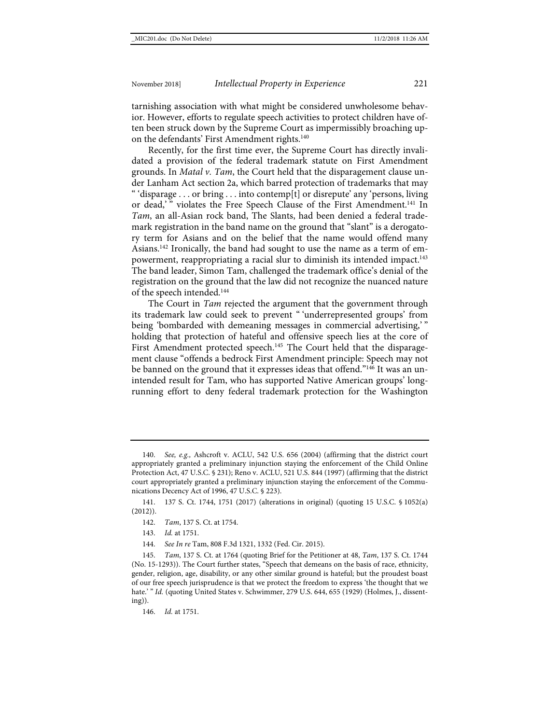tarnishing association with what might be considered unwholesome behavior. However, efforts to regulate speech activities to protect children have often been struck down by the Supreme Court as impermissibly broaching upon the defendants' First Amendment rights.<sup>140</sup>

Recently, for the first time ever, the Supreme Court has directly invalidated a provision of the federal trademark statute on First Amendment grounds. In *Matal v. Tam*, the Court held that the disparagement clause under Lanham Act section 2a, which barred protection of trademarks that may " 'disparage . . . or bring . . . into contemp[t] or disrepute' any 'persons, living or dead,'" violates the Free Speech Clause of the First Amendment.<sup>141</sup> In *Tam*, an all-Asian rock band, The Slants, had been denied a federal trademark registration in the band name on the ground that "slant" is a derogatory term for Asians and on the belief that the name would offend many Asians.<sup>142</sup> Ironically, the band had sought to use the name as a term of empowerment, reappropriating a racial slur to diminish its intended impact.<sup>143</sup> The band leader, Simon Tam, challenged the trademark office's denial of the registration on the ground that the law did not recognize the nuanced nature of the speech intended.144

The Court in *Tam* rejected the argument that the government through its trademark law could seek to prevent " 'underrepresented groups' from being 'bombarded with demeaning messages in commercial advertising,'" holding that protection of hateful and offensive speech lies at the core of First Amendment protected speech.<sup>145</sup> The Court held that the disparagement clause "offends a bedrock First Amendment principle: Speech may not be banned on the ground that it expresses ideas that offend."146 It was an unintended result for Tam, who has supported Native American groups' longrunning effort to deny federal trademark protection for the Washington

144. *See In re* Tam, 808 F.3d 1321, 1332 (Fed. Cir. 2015).

146. *Id.* at 1751.

<sup>140.</sup> *See, e.g.,* Ashcroft v. ACLU, 542 U.S. 656 (2004) (affirming that the district court appropriately granted a preliminary injunction staying the enforcement of the Child Online Protection Act, 47 U.S.C. § 231); Reno v. ACLU, 521 U.S. 844 (1997) (affirming that the district court appropriately granted a preliminary injunction staying the enforcement of the Communications Decency Act of 1996, 47 U.S.C. § 223).

<sup>141.</sup> 137 S. Ct. 1744, 1751 (2017) (alterations in original) (quoting 15 U.S.C. § 1052(a)  $(2012)$ ).

<sup>142.</sup> *Tam*, 137 S. Ct. at 1754.

<sup>143.</sup> *Id.* at 1751.

<sup>145.</sup> *Tam*, 137 S. Ct. at 1764 (quoting Brief for the Petitioner at 48, *Tam*, 137 S. Ct. 1744 (No. 15-1293)). The Court further states, "Speech that demeans on the basis of race, ethnicity, gender, religion, age, disability, or any other similar ground is hateful; but the proudest boast of our free speech jurisprudence is that we protect the freedom to express 'the thought that we hate.' " Id. (quoting United States v. Schwimmer, 279 U.S. 644, 655 (1929) (Holmes, J., dissenting)).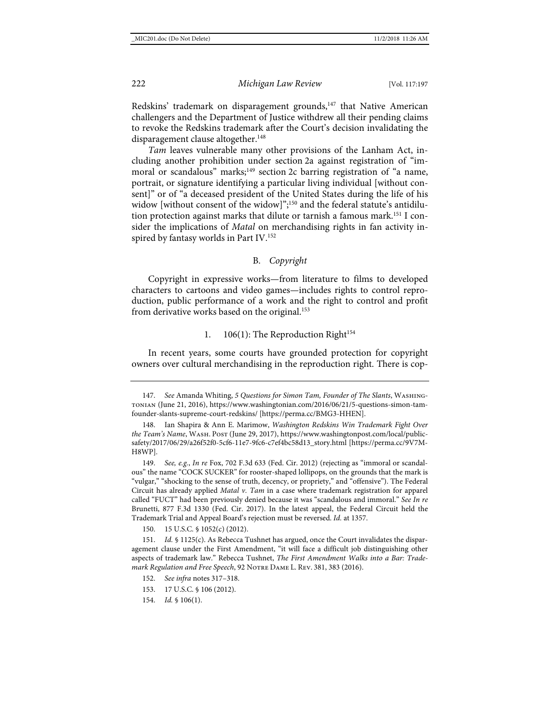Redskins' trademark on disparagement grounds,<sup>147</sup> that Native American challengers and the Department of Justice withdrew all their pending claims to revoke the Redskins trademark after the Court's decision invalidating the disparagement clause altogether.<sup>148</sup>

*Tam* leaves vulnerable many other provisions of the Lanham Act, including another prohibition under section 2a against registration of "immoral or scandalous" marks;<sup>149</sup> section 2c barring registration of "a name, portrait, or signature identifying a particular living individual [without consent]" or of "a deceased president of the United States during the life of his widow [without consent of the widow]"; <sup>150</sup> and the federal statute's antidilution protection against marks that dilute or tarnish a famous mark.151 I consider the implications of *Matal* on merchandising rights in fan activity inspired by fantasy worlds in Part IV.<sup>152</sup>

# B. *Copyright*

Copyright in expressive works—from literature to films to developed characters to cartoons and video games—includes rights to control reproduction, public performance of a work and the right to control and profit from derivative works based on the original.<sup>153</sup>

# 1. 106(1): The Reproduction Right<sup>154</sup>

In recent years, some courts have grounded protection for copyright owners over cultural merchandising in the reproduction right. There is cop-

150. 15 U.S.C. § 1052(c) (2012).

<sup>147.</sup> *See* Amanda Whiting, *5 Questions for Simon Tam, Founder of The Slants*, Washingtonian (June 21, 2016)[, https://www.washingtonian.com/2016/06/21/5-questions-simon-tam](https://www.washingtonian.com/2016/06/21/5-questions-simon-tam-founder-slants-supreme-court-redskins/)[founder-slants-supreme-court-redskins/](https://www.washingtonian.com/2016/06/21/5-questions-simon-tam-founder-slants-supreme-court-redskins/) [\[https://perma.cc/BMG3-HHEN\]](https://perma.cc/BMG3-HHEN).

<sup>148.</sup> Ian Shapira & Ann E. Marimow, *Washington Redskins Win Trademark Fight Over the Team's Name*, Wash. Post (June 29, 2017), [https://www.washingtonpost.com/local/public](https://www.washingtonpost.com/local/public-safety/2017/06/29/a26f52f0-5cf6-11e7-9fc6-c7ef4bc58d13_story.html)[safety/2017/06/29/a26f52f0-5cf6-11e7-9fc6-c7ef4bc58d13\\_story.html](https://www.washingtonpost.com/local/public-safety/2017/06/29/a26f52f0-5cf6-11e7-9fc6-c7ef4bc58d13_story.html) [\[https://perma.cc/9V7M-](https://perma.cc/9V7M-H8WP)[H8WP\]](https://perma.cc/9V7M-H8WP).

<sup>149.</sup> *See, e.g.*, *In re* Fox, 702 F.3d 633 (Fed. Cir. 2012) (rejecting as "immoral or scandalous" the name "COCK SUCKER" for rooster-shaped lollipops, on the grounds that the mark is "vulgar," "shocking to the sense of truth, decency, or propriety," and "offensive"). The Federal Circuit has already applied *Matal v. Tam* in a case where trademark registration for apparel called "FUCT" had been previously denied because it was "scandalous and immoral." *See In re* Brunetti, 877 F.3d 1330 (Fed. Cir. 2017). In the latest appeal, the Federal Circuit held the Trademark Trial and Appeal Board's rejection must be reversed. *Id.* at 1357.

<sup>151.</sup> *Id.* § 1125(c). As Rebecca Tushnet has argued, once the Court invalidates the disparagement clause under the First Amendment, "it will face a difficult job distinguishing other aspects of trademark law." Rebecca Tushnet, *The First Amendment Walks into a Bar: Trademark Regulation and Free Speech*, 92 Notre Dame L. Rev. 381, 383 (2016).

<sup>152.</sup> *See infra* note[s 317–](#page-48-0)[318.](#page-48-1)

<sup>153.</sup> 17 U.S.C. § 106 (2012).

<sup>154.</sup> *Id.* § 106(1).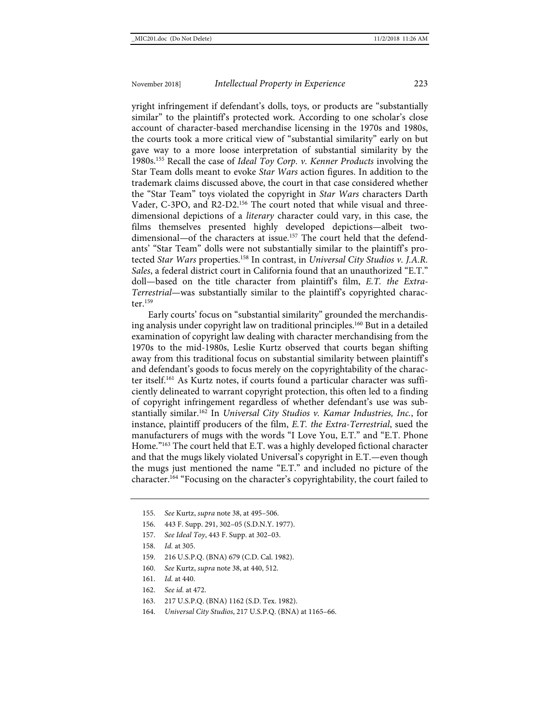yright infringement if defendant's dolls, toys, or products are "substantially similar" to the plaintiff's protected work. According to one scholar's close account of character-based merchandise licensing in the 1970s and 1980s, the courts took a more critical view of "substantial similarity" early on but gave way to a more loose interpretation of substantial similarity by the 1980s.155 Recall the case of *Ideal Toy Corp. v. Kenner Products* involving the Star Team dolls meant to evoke *Star Wars* action figures. In addition to the trademark claims discussed above, the court in that case considered whether the "Star Team" toys violated the copyright in *Star Wars* characters Darth Vader, C-3PO, and R2-D2.<sup>156</sup> The court noted that while visual and threedimensional depictions of a *literary* character could vary, in this case, the films themselves presented highly developed depictions—albeit twodimensional—of the characters at issue.<sup>157</sup> The court held that the defendants' "Star Team" dolls were not substantially similar to the plaintiff's protected *Star Wars* properties.158 In contrast, in *Universal City Studios v. J.A.R. Sales*, a federal district court in California found that an unauthorized "E.T." doll—based on the title character from plaintiff's film, *E.T. the Extra-Terrestrial*—was substantially similar to the plaintiff's copyrighted character. $159$ 

Early courts' focus on "substantial similarity" grounded the merchandising analysis under copyright law on traditional principles.160 But in a detailed examination of copyright law dealing with character merchandising from the 1970s to the mid-1980s, Leslie Kurtz observed that courts began shifting away from this traditional focus on substantial similarity between plaintiff's and defendant's goods to focus merely on the copyrightability of the character itself.161 As Kurtz notes, if courts found a particular character was sufficiently delineated to warrant copyright protection, this often led to a finding of copyright infringement regardless of whether defendant's use was substantially similar.162 In *Universal City Studios v. Kamar Industries, Inc.*, for instance, plaintiff producers of the film, *E.T. the Extra-Terrestrial*, sued the manufacturers of mugs with the words "I Love You, E.T." and "E.T. Phone Home."163 The court held that E.T. was a highly developed fictional character and that the mugs likely violated Universal's copyright in E.T.—even though the mugs just mentioned the name "E.T." and included no picture of the character.164 "Focusing on the character's copyrightability, the court failed to

- 156. 443 F. Supp. 291, 302–05 (S.D.N.Y. 1977).
- 157. *See Ideal Toy*, 443 F. Supp. at 302–03.
- 158. *Id.* at 305.
- 159. 216 U.S.P.Q. (BNA) 679 (C.D. Cal. 1982).
- 160. *See* Kurtz, *supra* not[e 38,](#page-8-1) at 440, 512.
- 161. *Id.* at 440.
- 162. *See id.* at 472.
- 163. 217 U.S.P.Q. (BNA) 1162 (S.D. Tex. 1982).
- 164. *Universal City Studios*, 217 U.S.P.Q. (BNA) at 1165–66.

<sup>155.</sup> *See* Kurtz, *supra* not[e 38,](#page-8-1) at 495–506.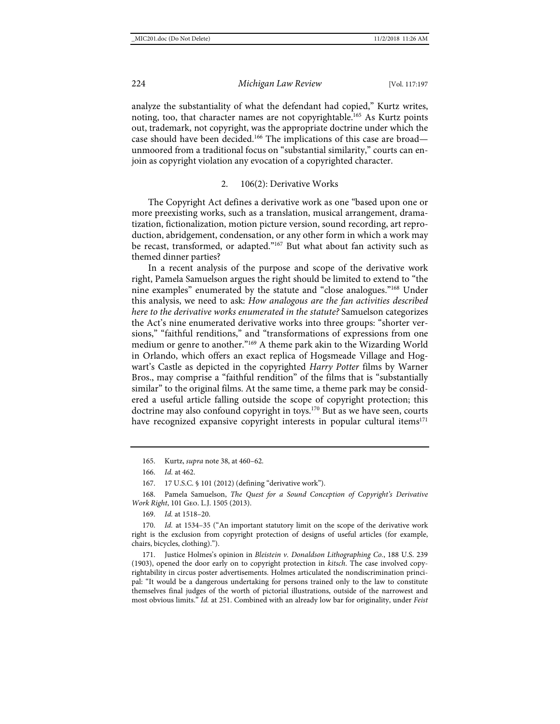analyze the substantiality of what the defendant had copied," Kurtz writes, noting, too, that character names are not copyrightable.<sup>165</sup> As Kurtz points out, trademark, not copyright, was the appropriate doctrine under which the case should have been decided.<sup>166</sup> The implications of this case are broad unmoored from a traditional focus on "substantial similarity," courts can enjoin as copyright violation any evocation of a copyrighted character.

#### <span id="page-28-0"></span>2. 106(2): Derivative Works

The Copyright Act defines a derivative work as one "based upon one or more preexisting works, such as a translation, musical arrangement, dramatization, fictionalization, motion picture version, sound recording, art reproduction, abridgement, condensation, or any other form in which a work may be recast, transformed, or adapted."167 But what about fan activity such as themed dinner parties?

In a recent analysis of the purpose and scope of the derivative work right, Pamela Samuelson argues the right should be limited to extend to "the nine examples" enumerated by the statute and "close analogues."168 Under this analysis, we need to ask: *How analogous are the fan activities described here to the derivative works enumerated in the statute?* Samuelson categorizes the Act's nine enumerated derivative works into three groups: "shorter versions," "faithful renditions," and "transformations of expressions from one medium or genre to another."169 A theme park akin to the Wizarding World in Orlando, which offers an exact replica of Hogsmeade Village and Hogwart's Castle as depicted in the copyrighted *Harry Potter* films by Warner Bros., may comprise a "faithful rendition" of the films that is "substantially similar" to the original films. At the same time, a theme park may be considered a useful article falling outside the scope of copyright protection; this doctrine may also confound copyright in toys.<sup>170</sup> But as we have seen, courts have recognized expansive copyright interests in popular cultural items $171$ 

169. *Id.* at 1518–20.

170. *Id.* at 1534–35 ("An important statutory limit on the scope of the derivative work right is the exclusion from copyright protection of designs of useful articles (for example, chairs, bicycles, clothing).").

171. Justice Holmes's opinion in *Bleistein v. Donaldson Lithographing Co.*, 188 U.S. 239 (1903), opened the door early on to copyright protection in *kitsch*. The case involved copyrightability in circus poster advertisements. Holmes articulated the nondiscrimination principal: "It would be a dangerous undertaking for persons trained only to the law to constitute themselves final judges of the worth of pictorial illustrations, outside of the narrowest and most obvious limits." *Id.* at 251. Combined with an already low bar for originality, under *Feist* 

<sup>165.</sup> Kurtz, *supra* not[e 38,](#page-8-1) at 460–62.

<sup>166.</sup> *Id.* at 462.

<sup>167.</sup> 17 U.S.C. § 101 (2012) (defining "derivative work").

<sup>168.</sup> Pamela Samuelson, *The Quest for a Sound Conception of Copyright's Derivative Work Right*, 101 Geo. L.J. 1505 (2013).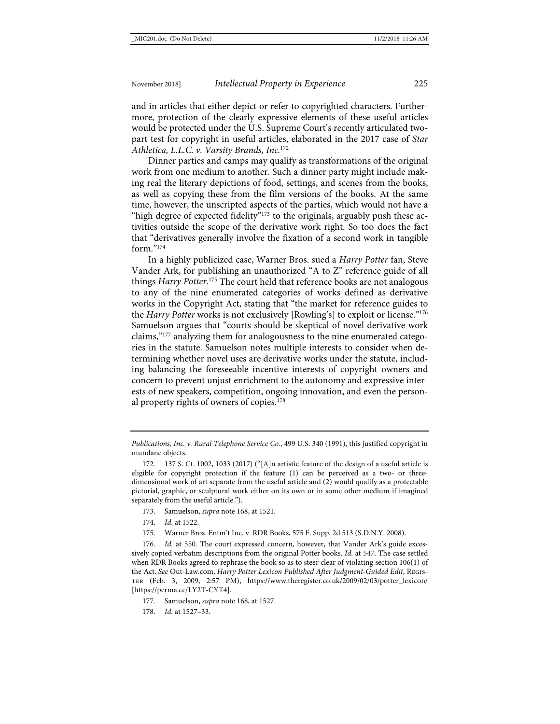and in articles that either depict or refer to copyrighted characters. Furthermore, protection of the clearly expressive elements of these useful articles would be protected under the U.S. Supreme Court's recently articulated twopart test for copyright in useful articles, elaborated in the 2017 case of *Star Athletica, L.L.C. v. Varsity Brands, Inc.*<sup>172</sup>

Dinner parties and camps may qualify as transformations of the original work from one medium to another. Such a dinner party might include making real the literary depictions of food, settings, and scenes from the books, as well as copying these from the film versions of the books. At the same time, however, the unscripted aspects of the parties, which would not have a "high degree of expected fidelity"<sup>173</sup> to the originals, arguably push these activities outside the scope of the derivative work right. So too does the fact that "derivatives generally involve the fixation of a second work in tangible form $^{v_{174}}$ 

In a highly publicized case, Warner Bros. sued a *Harry Potter* fan, Steve Vander Ark, for publishing an unauthorized "A to Z" reference guide of all things *Harry Potter*. <sup>175</sup> The court held that reference books are not analogous to any of the nine enumerated categories of works defined as derivative works in the Copyright Act, stating that "the market for reference guides to the *Harry Potter* works is not exclusively [Rowling's] to exploit or license."176 Samuelson argues that "courts should be skeptical of novel derivative work claims,"177 analyzing them for analogousness to the nine enumerated categories in the statute. Samuelson notes multiple interests to consider when determining whether novel uses are derivative works under the statute, including balancing the foreseeable incentive interests of copyright owners and concern to prevent unjust enrichment to the autonomy and expressive interests of new speakers, competition, ongoing innovation, and even the personal property rights of owners of copies.<sup>178</sup>

*Publications, Inc. v. Rural Telephone Service Co.*, 499 U.S. 340 (1991), this justified copyright in mundane objects.

- 173. Samuelson, *supra* not[e 168,](#page-28-0) at 1521.
- 174. *Id.* at 1522.
- 175. Warner Bros. Entm't Inc. v. RDR Books, 575 F. Supp. 2d 513 (S.D.N.Y. 2008).

176. *Id.* at 550. The court expressed concern, however, that Vander Ark's guide excessively copied verbatim descriptions from the original Potter books. *Id.* at 547. The case settled when RDR Books agreed to rephrase the book so as to steer clear of violating section 106(1) of the Act. *See* Out-Law.com, *Harry Potter Lexicon Published After Judgment-Guided Edit*, Register (Feb. 3, 2009, 2:57 PM), [https://www.theregister.co.uk/2009/02/03/potter\\_lexicon/](https://www.theregister.co.uk/2009/02/03/potter_lexicon/) [\[https://perma.cc/LY2T-CYT4\]](https://perma.cc/LY2T-CYT4).

- 177. Samuelson, *supra* not[e 168,](#page-28-0) at 1527.
- 178. *Id.* at 1527–33.

<sup>172.</sup> 137 S. Ct. 1002, 1033 (2017) ("[A]n artistic feature of the design of a useful article is eligible for copyright protection if the feature (1) can be perceived as a two- or threedimensional work of art separate from the useful article and (2) would qualify as a protectable pictorial, graphic, or sculptural work either on its own or in some other medium if imagined separately from the useful article.").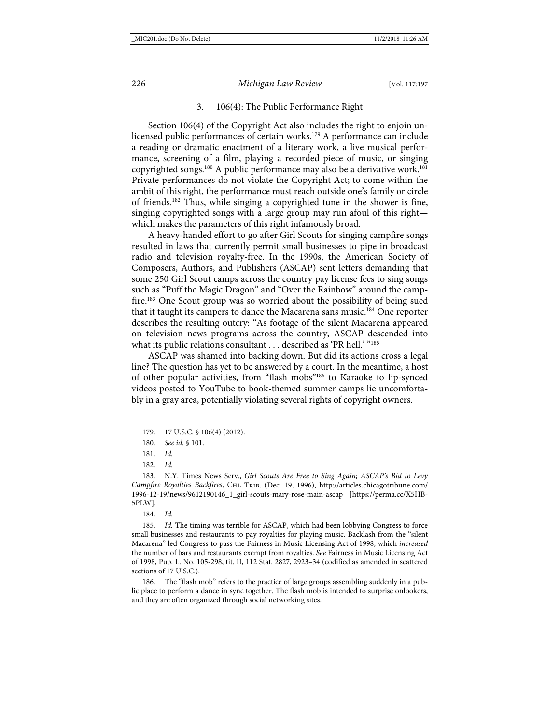#### 3. 106(4): The Public Performance Right

Section 106(4) of the Copyright Act also includes the right to enjoin unlicensed public performances of certain works.<sup>179</sup> A performance can include a reading or dramatic enactment of a literary work, a live musical performance, screening of a film, playing a recorded piece of music, or singing copyrighted songs.<sup>180</sup> A public performance may also be a derivative work.<sup>181</sup> Private performances do not violate the Copyright Act; to come within the ambit of this right, the performance must reach outside one's family or circle of friends.182 Thus, while singing a copyrighted tune in the shower is fine, singing copyrighted songs with a large group may run afoul of this right which makes the parameters of this right infamously broad.

A heavy-handed effort to go after Girl Scouts for singing campfire songs resulted in laws that currently permit small businesses to pipe in broadcast radio and television royalty-free. In the 1990s, the American Society of Composers, Authors, and Publishers (ASCAP) sent letters demanding that some 250 Girl Scout camps across the country pay license fees to sing songs such as "Puff the Magic Dragon" and "Over the Rainbow" around the campfire.<sup>183</sup> One Scout group was so worried about the possibility of being sued that it taught its campers to dance the Macarena sans music.<sup>184</sup> One reporter describes the resulting outcry: "As footage of the silent Macarena appeared on television news programs across the country, ASCAP descended into what its public relations consultant . . . described as 'PR hell.' "185

<span id="page-30-1"></span><span id="page-30-0"></span>ASCAP was shamed into backing down. But did its actions cross a legal line? The question has yet to be answered by a court. In the meantime, a host of other popular activities, from "flash mobs"186 to Karaoke to lip-synced videos posted to YouTube to book-themed summer camps lie uncomfortably in a gray area, potentially violating several rights of copyright owners.

185. *Id.* The timing was terrible for ASCAP, which had been lobbying Congress to force small businesses and restaurants to pay royalties for playing music. Backlash from the "silent Macarena" led Congress to pass the Fairness in Music Licensing Act of 1998, which *increased* the number of bars and restaurants exempt from royalties. *See* Fairness in Music Licensing Act of 1998, Pub. L. No. 105-298, tit. II, 112 Stat. 2827, 2923–34 (codified as amended in scattered sections of 17 U.S.C.).

186. The "flash mob" refers to the practice of large groups assembling suddenly in a public place to perform a dance in sync together. The flash mob is intended to surprise onlookers, and they are often organized through social networking sites.

<sup>179.</sup> 17 U.S.C. § 106(4) (2012).

<sup>180.</sup> *See id.* § 101.

<sup>181.</sup> *Id.*

<sup>182.</sup> *Id.*

<sup>183.</sup> N.Y. Times News Serv., *Girl Scouts Are Free to Sing Again; ASCAP's Bid to Levy*  Campfire Royalties Backfires, CHI. TRIB. (Dec. 19, 1996), [http://articles.chicagotribune.com/](http://articles.chicagotribune.com/1996-12-19/news/9612190146_1_girl-scouts-mary-rose-main-ascap) [1996-12-19/news/9612190146\\_1\\_girl-scouts-mary-rose-main-ascap](http://articles.chicagotribune.com/1996-12-19/news/9612190146_1_girl-scouts-mary-rose-main-ascap) [\[https://perma.cc/X5HB-](https://perma.cc/X5HB-5PLW)[5PLW\]](https://perma.cc/X5HB-5PLW).

<sup>184.</sup> *Id.*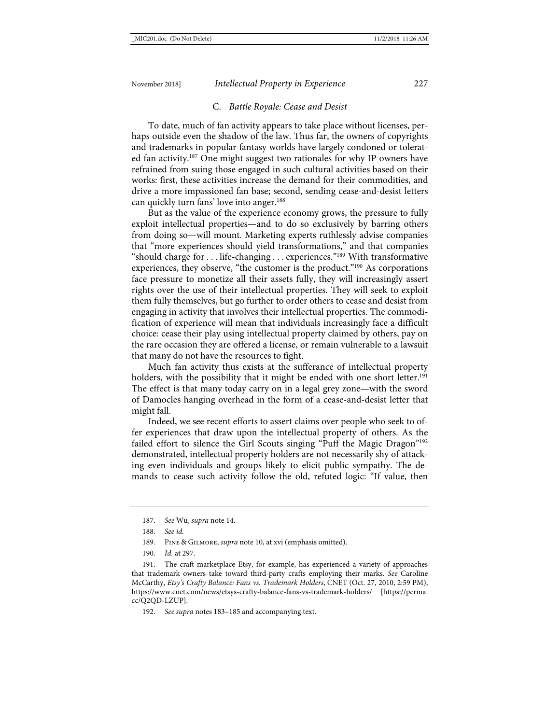#### C. *Battle Royale: Cease and Desist*

To date, much of fan activity appears to take place without licenses, perhaps outside even the shadow of the law. Thus far, the owners of copyrights and trademarks in popular fantasy worlds have largely condoned or tolerated fan activity.<sup>187</sup> One might suggest two rationales for why IP owners have refrained from suing those engaged in such cultural activities based on their works: first, these activities increase the demand for their commodities, and drive a more impassioned fan base; second, sending cease-and-desist letters can quickly turn fans' love into anger.<sup>188</sup>

But as the value of the experience economy grows, the pressure to fully exploit intellectual properties—and to do so exclusively by barring others from doing so—will mount. Marketing experts ruthlessly advise companies that "more experiences should yield transformations," and that companies "should charge for . . . life-changing . . . experiences."189 With transformative experiences, they observe, "the customer is the product."190 As corporations face pressure to monetize all their assets fully, they will increasingly assert rights over the use of their intellectual properties. They will seek to exploit them fully themselves, but go further to order others to cease and desist from engaging in activity that involves their intellectual properties. The commodification of experience will mean that individuals increasingly face a difficult choice: cease their play using intellectual property claimed by others, pay on the rare occasion they are offered a license, or remain vulnerable to a lawsuit that many do not have the resources to fight.

Much fan activity thus exists at the sufferance of intellectual property holders, with the possibility that it might be ended with one short letter.<sup>191</sup> The effect is that many today carry on in a legal grey zone—with the sword of Damocles hanging overhead in the form of a cease-and-desist letter that might fall.

Indeed, we see recent efforts to assert claims over people who seek to offer experiences that draw upon the intellectual property of others. As the failed effort to silence the Girl Scouts singing "Puff the Magic Dragon"<sup>192</sup> demonstrated, intellectual property holders are not necessarily shy of attacking even individuals and groups likely to elicit public sympathy. The demands to cease such activity follow the old, refuted logic: "If value, then

<sup>187.</sup> *See* Wu, *supra* not[e 14.](#page-4-1)

<sup>188.</sup> *See id.*

<sup>189.</sup> Pine & Gilmore, *supra* not[e 10,](#page-4-0) at xvi (emphasis omitted).

<sup>190.</sup> *Id.* at 297.

<sup>191.</sup> The craft marketplace Etsy, for example, has experienced a variety of approaches that trademark owners take toward third-party crafts employing their marks. *See* Caroline McCarthy, *Etsy's Crafty Balance: Fans vs. Trademark Holders*, CNET (Oct. 27, 2010, 2:59 PM), <https://www.cnet.com/news/etsys-crafty-balance-fans-vs-trademark-holders/> [\[https://perma.](https://perma.cc/Q2QD-LZUP) [cc/Q2QD-LZUP\]](https://perma.cc/Q2QD-LZUP).

<sup>192.</sup> *See supra* note[s 183](#page-30-0)[–185](#page-30-1) and accompanying text.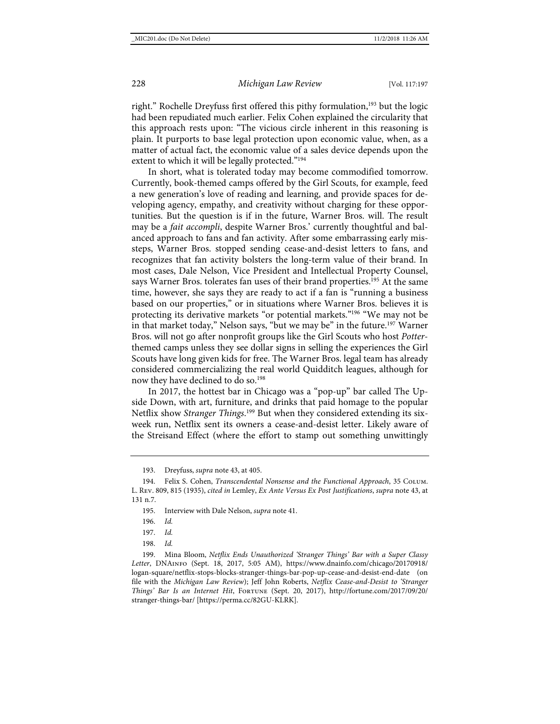right." Rochelle Dreyfuss first offered this pithy formulation,<sup>193</sup> but the logic had been repudiated much earlier. Felix Cohen explained the circularity that this approach rests upon: "The vicious circle inherent in this reasoning is plain. It purports to base legal protection upon economic value, when, as a matter of actual fact, the economic value of a sales device depends upon the extent to which it will be legally protected."<sup>194</sup>

In short, what is tolerated today may become commodified tomorrow. Currently, book-themed camps offered by the Girl Scouts, for example, feed a new generation's love of reading and learning, and provide spaces for developing agency, empathy, and creativity without charging for these opportunities. But the question is if in the future, Warner Bros. will. The result may be a *fait accompli*, despite Warner Bros.' currently thoughtful and balanced approach to fans and fan activity. After some embarrassing early missteps, Warner Bros. stopped sending cease-and-desist letters to fans, and recognizes that fan activity bolsters the long-term value of their brand. In most cases, Dale Nelson, Vice President and Intellectual Property Counsel, says Warner Bros. tolerates fan uses of their brand properties.<sup>195</sup> At the same time, however, she says they are ready to act if a fan is "running a business based on our properties," or in situations where Warner Bros. believes it is protecting its derivative markets "or potential markets."196 "We may not be in that market today," Nelson says, "but we may be" in the future.<sup>197</sup> Warner Bros. will not go after nonprofit groups like the Girl Scouts who host *Potter*themed camps unless they see dollar signs in selling the experiences the Girl Scouts have long given kids for free. The Warner Bros. legal team has already considered commercializing the real world Quidditch leagues, although for now they have declined to do so.<sup>198</sup>

<span id="page-32-0"></span>In 2017, the hottest bar in Chicago was a "pop-up" bar called The Upside Down, with art, furniture, and drinks that paid homage to the popular Netflix show *Stranger Things*. <sup>199</sup> But when they considered extending its sixweek run, Netflix sent its owners a cease-and-desist letter. Likely aware of the Streisand Effect (where the effort to stamp out something unwittingly

<sup>193.</sup> Dreyfuss, *supra* not[e 43,](#page-9-0) at 405.

<sup>194.</sup> Felix S. Cohen, *Transcendental Nonsense and the Functional Approach*, 35 Colum. L. Rev. 809, 815 (1935), *cited in* Lemley, *Ex Ante Versus Ex Post Justifications*, *supra* not[e 43,](#page-9-0) at 131 n.7.

<sup>195.</sup> Interview with Dale Nelson, *supra* not[e 41.](#page-8-2)

<sup>196.</sup> *Id.*

<sup>197.</sup> *Id.*

<sup>198.</sup> *Id.*

<sup>199.</sup> Mina Bloom, *Netflix Ends Unauthorized 'Stranger Things' Bar with a Super Classy Letter*, DNAinfo (Sept. 18, 2017, 5:05 AM), https://www.dnainfo.com/chicago/20170918/ logan-square/netflix-stops-blocks-stranger-things-bar-pop-up-cease-and-desist-end-date (on file with the *Michigan Law Review*); Jeff John Roberts, *Netflix Cease-and-Desist to 'Stranger Things' Bar Is an Internet Hit*, FORTUNE (Sept. 20, 2017), [http://fortune.com/2017/09/20/](http://fortune.com/2017/09/20/stranger-things-bar/) [stranger-things-bar/](http://fortune.com/2017/09/20/stranger-things-bar/) [https://perma.cc/82GU-KLRK].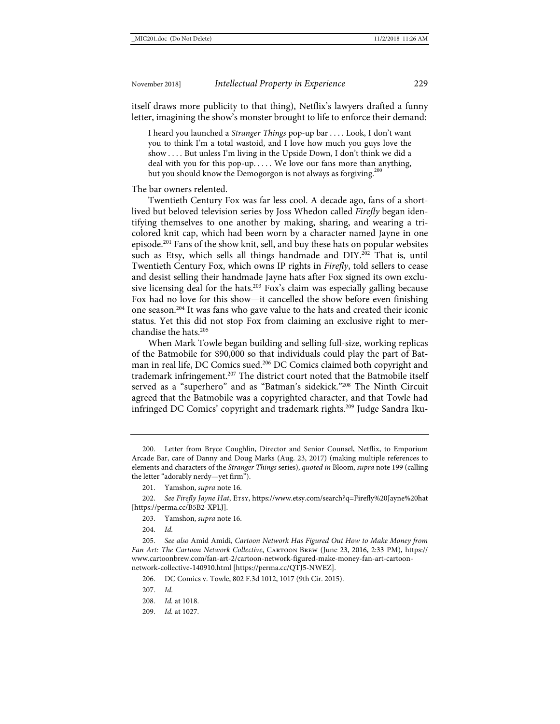itself draws more publicity to that thing), Netflix's lawyers drafted a funny letter, imagining the show's monster brought to life to enforce their demand:

I heard you launched a *Stranger Things* pop-up bar . . . . Look, I don't want you to think I'm a total wastoid, and I love how much you guys love the show . . . . But unless I'm living in the Upside Down, I don't think we did a deal with you for this pop-up. . . . . We love our fans more than anything, but you should know the Demogorgon is not always as forgiving.<sup>200</sup>

The bar owners relented.

Twentieth Century Fox was far less cool. A decade ago, fans of a shortlived but beloved television series by Joss Whedon called *Firefly* began identifying themselves to one another by making, sharing, and wearing a tricolored knit cap, which had been worn by a character named Jayne in one episode.201 Fans of the show knit, sell, and buy these hats on popular websites such as Etsy, which sells all things handmade and DIY.<sup>202</sup> That is, until Twentieth Century Fox, which owns IP rights in *Firefly*, told sellers to cease and desist selling their handmade Jayne hats after Fox signed its own exclusive licensing deal for the hats.<sup>203</sup> Fox's claim was especially galling because Fox had no love for this show—it cancelled the show before even finishing one season.204 It was fans who gave value to the hats and created their iconic status. Yet this did not stop Fox from claiming an exclusive right to merchandise the hats.205

When Mark Towle began building and selling full-size, working replicas of the Batmobile for \$90,000 so that individuals could play the part of Batman in real life, DC Comics sued.206 DC Comics claimed both copyright and trademark infringement.<sup>207</sup> The district court noted that the Batmobile itself served as a "superhero" and as "Batman's sidekick."208 The Ninth Circuit agreed that the Batmobile was a copyrighted character, and that Towle had infringed DC Comics' copyright and trademark rights.<sup>209</sup> Judge Sandra Iku-

204. *Id.*

205. *See also* Amid Amidi, *Cartoon Network Has Figured Out How to Make Money from Fan Art: The Cartoon Network Collective*, CARTOON BREW (June 23, 2016, 2:33 PM), [https://](https://www.cartoonbrew.com/fan-art-2/cartoon-network-figured-make-money-fan-art-cartoon-network-collective-140910.html) [www.cartoonbrew.com/fan-art-2/cartoon-network-figured-make-money-fan-art-cartoon](https://www.cartoonbrew.com/fan-art-2/cartoon-network-figured-make-money-fan-art-cartoon-network-collective-140910.html)[network-collective-140910.html](https://www.cartoonbrew.com/fan-art-2/cartoon-network-figured-make-money-fan-art-cartoon-network-collective-140910.html) [\[https://perma.cc/QTJ5-NWEZ\]](https://perma.cc/QTJ5-NWEZ).

209. *Id.* at 1027.

<sup>200.</sup> Letter from Bryce Coughlin, Director and Senior Counsel, Netflix, to Emporium Arcade Bar, care of Danny and Doug Marks (Aug. 23, 2017) (making multiple references to elements and characters of the *Stranger Things* series), *quoted in* Bloom, *supra* not[e 199](#page-32-0) (calling the letter "adorably nerdy—yet firm").

<sup>201.</sup> Yamshon, *supra* not[e 16.](#page-4-2)

<sup>202.</sup> *See Firefly Jayne Hat*, Etsy, [https://www.etsy.com/search?q=Firefly%20Jayne%20hat](https://www.etsy.com/search?q=Firefly%20Jayne%20hat%20) [\[https://perma.cc/B5B2-XPLJ\]](https://perma.cc/B5B2-XPLJ).

<sup>203.</sup> Yamshon, *supra* not[e 16.](#page-4-2)

<sup>206.</sup> DC Comics v. Towle, 802 F.3d 1012, 1017 (9th Cir. 2015).

<sup>207.</sup> *Id.*

<sup>208.</sup> *Id.* at 1018.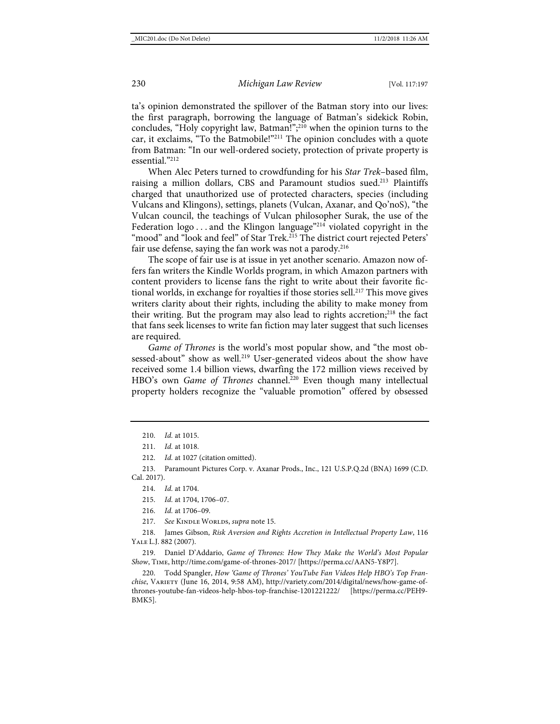ta's opinion demonstrated the spillover of the Batman story into our lives: the first paragraph, borrowing the language of Batman's sidekick Robin, concludes, "Holy copyright law, Batman!"; <sup>210</sup> when the opinion turns to the car, it exclaims, "To the Batmobile!"211 The opinion concludes with a quote from Batman: "In our well-ordered society, protection of private property is essential."212

When Alec Peters turned to crowdfunding for his *Star Trek*–based film, raising a million dollars, CBS and Paramount studios sued.<sup>213</sup> Plaintiffs charged that unauthorized use of protected characters, species (including Vulcans and Klingons), settings, planets (Vulcan, Axanar, and Qo'noS), "the Vulcan council, the teachings of Vulcan philosopher Surak, the use of the Federation  $log_0$ ... and the Klingon language<sup>"214</sup> violated copyright in the "mood" and "look and feel" of Star Trek.<sup>215</sup> The district court rejected Peters' fair use defense, saying the fan work was not a parody.<sup>216</sup>

The scope of fair use is at issue in yet another scenario. Amazon now offers fan writers the Kindle Worlds program, in which Amazon partners with content providers to license fans the right to write about their favorite fictional worlds, in exchange for royalties if those stories sell.<sup>217</sup> This move gives writers clarity about their rights, including the ability to make money from their writing. But the program may also lead to rights accretion; $^{218}$  the fact that fans seek licenses to write fan fiction may later suggest that such licenses are required.

*Game of Thrones* is the world's most popular show, and "the most obsessed-about" show as well.<sup>219</sup> User-generated videos about the show have received some 1.4 billion views, dwarfing the 172 million views received by HBO's own *Game of Thrones* channel.<sup>220</sup> Even though many intellectual property holders recognize the "valuable promotion" offered by obsessed

212. *Id.* at 1027 (citation omitted).

213. Paramount Pictures Corp. v. Axanar Prods., Inc., 121 U.S.P.Q.2d (BNA) 1699 (C.D. Cal. 2017).

215. *Id.* at 1704, 1706–07.

217. See KINDLE WORLDS, *supra* not[e 15.](#page-4-3)

218. James Gibson, *Risk Aversion and Rights Accretion in Intellectual Property Law*, 116 Yale L.J. 882 (2007).

219. Daniel D'Addario, *Game of Thrones: How They Make the World's Most Popular Show*, Time[, http://time.com/game-of-thrones-2017/](http://time.com/game-of-thrones-2017/) [\[https://perma.cc/AAN5-Y8P7\]](https://perma.cc/AAN5-Y8P7).

220. Todd Spangler, *How 'Game of Thrones' YouTube Fan Videos Help HBO's Top Franchise*, Variety (June 16, 2014, 9:58 AM), [http://variety.com/2014/digital/news/how-game-of](http://variety.com/2014/digital/news/how-game-of-thrones-youtube-fan-videos-help-hbos-top-franchise-1201221222/)[thrones-youtube-fan-videos-help-hbos-top-franchise-1201221222/](http://variety.com/2014/digital/news/how-game-of-thrones-youtube-fan-videos-help-hbos-top-franchise-1201221222/) [\[https://perma.cc/PEH9-](https://perma.cc/PEH9-BMK5) [BMK5\]](https://perma.cc/PEH9-BMK5).

<sup>210.</sup> *Id.* at 1015.

<sup>211.</sup> *Id.* at 1018.

<sup>214.</sup> *Id.* at 1704.

<sup>216.</sup> *Id.* at 1706–09.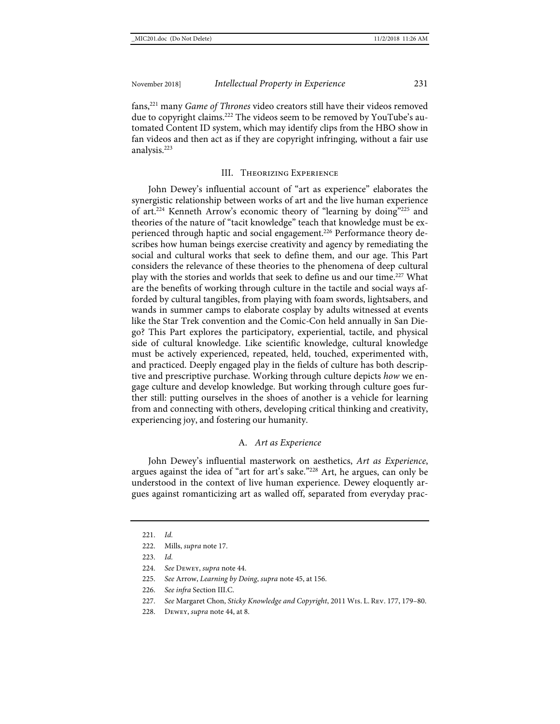fans,221 many *Game of Thrones* video creators still have their videos removed due to copyright claims.<sup>222</sup> The videos seem to be removed by YouTube's automated Content ID system, which may identify clips from the HBO show in fan videos and then act as if they are copyright infringing, without a fair use analysis.223

#### <span id="page-35-0"></span>III. Theorizing Experience

John Dewey's influential account of "art as experience" elaborates the synergistic relationship between works of art and the live human experience of art.224 Kenneth Arrow's economic theory of "learning by doing"225 and theories of the nature of "tacit knowledge" teach that knowledge must be experienced through haptic and social engagement.<sup>226</sup> Performance theory describes how human beings exercise creativity and agency by remediating the social and cultural works that seek to define them, and our age. This Part considers the relevance of these theories to the phenomena of deep cultural play with the stories and worlds that seek to define us and our time.<sup>227</sup> What are the benefits of working through culture in the tactile and social ways afforded by cultural tangibles, from playing with foam swords, lightsabers, and wands in summer camps to elaborate cosplay by adults witnessed at events like the Star Trek convention and the Comic-Con held annually in San Diego? This Part explores the participatory, experiential, tactile, and physical side of cultural knowledge. Like scientific knowledge, cultural knowledge must be actively experienced, repeated, held, touched, experimented with, and practiced. Deeply engaged play in the fields of culture has both descriptive and prescriptive purchase. Working through culture depicts *how* we engage culture and develop knowledge. But working through culture goes further still: putting ourselves in the shoes of another is a vehicle for learning from and connecting with others, developing critical thinking and creativity, experiencing joy, and fostering our humanity.

#### A. *Art as Experience*

John Dewey's influential masterwork on aesthetics, *Art as Experience*, argues against the idea of "art for art's sake."228 Art, he argues, can only be understood in the context of live human experience. Dewey eloquently argues against romanticizing art as walled off, separated from everyday prac-

<sup>221.</sup> *Id.*

<sup>222.</sup> Mills, *supra* not[e 17.](#page-5-0)

<sup>223.</sup> *Id.*

<sup>224.</sup> *See* Dewey, *supra* not[e 44.](#page-9-1)

<sup>225.</sup> *See* Arrow, *Learning by Doing*, *supra* not[e 45,](#page-9-2) at 156.

<sup>226.</sup> *See infra* Section III.C.

<sup>227.</sup> *See* Margaret Chon, *Sticky Knowledge and Copyright*, 2011 Wis. L. Rev. 177, 179–80.

<sup>228.</sup> Dewey, *supra* not[e 44,](#page-9-1) at 8.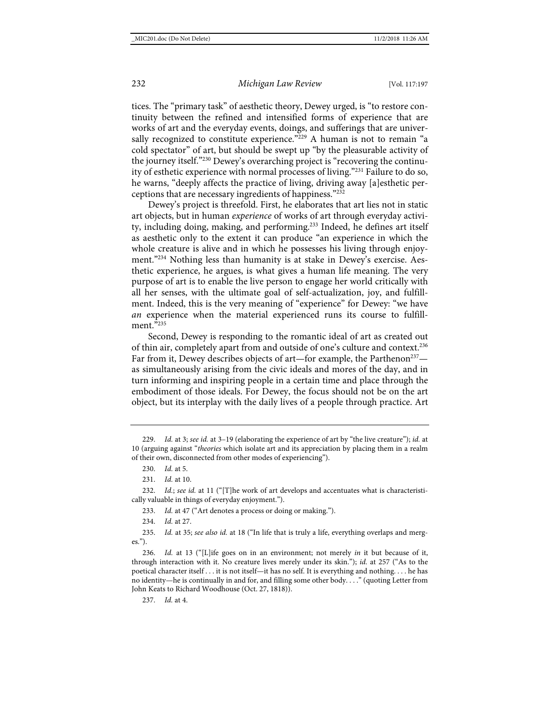tices. The "primary task" of aesthetic theory, Dewey urged, is "to restore continuity between the refined and intensified forms of experience that are works of art and the everyday events, doings, and sufferings that are universally recognized to constitute experience."<sup>229</sup> A human is not to remain "a cold spectator" of art, but should be swept up "by the pleasurable activity of the journey itself."230 Dewey's overarching project is "recovering the continuity of esthetic experience with normal processes of living."231 Failure to do so, he warns, "deeply affects the practice of living, driving away [a]esthetic perceptions that are necessary ingredients of happiness."232

Dewey's project is threefold. First, he elaborates that art lies not in static art objects, but in human *experience* of works of art through everyday activity, including doing, making, and performing.<sup>233</sup> Indeed, he defines art itself as aesthetic only to the extent it can produce "an experience in which the whole creature is alive and in which he possesses his living through enjoyment."234 Nothing less than humanity is at stake in Dewey's exercise. Aesthetic experience, he argues, is what gives a human life meaning. The very purpose of art is to enable the live person to engage her world critically with all her senses, with the ultimate goal of self-actualization, joy, and fulfillment. Indeed, this is the very meaning of "experience" for Dewey: "we have *an* experience when the material experienced runs its course to fulfillment<sup>2235</sup>

Second, Dewey is responding to the romantic ideal of art as created out of thin air, completely apart from and outside of one's culture and context.236 Far from it, Dewey describes objects of art—for example, the Parthenon<sup>237</sup> as simultaneously arising from the civic ideals and mores of the day, and in turn informing and inspiring people in a certain time and place through the embodiment of those ideals. For Dewey, the focus should not be on the art object, but its interplay with the daily lives of a people through practice. Art

233. *Id.* at 47 ("Art denotes a process or doing or making.").

235. *Id.* at 35; *see also id.* at 18 ("In life that is truly a life, everything overlaps and merges.").

236. *Id.* at 13 ("[L]ife goes on in an environment; not merely *in* it but because of it, through interaction with it. No creature lives merely under its skin."); *id.* at 257 ("As to the poetical character itself . . . it is not itself—it has no self. It is everything and nothing. . . . he has no identity—he is continually in and for, and filling some other body. . . ." (quoting Letter from John Keats to Richard Woodhouse (Oct. 27, 1818)).

237. *Id.* at 4.

<sup>229.</sup> *Id.* at 3; *see id.* at 3–19 (elaborating the experience of art by "the live creature"); *id.* at 10 (arguing against "*theories* which isolate art and its appreciation by placing them in a realm of their own, disconnected from other modes of experiencing").

<sup>230.</sup> *Id.* at 5.

<sup>231.</sup> *Id.* at 10.

<sup>232.</sup> *Id.*; *see id.* at 11 ("[T]he work of art develops and accentuates what is characteristically valuable in things of everyday enjoyment.").

<sup>234.</sup> *Id.* at 27.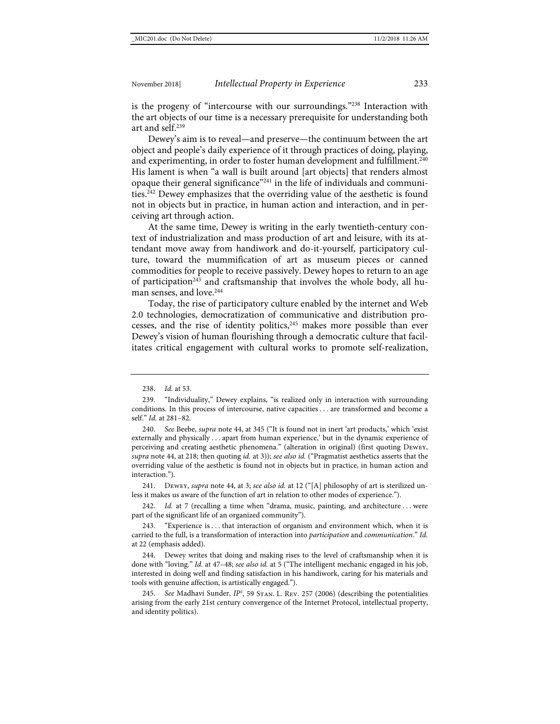is the progeny of "intercourse with our surroundings."238 Interaction with the art objects of our time is a necessary prerequisite for understanding both art and self.239

Dewey's aim is to reveal—and preserve—the continuum between the art object and people's daily experience of it through practices of doing, playing, and experimenting, in order to foster human development and fulfillment.<sup>240</sup> His lament is when "a wall is built around [art objects] that renders almost opaque their general significance"241 in the life of individuals and communities.<sup>242</sup> Dewey emphasizes that the overriding value of the aesthetic is found not in objects but in practice, in human action and interaction, and in perceiving art through action.

At the same time, Dewey is writing in the early twentieth-century context of industrialization and mass production of art and leisure, with its attendant move away from handiwork and do-it-yourself, participatory culture, toward the mummification of art as museum pieces or canned commodities for people to receive passively. Dewey hopes to return to an age of participation<sup>243</sup> and craftsmanship that involves the whole body, all human senses, and love.<sup>244</sup>

<span id="page-37-0"></span>Today, the rise of participatory culture enabled by the internet and Web 2.0 technologies, democratization of communicative and distribution processes, and the rise of identity politics, $245$  makes more possible than ever Dewey's vision of human flourishing through a democratic culture that facilitates critical engagement with cultural works to promote self-realization,

241. Dewey, *supra* not[e 44,](#page-9-1) at 3; *see also id.* at 12 ("[A] philosophy of art is sterilized unless it makes us aware of the function of art in relation to other modes of experience.").

242. *Id.* at 7 (recalling a time when "drama, music, painting, and architecture . . . were part of the significant life of an organized community").

"Experience is . . . that interaction of organism and environment which, when it is carried to the full, is a transformation of interaction into *participation* and *communication*." *Id.* at 22 (emphasis added).

244. Dewey writes that doing and making rises to the level of craftsmanship when it is done with "loving." *Id.* at 47–48; *see also id.* at 5 ("The intelligent mechanic engaged in his job, interested in doing well and finding satisfaction in his handiwork, caring for his materials and tools with genuine affection, is artistically engaged.").

245. *See* Madhavi Sunder, *IP3* , 59 Stan. L. Rev. 257 (2006) (describing the potentialities arising from the early 21st century convergence of the Internet Protocol, intellectual property, and identity politics).

<sup>238.</sup> *Id.* at 53.

<sup>239.</sup> "Individuality," Dewey explains, "is realized only in interaction with surrounding conditions. In this process of intercourse, native capacities . . . are transformed and become a self." *Id.* at 281–82.

<sup>240.</sup> *See* Beebe, *supra* note [44,](#page-9-1) at 345 ("It is found not in inert 'art products,' which 'exist externally and physically . . . apart from human experience,' but in the dynamic experience of perceiving and creating aesthetic phenomena." (alteration in original) (first quoting Dewey, *supra* not[e 44,](#page-9-1) at 218; then quoting *id.* at 3)); *see also id.* ("Pragmatist aesthetics asserts that the overriding value of the aesthetic is found not in objects but in practice, in human action and interaction.").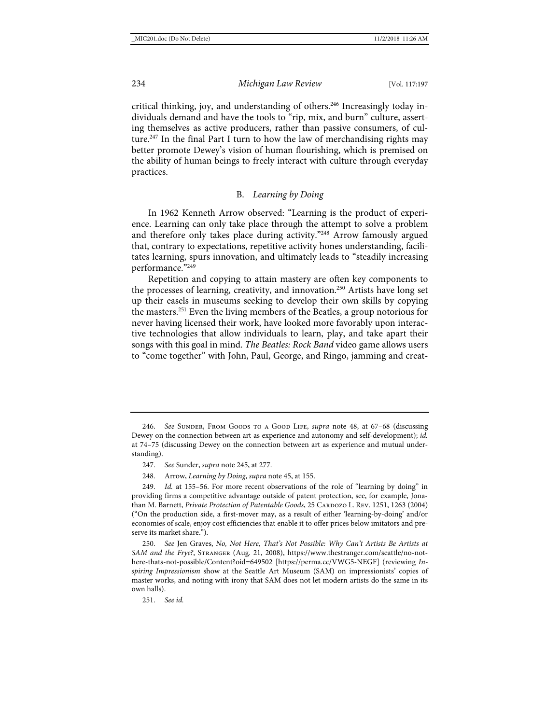critical thinking, joy, and understanding of others.<sup>246</sup> Increasingly today individuals demand and have the tools to "rip, mix, and burn" culture, asserting themselves as active producers, rather than passive consumers, of culture.<sup>247</sup> In the final Part I turn to how the law of merchandising rights may better promote Dewey's vision of human flourishing, which is premised on the ability of human beings to freely interact with culture through everyday practices.

#### B. *Learning by Doing*

In 1962 Kenneth Arrow observed: "Learning is the product of experience. Learning can only take place through the attempt to solve a problem and therefore only takes place during activity."248 Arrow famously argued that, contrary to expectations, repetitive activity hones understanding, facilitates learning, spurs innovation, and ultimately leads to "steadily increasing performance."249

<span id="page-38-0"></span>Repetition and copying to attain mastery are often key components to the processes of learning, creativity, and innovation.250 Artists have long set up their easels in museums seeking to develop their own skills by copying the masters.251 Even the living members of the Beatles, a group notorious for never having licensed their work, have looked more favorably upon interactive technologies that allow individuals to learn, play, and take apart their songs with this goal in mind. *The Beatles: Rock Band* video game allows users to "come together" with John, Paul, George, and Ringo, jamming and creat-

<sup>246.</sup> *See* Sunder, From Goods to a Good Life, *supra* note [48,](#page-10-0) at 67–68 (discussing Dewey on the connection between art as experience and autonomy and self-development); *id.* at 74–75 (discussing Dewey on the connection between art as experience and mutual understanding).

<sup>247.</sup> *See* Sunder, *supra* not[e 245,](#page-37-0) at 277.

<sup>248.</sup> Arrow, *Learning by Doing*, *supra* not[e 45,](#page-9-2) at 155.

<sup>249.</sup> *Id.* at 155–56. For more recent observations of the role of "learning by doing" in providing firms a competitive advantage outside of patent protection, see, for example, Jonathan M. Barnett, *Private Protection of Patentable Goods*, 25 CARDOZO L. REV. 1251, 1263 (2004) ("On the production side, a first-mover may, as a result of either 'learning-by-doing' and/or economies of scale, enjoy cost efficiencies that enable it to offer prices below imitators and preserve its market share.").

<sup>250.</sup> *See* Jen Graves, *No, Not Here, That's Not Possible: Why Can't Artists Be Artists at SAM and the Frye?*, Stranger (Aug. 21, 2008), [https://www.thestranger.com/seattle/no-not](https://www.thestranger.com/seattle/no-not-here-thats-not-possible/Content?oid=649502%20)[here-thats-not-possible/Content?oid=649502](https://www.thestranger.com/seattle/no-not-here-thats-not-possible/Content?oid=649502%20) [\[https://perma.cc/VWG5-NEGF\]](https://perma.cc/VWG5-NEGF) (reviewing *Inspiring Impressionism* show at the Seattle Art Museum (SAM) on impressionists' copies of master works, and noting with irony that SAM does not let modern artists do the same in its own halls).

<sup>251.</sup> *See id.*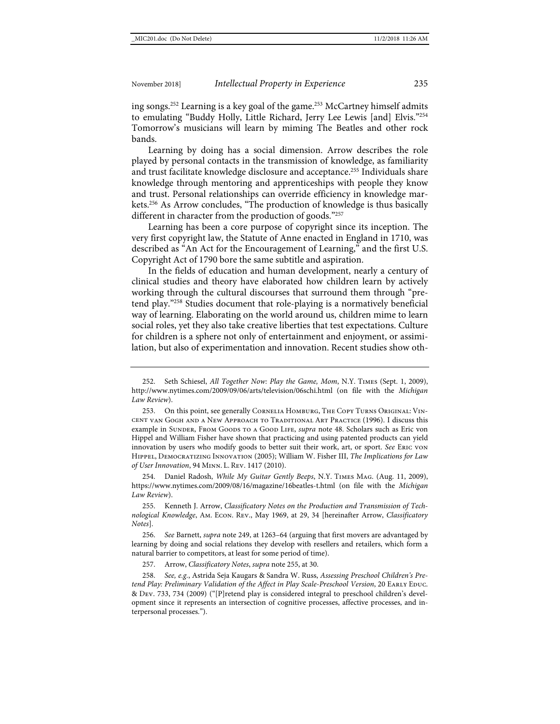ing songs.252 Learning is a key goal of the game.253 McCartney himself admits to emulating "Buddy Holly, Little Richard, Jerry Lee Lewis [and] Elvis."254 Tomorrow's musicians will learn by miming The Beatles and other rock bands.

<span id="page-39-0"></span>Learning by doing has a social dimension. Arrow describes the role played by personal contacts in the transmission of knowledge, as familiarity and trust facilitate knowledge disclosure and acceptance.<sup>255</sup> Individuals share knowledge through mentoring and apprenticeships with people they know and trust. Personal relationships can override efficiency in knowledge markets.<sup>256</sup> As Arrow concludes, "The production of knowledge is thus basically different in character from the production of goods."257

Learning has been a core purpose of copyright since its inception. The very first copyright law, the Statute of Anne enacted in England in 1710, was described as "An Act for the Encouragement of Learning," and the first U.S. Copyright Act of 1790 bore the same subtitle and aspiration.

In the fields of education and human development, nearly a century of clinical studies and theory have elaborated how children learn by actively working through the cultural discourses that surround them through "pretend play."258 Studies document that role-playing is a normatively beneficial way of learning. Elaborating on the world around us, children mime to learn social roles, yet they also take creative liberties that test expectations. Culture for children is a sphere not only of entertainment and enjoyment, or assimilation, but also of experimentation and innovation. Recent studies show oth-

254. Daniel Radosh, *While My Guitar Gently Beeps*, N.Y. Times Mag. (Aug. 11, 2009), <https://www.nytimes.com/2009/08/16/magazine/16beatles-t.html> (on file with the *Michigan Law Review*).

255. Kenneth J. Arrow, *Classificatory Notes on the Production and Transmission of Technological Knowledge*, Am. Econ. Rev., May 1969, at 29, 34 [hereinafter Arrow, *Classificatory Notes*].

256. *See* Barnett, *supra* not[e 249,](#page-38-0) at 1263–64 (arguing that first movers are advantaged by learning by doing and social relations they develop with resellers and retailers, which form a natural barrier to competitors, at least for some period of time).

257. Arrow, *Classificatory Notes*, *supra* not[e 255,](#page-39-0) at 30.

258. *See, e.g.*, Astrida Seja Kaugars & Sandra W. Russ, *Assessing Preschool Children's Pretend Play: Preliminary Validation of the Affect in Play Scale-Preschool Version*, 20 EARLY EDUC. & Dev. 733, 734 (2009) ("[P]retend play is considered integral to preschool children's development since it represents an intersection of cognitive processes, affective processes, and interpersonal processes.").

<sup>252.</sup> Seth Schiesel, *All Together Now: Play the Game, Mom*, N.Y. Times (Sept. 1, 2009), <http://www.nytimes.com/2009/09/06/arts/television/06schi.html> (on file with the *Michigan Law Review*).

<sup>253.</sup> On this point, see generally Cornelia Homburg, The Copy Turns Original: Vincent van Gogh and a New Approach to Traditional Art Practice (1996). I discuss this example in SUNDER, FROM GOODS TO A GOOD LIFE, *supra* note [48.](#page-10-0) Scholars such as Eric von Hippel and William Fisher have shown that practicing and using patented products can yield innovation by users who modify goods to better suit their work, art, or sport. *See* Eric von Hippel, Democratizing Innovation (2005); William W. Fisher III, *The Implications for Law of User Innovation*, 94 Minn. L. Rev. 1417 (2010).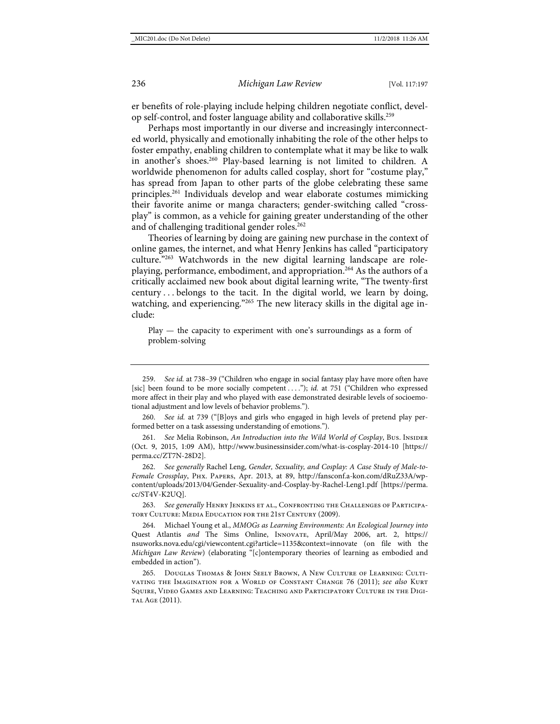er benefits of role-playing include helping children negotiate conflict, develop self-control, and foster language ability and collaborative skills.259

Perhaps most importantly in our diverse and increasingly interconnected world, physically and emotionally inhabiting the role of the other helps to foster empathy, enabling children to contemplate what it may be like to walk in another's shoes.260 Play-based learning is not limited to children. A worldwide phenomenon for adults called cosplay, short for "costume play," has spread from Japan to other parts of the globe celebrating these same principles.261 Individuals develop and wear elaborate costumes mimicking their favorite anime or manga characters; gender-switching called "crossplay" is common, as a vehicle for gaining greater understanding of the other and of challenging traditional gender roles.<sup>262</sup>

<span id="page-40-0"></span>Theories of learning by doing are gaining new purchase in the context of online games, the internet, and what Henry Jenkins has called "participatory culture."263 Watchwords in the new digital learning landscape are roleplaying, performance, embodiment, and appropriation.<sup>264</sup> As the authors of a critically acclaimed new book about digital learning write, "The twenty-first century . . . belongs to the tacit. In the digital world, we learn by doing, watching, and experiencing."<sup>265</sup> The new literacy skills in the digital age include:

<span id="page-40-1"></span> $Play$  — the capacity to experiment with one's surroundings as a form of problem-solving

259. *See id.* at 738–39 ("Children who engage in social fantasy play have more often have [sic] been found to be more socially competent . . . ."); *id.* at 751 ("Children who expressed more affect in their play and who played with ease demonstrated desirable levels of socioemotional adjustment and low levels of behavior problems.").

260. *See id.* at 739 ("[B]oys and girls who engaged in high levels of pretend play performed better on a task assessing understanding of emotions.").

261. *See* Melia Robinson, *An Introduction into the Wild World of Cosplay*, Bus. Insider (Oct. 9, 2015, 1:09 AM), <http://www.businessinsider.com/what-is-cosplay-2014-10> [\[https://](https://perma.cc/ZT7N-28D2) [perma.cc/ZT7N-28D2\]](https://perma.cc/ZT7N-28D2).

262. *See generally* Rachel Leng, *Gender, Sexuality, and Cosplay: A Case Study of Male-to-Female Crossplay*, Phx. Papers, Apr. 2013, at 89, [http://fansconf.a-kon.com/dRuZ33A/wp](http://fansconf.a-kon.com/dRuZ33A/wp-content/uploads/2013/04/Gender-Sexuality-and-Cosplay-by-Rachel-Leng1.pdf)[content/uploads/2013/04/Gender-Sexuality-and-Cosplay-by-Rachel-Leng1.pdf](http://fansconf.a-kon.com/dRuZ33A/wp-content/uploads/2013/04/Gender-Sexuality-and-Cosplay-by-Rachel-Leng1.pdf) [\[https://perma.](https://perma.cc/ST4V-K2UQ) [cc/ST4V-K2UQ\]](https://perma.cc/ST4V-K2UQ).

263. *See generally* Henry Jenkins et al., Confronting the Challenges of Participatory Culture: Media Education for the 21st Century (2009).

264. Michael Young et al., *MMOGs as Learning Environments: An Ecological Journey into*  Quest Atlantis *and* The Sims Online, Innovate, April/May 2006, art. 2, [https://](https://nsuworks.nova.edu/cgi/viewcontent.cgi?article=1135&context=innovate%20) [nsuworks.nova.edu/cgi/viewcontent.cgi?article=1135&context=innovate](https://nsuworks.nova.edu/cgi/viewcontent.cgi?article=1135&context=innovate%20) (on file with the *Michigan Law Review*) (elaborating "[c]ontemporary theories of learning as embodied and embedded in action").

265. Douglas Thomas & John Seely Brown, A New Culture of Learning: Cultivating the Imagination for a World of Constant Change 76 (2011); *see also* Kurt Squire, Video Games and Learning: Teaching and Participatory Culture in the Digital Age (2011).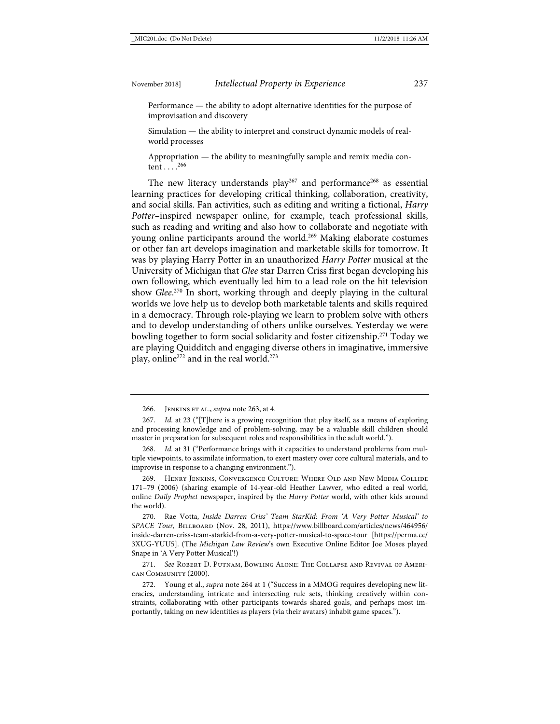Performance — the ability to adopt alternative identities for the purpose of improvisation and discovery

Simulation — the ability to interpret and construct dynamic models of realworld processes

Appropriation — the ability to meaningfully sample and remix media content  $\ldots$ <sup>266</sup>

The new literacy understands  $play<sup>267</sup>$  and performance<sup>268</sup> as essential learning practices for developing critical thinking, collaboration, creativity, and social skills. Fan activities, such as editing and writing a fictional, *Harry Potter*–inspired newspaper online, for example, teach professional skills, such as reading and writing and also how to collaborate and negotiate with young online participants around the world.<sup>269</sup> Making elaborate costumes or other fan art develops imagination and marketable skills for tomorrow. It was by playing Harry Potter in an unauthorized *Harry Potter* musical at the University of Michigan that *Glee* star Darren Criss first began developing his own following, which eventually led him to a lead role on the hit television show *Glee*. <sup>270</sup> In short, working through and deeply playing in the cultural worlds we love help us to develop both marketable talents and skills required in a democracy. Through role-playing we learn to problem solve with others and to develop understanding of others unlike ourselves. Yesterday we were bowling together to form social solidarity and foster citizenship.<sup>271</sup> Today we are playing Quidditch and engaging diverse others in imaginative, immersive play, online<sup>272</sup> and in the real world.<sup>273</sup>

268. *Id.* at 31 ("Performance brings with it capacities to understand problems from multiple viewpoints, to assimilate information, to exert mastery over core cultural materials, and to improvise in response to a changing environment.").

269. Henry Jenkins, Convergence Culture: Where Old and New Media Collide 171–79 (2006) (sharing example of 14-year-old Heather Lawver, who edited a real world, online *Daily Prophet* newspaper, inspired by the *Harry Potter* world, with other kids around the world).

270. Rae Votta, *Inside Darren Criss' Team StarKid: From 'A Very Potter Musical' to SPACE Tour*, Billboard (Nov. 28, 2011), [https://www.billboard.com/articles/news/464956/](https://www.billboard.com/articles/news/464956/inside-darren-criss-team-starkid-from-a-very-potter-musical-to-space-tour) [inside-darren-criss-team-starkid-from-a-very-potter-musical-to-space-tour](https://www.billboard.com/articles/news/464956/inside-darren-criss-team-starkid-from-a-very-potter-musical-to-space-tour) [\[https://perma.cc/](https://perma.cc/3XUG-YUU5) [3XUG-YUU5\]](https://perma.cc/3XUG-YUU5). (The *Michigan Law Review*'s own Executive Online Editor Joe Moses played Snape in 'A Very Potter Musical'!)

271. *See* Robert D. Putnam, Bowling Alone: The Collapse and Revival of American Community (2000).

272. Young et al., *supra* note [264](#page-40-1) at 1 ("Success in a MMOG requires developing new literacies, understanding intricate and intersecting rule sets, thinking creatively within constraints, collaborating with other participants towards shared goals, and perhaps most importantly, taking on new identities as players (via their avatars) inhabit game spaces.").

<sup>266.</sup> Jenkins et al., *supra* not[e 263,](#page-40-0) at 4.

<sup>267.</sup> *Id.* at 23 ("[T]here is a growing recognition that play itself, as a means of exploring and processing knowledge and of problem-solving, may be a valuable skill children should master in preparation for subsequent roles and responsibilities in the adult world.").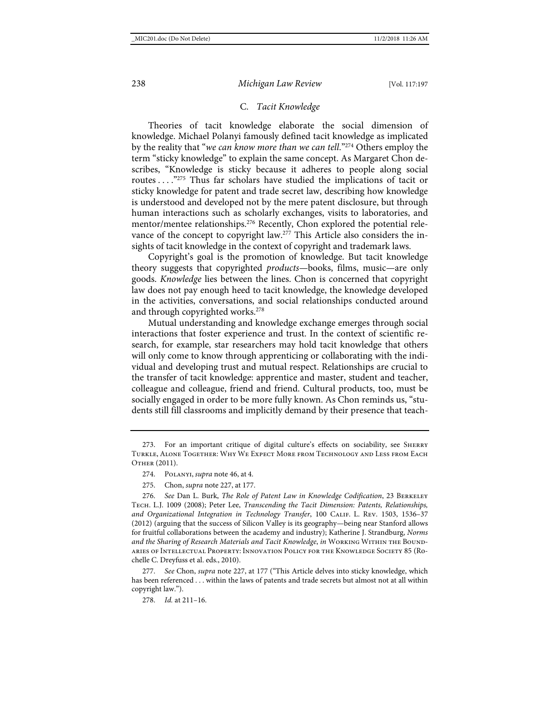#### C. *Tacit Knowledge*

Theories of tacit knowledge elaborate the social dimension of knowledge. Michael Polanyi famously defined tacit knowledge as implicated by the reality that "*we can know more than we can tell*."274 Others employ the term "sticky knowledge" to explain the same concept. As Margaret Chon describes, "Knowledge is sticky because it adheres to people along social routes . . . ."275 Thus far scholars have studied the implications of tacit or sticky knowledge for patent and trade secret law, describing how knowledge is understood and developed not by the mere patent disclosure, but through human interactions such as scholarly exchanges, visits to laboratories, and mentor/mentee relationships.<sup>276</sup> Recently, Chon explored the potential relevance of the concept to copyright law.<sup>277</sup> This Article also considers the insights of tacit knowledge in the context of copyright and trademark laws.

Copyright's goal is the promotion of knowledge. But tacit knowledge theory suggests that copyrighted *products*—books, films, music—are only goods. *Knowledge* lies between the lines. Chon is concerned that copyright law does not pay enough heed to tacit knowledge, the knowledge developed in the activities, conversations, and social relationships conducted around and through copyrighted works.<sup>278</sup>

Mutual understanding and knowledge exchange emerges through social interactions that foster experience and trust. In the context of scientific research, for example, star researchers may hold tacit knowledge that others will only come to know through apprenticing or collaborating with the individual and developing trust and mutual respect. Relationships are crucial to the transfer of tacit knowledge: apprentice and master, student and teacher, colleague and colleague, friend and friend. Cultural products, too, must be socially engaged in order to be more fully known. As Chon reminds us, "students still fill classrooms and implicitly demand by their presence that teach-

277. *See* Chon, *supra* not[e 227,](#page-35-0) at 177 ("This Article delves into sticky knowledge, which has been referenced . . . within the laws of patents and trade secrets but almost not at all within copyright law.").

278. *Id.* at 211–16.

<sup>273.</sup> For an important critique of digital culture's effects on sociability, see Sherry Turkle, Alone Together: Why We Expect More from Technology and Less from Each Other (2011).

<sup>274.</sup> Polanyi, *supra* not[e 46,](#page-10-1) at 4.

<sup>275.</sup> Chon, *supra* not[e 227,](#page-35-0) at 177.

<sup>276.</sup> *See* Dan L. Burk, *The Role of Patent Law in Knowledge Codification*, 23 Berkeley Tech. L.J. 1009 (2008); Peter Lee, *Transcending the Tacit Dimension: Patents, Relationships, and Organizational Integration in Technology Transfer*, 100 Calif. L. Rev. 1503, 1536–37 (2012) (arguing that the success of Silicon Valley is its geography—being near Stanford allows for fruitful collaborations between the academy and industry); Katherine J. Strandburg, *Norms and the Sharing of Research Materials and Tacit Knowledge*, *in* Working Within the Boundaries of Intellectual Property: Innovation Policy for the Knowledge Society 85 (Rochelle C. Dreyfuss et al. eds., 2010).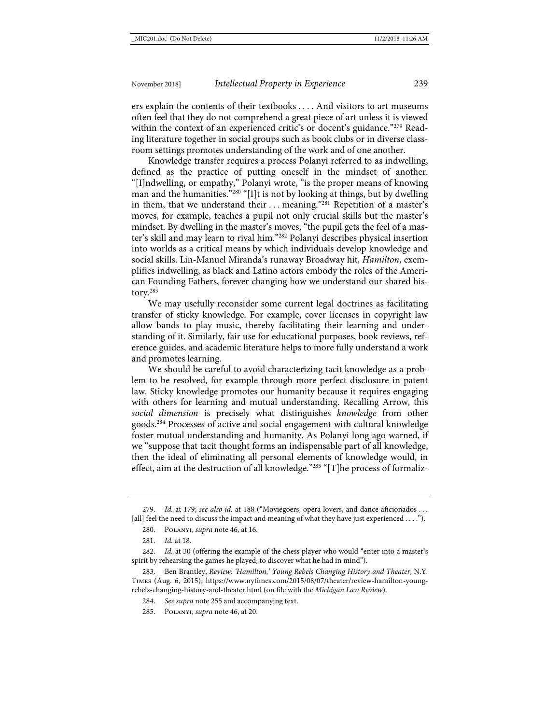ers explain the contents of their textbooks . . . . And visitors to art museums often feel that they do not comprehend a great piece of art unless it is viewed within the context of an experienced critic's or docent's guidance."<sup>279</sup> Reading literature together in social groups such as book clubs or in diverse classroom settings promotes understanding of the work and of one another.

Knowledge transfer requires a process Polanyi referred to as indwelling, defined as the practice of putting oneself in the mindset of another. "[I]ndwelling, or empathy," Polanyi wrote, "is the proper means of knowing man and the humanities."280 "[I]t is not by looking at things, but by dwelling in them, that we understand their ... meaning."<sup>281</sup> Repetition of a master's moves, for example, teaches a pupil not only crucial skills but the master's mindset. By dwelling in the master's moves, "the pupil gets the feel of a master's skill and may learn to rival him."282 Polanyi describes physical insertion into worlds as a critical means by which individuals develop knowledge and social skills. Lin-Manuel Miranda's runaway Broadway hit, *Hamilton*, exemplifies indwelling, as black and Latino actors embody the roles of the American Founding Fathers, forever changing how we understand our shared history.283

We may usefully reconsider some current legal doctrines as facilitating transfer of sticky knowledge. For example, cover licenses in copyright law allow bands to play music, thereby facilitating their learning and understanding of it. Similarly, fair use for educational purposes, book reviews, reference guides, and academic literature helps to more fully understand a work and promotes learning.

We should be careful to avoid characterizing tacit knowledge as a problem to be resolved, for example through more perfect disclosure in patent law. Sticky knowledge promotes our humanity because it requires engaging with others for learning and mutual understanding. Recalling Arrow, this *social dimension* is precisely what distinguishes *knowledge* from other goods.284 Processes of active and social engagement with cultural knowledge foster mutual understanding and humanity. As Polanyi long ago warned, if we "suppose that tacit thought forms an indispensable part of all knowledge, then the ideal of eliminating all personal elements of knowledge would, in effect, aim at the destruction of all knowledge."285 "[T]he process of formaliz-

<sup>279.</sup> *Id.* at 179; *see also id.* at 188 ("Moviegoers, opera lovers, and dance aficionados . . . [all] feel the need to discuss the impact and meaning of what they have just experienced . . . .").

<sup>280.</sup> Polanyi, *supra* not[e 46,](#page-10-1) at 16.

<sup>281.</sup> *Id.* at 18.

<sup>282.</sup> *Id.* at 30 (offering the example of the chess player who would "enter into a master's spirit by rehearsing the games he played, to discover what he had in mind").

<sup>283.</sup> Ben Brantley, *Review: 'Hamilton,' Young Rebels Changing History and Theater*, N.Y. Times (Aug. 6, 2015), [https://www.nytimes.com/2015/08/07/theater/review-hamilton-young](https://www.nytimes.com/2015/08/07/theater/review-hamilton-young-rebels-changing-history-and-theater.html)[rebels-changing-history-and-theater.html](https://www.nytimes.com/2015/08/07/theater/review-hamilton-young-rebels-changing-history-and-theater.html) (on file with the *Michigan Law Review*).

<sup>284.</sup> *See supra* not[e 255](#page-39-0) and accompanying text.

<sup>285.</sup> Polanyi, *supra* not[e 46,](#page-10-1) at 20.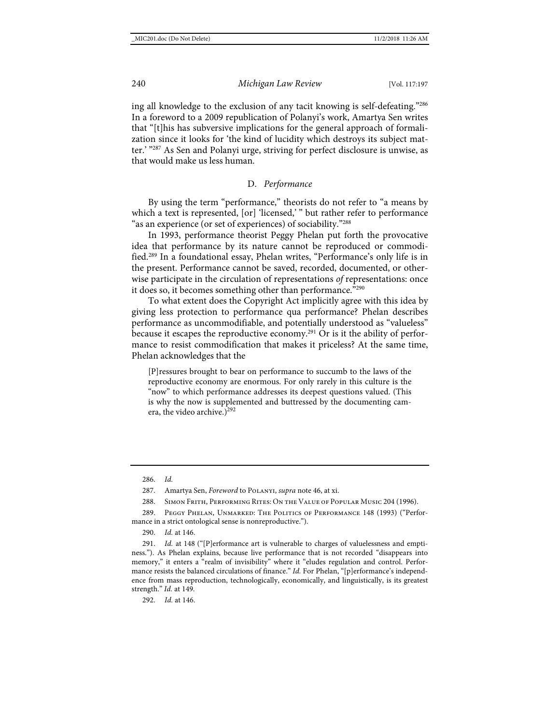ing all knowledge to the exclusion of any tacit knowing is self-defeating."286 In a foreword to a 2009 republication of Polanyi's work, Amartya Sen writes that "[t]his has subversive implications for the general approach of formalization since it looks for 'the kind of lucidity which destroys its subject matter.' "287 As Sen and Polanyi urge, striving for perfect disclosure is unwise, as that would make us less human.

#### D. *Performance*

By using the term "performance," theorists do not refer to "a means by which a text is represented, [or] 'licensed,' " but rather refer to performance "as an experience (or set of experiences) of sociability."<sup>288</sup>

In 1993, performance theorist Peggy Phelan put forth the provocative idea that performance by its nature cannot be reproduced or commodified.289 In a foundational essay, Phelan writes, "Performance's only life is in the present. Performance cannot be saved, recorded, documented, or otherwise participate in the circulation of representations *of* representations: once it does so, it becomes something other than performance."290

To what extent does the Copyright Act implicitly agree with this idea by giving less protection to performance qua performance? Phelan describes performance as uncommodifiable, and potentially understood as "valueless" because it escapes the reproductive economy.<sup>291</sup> Or is it the ability of performance to resist commodification that makes it priceless? At the same time, Phelan acknowledges that the

[P]ressures brought to bear on performance to succumb to the laws of the reproductive economy are enormous. For only rarely in this culture is the "now" to which performance addresses its deepest questions valued. (This is why the now is supplemented and buttressed by the documenting camera, the video archive.)<sup>292</sup>

290. *Id.* at 146.

291. *Id.* at 148 ("[P]erformance art is vulnerable to charges of valuelessness and emptiness."). As Phelan explains, because live performance that is not recorded "disappears into memory," it enters a "realm of invisibility" where it "eludes regulation and control. Performance resists the balanced circulations of finance." *Id.* For Phelan, "[p]erformance's independence from mass reproduction, technologically, economically, and linguistically, is its greatest strength." *Id.* at 149.

292. *Id.* at 146.

<sup>286.</sup> *Id.*

<sup>287.</sup> Amartya Sen, *Foreword* to Polanyi, *supra* not[e 46,](#page-10-1) at xi.

<sup>288.</sup> Simon Frith, Performing Rites: On the Value of Popular Music 204 (1996).

<sup>289.</sup> Peggy Phelan, Unmarked: The Politics of Performance 148 (1993) ("Performance in a strict ontological sense is nonreproductive.").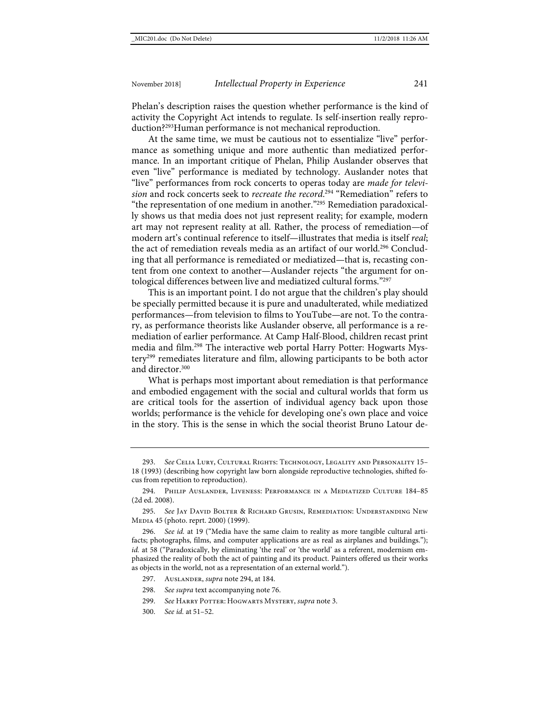Phelan's description raises the question whether performance is the kind of activity the Copyright Act intends to regulate. Is self-insertion really reproduction?293Human performance is not mechanical reproduction.

<span id="page-45-1"></span><span id="page-45-0"></span>At the same time, we must be cautious not to essentialize "live" performance as something unique and more authentic than mediatized performance. In an important critique of Phelan, Philip Auslander observes that even "live" performance is mediated by technology. Auslander notes that "live" performances from rock concerts to operas today are *made for television* and rock concerts seek to *recreate the record*. <sup>294</sup> "Remediation" refers to "the representation of one medium in another."295 Remediation paradoxically shows us that media does not just represent reality; for example, modern art may not represent reality at all. Rather, the process of remediation—of modern art's continual reference to itself—illustrates that media is itself *real*; the act of remediation reveals media as an artifact of our world.296 Concluding that all performance is remediated or mediatized—that is, recasting content from one context to another—Auslander rejects "the argument for ontological differences between live and mediatized cultural forms."297

This is an important point. I do not argue that the children's play should be specially permitted because it is pure and unadulterated, while mediatized performances—from television to films to YouTube—are not. To the contrary, as performance theorists like Auslander observe, all performance is a remediation of earlier performance. At Camp Half-Blood, children recast print media and film.298 The interactive web portal Harry Potter: Hogwarts Mystery299 remediates literature and film, allowing participants to be both actor and director.<sup>300</sup>

What is perhaps most important about remediation is that performance and embodied engagement with the social and cultural worlds that form us are critical tools for the assertion of individual agency back upon those worlds; performance is the vehicle for developing one's own place and voice in the story. This is the sense in which the social theorist Bruno Latour de-

<sup>293.</sup> *See* Celia Lury, Cultural Rights: Technology, Legality and Personality 15– 18 (1993) (describing how copyright law born alongside reproductive technologies, shifted focus from repetition to reproduction).

<sup>294.</sup> Philip Auslander, Liveness: Performance in a Mediatized Culture 184–85 (2d ed. 2008).

<sup>295.</sup> *See* Jay David Bolter & Richard Grusin, Remediation: Understanding New Media 45 (photo. reprt. 2000) (1999).

<sup>296.</sup> *See id.* at 19 ("Media have the same claim to reality as more tangible cultural artifacts; photographs, films, and computer applications are as real as airplanes and buildings."); *id.* at 58 ("Paradoxically, by eliminating 'the real' or 'the world' as a referent, modernism emphasized the reality of both the act of painting and its product. Painters offered us their works as objects in the world, not as a representation of an external world.").

<sup>297.</sup> Auslander, *supra* not[e 294,](#page-45-0) at 184.

<sup>298.</sup> *See supra* text accompanying not[e 76.](#page-14-2)

<sup>299.</sup> *See* Harry Potter: Hogwarts Mystery, *supra* not[e 3.](#page-3-0)

<sup>300.</sup> *See id.* at 51–52.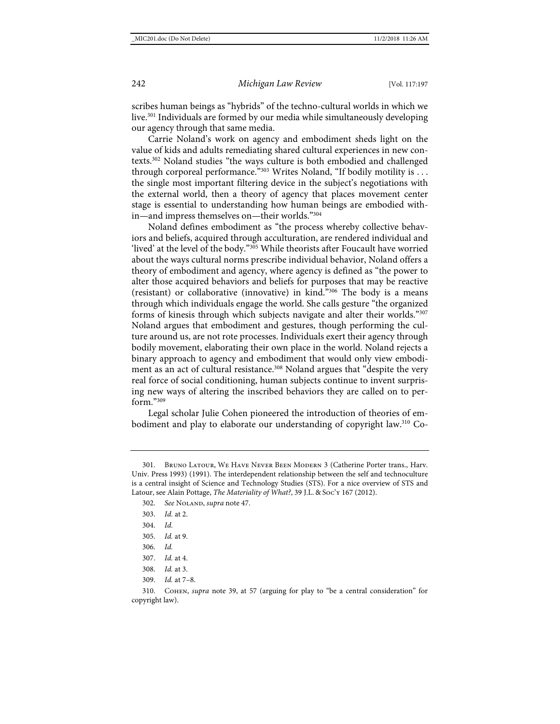scribes human beings as "hybrids" of the techno-cultural worlds in which we live.<sup>301</sup> Individuals are formed by our media while simultaneously developing our agency through that same media.

Carrie Noland's work on agency and embodiment sheds light on the value of kids and adults remediating shared cultural experiences in new contexts.302 Noland studies "the ways culture is both embodied and challenged through corporeal performance."<sup>303</sup> Writes Noland, "If bodily motility is . . . the single most important filtering device in the subject's negotiations with the external world, then a theory of agency that places movement center stage is essential to understanding how human beings are embodied within—and impress themselves on—their worlds."304

Noland defines embodiment as "the process whereby collective behaviors and beliefs, acquired through acculturation, are rendered individual and 'lived' at the level of the body."<sup>305</sup> While theorists after Foucault have worried about the ways cultural norms prescribe individual behavior, Noland offers a theory of embodiment and agency, where agency is defined as "the power to alter those acquired behaviors and beliefs for purposes that may be reactive (resistant) or collaborative (innovative) in kind."306 The body is a means through which individuals engage the world. She calls gesture "the organized forms of kinesis through which subjects navigate and alter their worlds."307 Noland argues that embodiment and gestures, though performing the culture around us, are not rote processes. Individuals exert their agency through bodily movement, elaborating their own place in the world. Noland rejects a binary approach to agency and embodiment that would only view embodiment as an act of cultural resistance.<sup>308</sup> Noland argues that "despite the very real force of social conditioning, human subjects continue to invent surprising new ways of altering the inscribed behaviors they are called on to perform."309

Legal scholar Julie Cohen pioneered the introduction of theories of embodiment and play to elaborate our understanding of copyright law.310 Co-

306. *Id.*

- 308. *Id.* at 3.
- 309. *Id.* at 7–8.

310. Cohen, *supra* note [39,](#page-8-0) at 57 (arguing for play to "be a central consideration" for copyright law).

<sup>301.</sup> Bruno Latour, We Have Never Been Modern 3 (Catherine Porter trans., Harv. Univ. Press 1993) (1991). The interdependent relationship between the self and technoculture is a central insight of Science and Technology Studies (STS). For a nice overview of STS and Latour, see Alain Pottage, *The Materiality of What?*, 39 J.L. & Soc'y 167 (2012).

<sup>302.</sup> See NoLAND, *supra* note [47.](#page-10-2)

<sup>303.</sup> *Id.* at 2.

<sup>304.</sup> *Id.*

<sup>305.</sup> *Id.* at 9.

<sup>307.</sup> *Id.* at 4.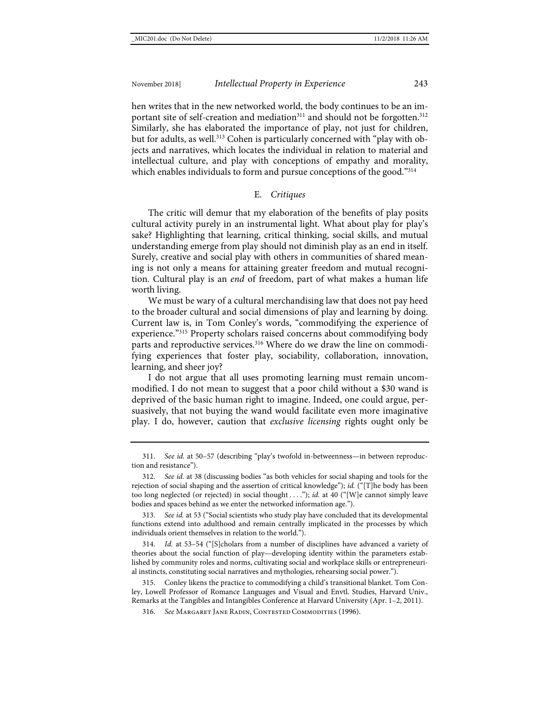hen writes that in the new networked world, the body continues to be an important site of self-creation and mediation<sup>311</sup> and should not be forgotten.<sup>312</sup> Similarly, she has elaborated the importance of play, not just for children, but for adults, as well.<sup>313</sup> Cohen is particularly concerned with "play with objects and narratives, which locates the individual in relation to material and intellectual culture, and play with conceptions of empathy and morality, which enables individuals to form and pursue conceptions of the good."<sup>314</sup>

#### E. *Critiques*

The critic will demur that my elaboration of the benefits of play posits cultural activity purely in an instrumental light. What about play for play's sake? Highlighting that learning, critical thinking, social skills, and mutual understanding emerge from play should not diminish play as an end in itself. Surely, creative and social play with others in communities of shared meaning is not only a means for attaining greater freedom and mutual recognition. Cultural play is an *end* of freedom, part of what makes a human life worth living.

We must be wary of a cultural merchandising law that does not pay heed to the broader cultural and social dimensions of play and learning by doing. Current law is, in Tom Conley's words, "commodifying the experience of experience."315 Property scholars raised concerns about commodifying body parts and reproductive services.<sup>316</sup> Where do we draw the line on commodifying experiences that foster play, sociability, collaboration, innovation, learning, and sheer joy?

I do not argue that all uses promoting learning must remain uncommodified. I do not mean to suggest that a poor child without a \$30 wand is deprived of the basic human right to imagine. Indeed, one could argue, persuasively, that not buying the wand would facilitate even more imaginative play. I do, however, caution that *exclusive licensing* rights ought only be

311. *See id.* at 50–57 (describing "play's twofold in-betweenness—in between reproduction and resistance").

313. *See id.* at 53 ("Social scientists who study play have concluded that its developmental functions extend into adulthood and remain centrally implicated in the processes by which individuals orient themselves in relation to the world.").

314. *Id.* at 53–54 ("[S]cholars from a number of disciplines have advanced a variety of theories about the social function of play—developing identity within the parameters established by community roles and norms, cultivating social and workplace skills or entrepreneurial instincts, constituting social narratives and mythologies, rehearsing social power.").

315. Conley likens the practice to commodifying a child's transitional blanket. Tom Conley, Lowell Professor of Romance Languages and Visual and Envtl. Studies, Harvard Univ., Remarks at the Tangibles and Intangibles Conference at Harvard University (Apr. 1–2, 2011).

316. *See* Margaret Jane Radin, Contested Commodities (1996).

<sup>312.</sup> *See id.* at 38 (discussing bodies "as both vehicles for social shaping and tools for the rejection of social shaping and the assertion of critical knowledge"); *id.* ("[T]he body has been too long neglected (or rejected) in social thought . . . ."); *id.* at 40 ("[W]e cannot simply leave bodies and spaces behind as we enter the networked information age.").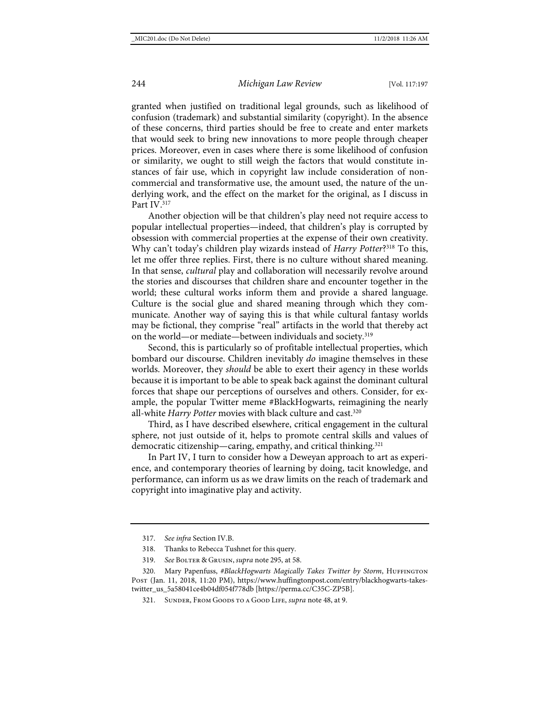granted when justified on traditional legal grounds, such as likelihood of confusion (trademark) and substantial similarity (copyright). In the absence of these concerns, third parties should be free to create and enter markets that would seek to bring new innovations to more people through cheaper prices. Moreover, even in cases where there is some likelihood of confusion or similarity, we ought to still weigh the factors that would constitute instances of fair use, which in copyright law include consideration of noncommercial and transformative use, the amount used, the nature of the underlying work, and the effect on the market for the original, as I discuss in Part IV.<sup>317</sup>

<span id="page-48-1"></span><span id="page-48-0"></span>Another objection will be that children's play need not require access to popular intellectual properties—indeed, that children's play is corrupted by obsession with commercial properties at the expense of their own creativity. Why can't today's children play wizards instead of *Harry Potter*?<sup>318</sup> To this, let me offer three replies. First, there is no culture without shared meaning. In that sense, *cultural* play and collaboration will necessarily revolve around the stories and discourses that children share and encounter together in the world; these cultural works inform them and provide a shared language. Culture is the social glue and shared meaning through which they communicate. Another way of saying this is that while cultural fantasy worlds may be fictional, they comprise "real" artifacts in the world that thereby act on the world—or mediate—between individuals and society.319

Second, this is particularly so of profitable intellectual properties, which bombard our discourse. Children inevitably *do* imagine themselves in these worlds. Moreover, they *should* be able to exert their agency in these worlds because it is important to be able to speak back against the dominant cultural forces that shape our perceptions of ourselves and others. Consider, for example, the popular Twitter meme #BlackHogwarts, reimagining the nearly all-white *Harry Potter* movies with black culture and cast.<sup>320</sup>

Third, as I have described elsewhere, critical engagement in the cultural sphere, not just outside of it, helps to promote central skills and values of democratic citizenship—caring, empathy, and critical thinking.<sup>321</sup>

In Part IV, I turn to consider how a Deweyan approach to art as experience, and contemporary theories of learning by doing, tacit knowledge, and performance, can inform us as we draw limits on the reach of trademark and copyright into imaginative play and activity.

<sup>317.</sup> *See infra* Section IV.B.

<sup>318.</sup> Thanks to Rebecca Tushnet for this query.

<sup>319.</sup> *See* Bolter & Grusin, *supra* note [295,](#page-45-1) at 58.

<sup>320.</sup> Mary Papenfuss, #BlackHogwarts Magically Takes Twitter by Storm, HUFFINGTON Post (Jan. 11, 2018, 11:20 PM), [https://www.huffingtonpost.com/entry/blackhogwarts-takes](https://www.huffingtonpost.com/entry/blackhogwarts-takes-twitter_us_5a58041ce4b04df054f778db)[twitter\\_us\\_5a58041ce4b04df054f778db](https://www.huffingtonpost.com/entry/blackhogwarts-takes-twitter_us_5a58041ce4b04df054f778db) [\[https://perma.cc/C35C-ZP5B\]](https://perma.cc/C35C-ZP5B).

<sup>321.</sup> Sunder, From Goods to a Good Life, *supra* not[e 48,](#page-10-0) at 9.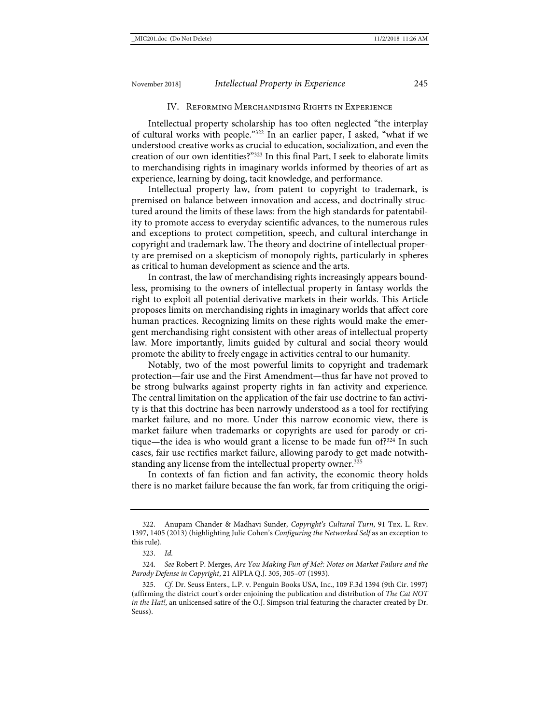#### IV. Reforming Merchandising Rights in Experience

Intellectual property scholarship has too often neglected "the interplay of cultural works with people."322 In an earlier paper, I asked, "what if we understood creative works as crucial to education, socialization, and even the creation of our own identities?"323 In this final Part, I seek to elaborate limits to merchandising rights in imaginary worlds informed by theories of art as experience, learning by doing, tacit knowledge, and performance.

Intellectual property law, from patent to copyright to trademark, is premised on balance between innovation and access, and doctrinally structured around the limits of these laws: from the high standards for patentability to promote access to everyday scientific advances, to the numerous rules and exceptions to protect competition, speech, and cultural interchange in copyright and trademark law. The theory and doctrine of intellectual property are premised on a skepticism of monopoly rights, particularly in spheres as critical to human development as science and the arts.

In contrast, the law of merchandising rights increasingly appears boundless, promising to the owners of intellectual property in fantasy worlds the right to exploit all potential derivative markets in their worlds. This Article proposes limits on merchandising rights in imaginary worlds that affect core human practices. Recognizing limits on these rights would make the emergent merchandising right consistent with other areas of intellectual property law. More importantly, limits guided by cultural and social theory would promote the ability to freely engage in activities central to our humanity.

Notably, two of the most powerful limits to copyright and trademark protection—fair use and the First Amendment—thus far have not proved to be strong bulwarks against property rights in fan activity and experience. The central limitation on the application of the fair use doctrine to fan activity is that this doctrine has been narrowly understood as a tool for rectifying market failure, and no more. Under this narrow economic view, there is market failure when trademarks or copyrights are used for parody or critique—the idea is who would grant a license to be made fun of?324 In such cases, fair use rectifies market failure, allowing parody to get made notwithstanding any license from the intellectual property owner.<sup>325</sup>

In contexts of fan fiction and fan activity, the economic theory holds there is no market failure because the fan work, far from critiquing the origi-

<sup>322.</sup> Anupam Chander & Madhavi Sunder, *Copyright's Cultural Turn*, 91 Tex. L. Rev. 1397, 1405 (2013) (highlighting Julie Cohen's *Configuring the Networked Self* as an exception to this rule).

<sup>323.</sup> *Id.*

<sup>324.</sup> *See* Robert P. Merges, *Are You Making Fun of Me?: Notes on Market Failure and the Parody Defense in Copyright*, 21 AIPLA Q.J. 305, 305–07 (1993).

<sup>325.</sup> *Cf.* Dr. Seuss Enters., L.P. v. Penguin Books USA, Inc., 109 F.3d 1394 (9th Cir. 1997) (affirming the district court's order enjoining the publication and distribution of *The Cat NOT in the Hat!*, an unlicensed satire of the O.J. Simpson trial featuring the character created by Dr. Seuss).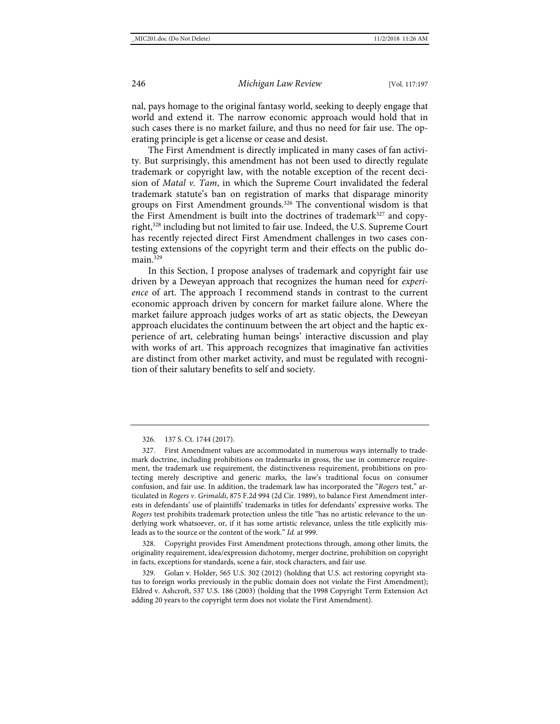nal, pays homage to the original fantasy world, seeking to deeply engage that world and extend it. The narrow economic approach would hold that in such cases there is no market failure, and thus no need for fair use. The operating principle is get a license or cease and desist.

The First Amendment is directly implicated in many cases of fan activity. But surprisingly, this amendment has not been used to directly regulate trademark or copyright law, with the notable exception of the recent decision of *Matal v. Tam*, in which the Supreme Court invalidated the federal trademark statute's ban on registration of marks that disparage minority groups on First Amendment grounds.<sup>326</sup> The conventional wisdom is that the First Amendment is built into the doctrines of trademark<sup>327</sup> and copyright,328 including but not limited to fair use. Indeed, the U.S. Supreme Court has recently rejected direct First Amendment challenges in two cases contesting extensions of the copyright term and their effects on the public domain $329$ 

In this Section, I propose analyses of trademark and copyright fair use driven by a Deweyan approach that recognizes the human need for *experience* of art. The approach I recommend stands in contrast to the current economic approach driven by concern for market failure alone. Where the market failure approach judges works of art as static objects, the Deweyan approach elucidates the continuum between the art object and the haptic experience of art, celebrating human beings' interactive discussion and play with works of art. This approach recognizes that imaginative fan activities are distinct from other market activity, and must be regulated with recognition of their salutary benefits to self and society.

328. Copyright provides First Amendment protections through, among other limits, the originality requirement, idea/expression dichotomy, merger doctrine, prohibition on copyright in facts, exceptions for standards, scene a fair, stock characters, and fair use.

329. Golan v. Holder, 565 U.S. 302 (2012) (holding that U.S. act restoring copyright status to foreign works previously in the public domain does not violate the First Amendment); Eldred v. Ashcroft, 537 U.S. 186 (2003) (holding that the 1998 Copyright Term Extension Act adding 20 years to the copyright term does not violate the First Amendment).

<sup>326.</sup> 137 S. Ct. 1744 (2017).

<sup>327.</sup> First Amendment values are accommodated in numerous ways internally to trademark doctrine, including prohibitions on trademarks in gross, the use in commerce requirement, the trademark use requirement, the distinctiveness requirement, prohibitions on protecting merely descriptive and generic marks, the law's traditional focus on consumer confusion, and fair use. In addition, the trademark law has incorporated the "*Rogers* test," articulated in *Rogers v. Grimaldi*, 875 F.2d 994 (2d Cir. 1989), to balance First Amendment interests in defendants' use of plaintiffs' trademarks in titles for defendants' expressive works. The *Rogers* test prohibits trademark protection unless the title "has no artistic relevance to the underlying work whatsoever, or, if it has some artistic relevance, unless the title explicitly misleads as to the source or the content of the work." *Id.* at 999.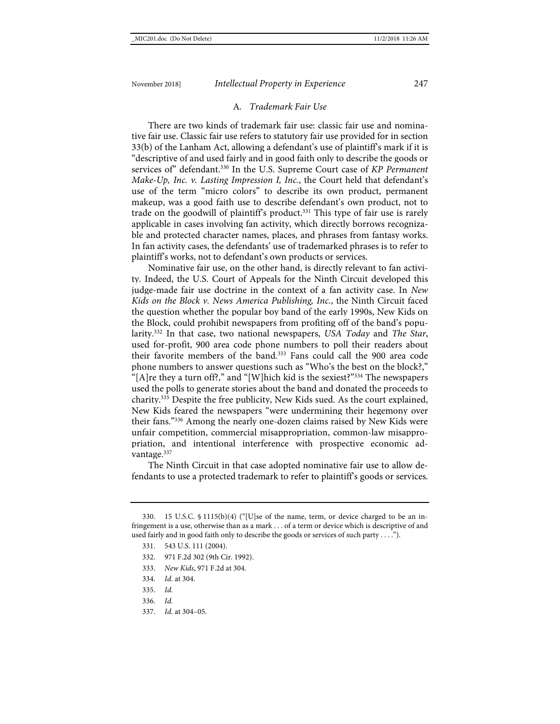#### A*. Trademark Fair Use*

There are two kinds of trademark fair use: classic fair use and nominative fair use. Classic fair use refers to statutory fair use provided for in section 33(b) of the Lanham Act, allowing a defendant's use of plaintiff's mark if it is "descriptive of and used fairly and in good faith only to describe the goods or services of" defendant.330 In the U.S. Supreme Court case of *KP Permanent Make-Up, Inc. v. Lasting Impression I, Inc.*, the Court held that defendant's use of the term "micro colors" to describe its own product, permanent makeup, was a good faith use to describe defendant's own product, not to trade on the goodwill of plaintiff's product.<sup>331</sup> This type of fair use is rarely applicable in cases involving fan activity, which directly borrows recognizable and protected character names, places, and phrases from fantasy works. In fan activity cases, the defendants' use of trademarked phrases is to refer to plaintiff's works, not to defendant's own products or services.

<span id="page-51-0"></span>Nominative fair use, on the other hand, is directly relevant to fan activity. Indeed, the U.S. Court of Appeals for the Ninth Circuit developed this judge-made fair use doctrine in the context of a fan activity case. In *New Kids on the Block v. News America Publishing, Inc.*, the Ninth Circuit faced the question whether the popular boy band of the early 1990s, New Kids on the Block, could prohibit newspapers from profiting off of the band's popularity.332 In that case, two national newspapers, *USA Today* and *The Star*, used for-profit, 900 area code phone numbers to poll their readers about their favorite members of the band.333 Fans could call the 900 area code phone numbers to answer questions such as "Who's the best on the block?," "[A]re they a turn off?," and "[W]hich kid is the sexiest?"334 The newspapers used the polls to generate stories about the band and donated the proceeds to charity.335 Despite the free publicity, New Kids sued. As the court explained, New Kids feared the newspapers "were undermining their hegemony over their fans."336 Among the nearly one-dozen claims raised by New Kids were unfair competition, commercial misappropriation, common-law misappropriation, and intentional interference with prospective economic advantage.<sup>337</sup>

<span id="page-51-1"></span>The Ninth Circuit in that case adopted nominative fair use to allow defendants to use a protected trademark to refer to plaintiff's goods or services.

- 332. 971 F.2d 302 (9th Cir. 1992).
- 333. *New Kids*, 971 F.2d at 304.
- 334. *Id.* at 304.
- 335. *Id.*
- 336. *Id.*
- 337. *Id.* at 304–05.

<sup>330.</sup> 15 U.S.C. § 1115(b)(4) ("[U]se of the name, term, or device charged to be an infringement is a use, otherwise than as a mark . . . of a term or device which is descriptive of and used fairly and in good faith only to describe the goods or services of such party . . .<sup>"</sup>").

<sup>331.</sup> 543 U.S. 111 (2004).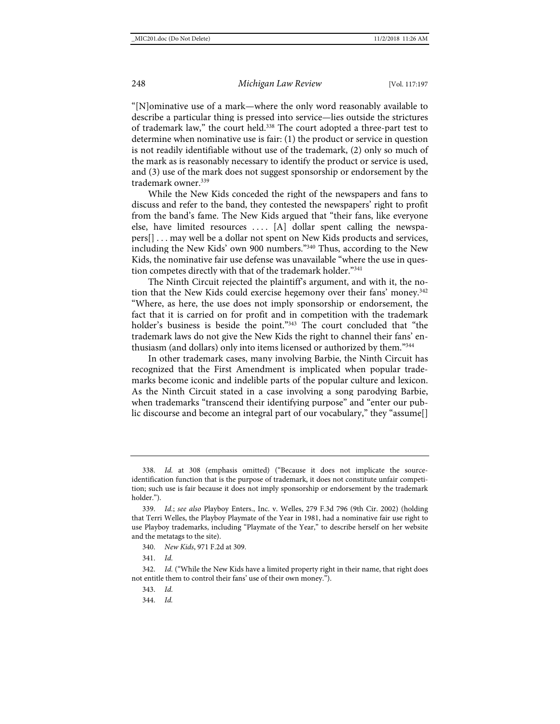"[N]ominative use of a mark—where the only word reasonably available to describe a particular thing is pressed into service—lies outside the strictures of trademark law," the court held.<sup>338</sup> The court adopted a three-part test to determine when nominative use is fair: (1) the product or service in question is not readily identifiable without use of the trademark, (2) only so much of the mark as is reasonably necessary to identify the product or service is used, and (3) use of the mark does not suggest sponsorship or endorsement by the trademark owner.<sup>339</sup>

While the New Kids conceded the right of the newspapers and fans to discuss and refer to the band, they contested the newspapers' right to profit from the band's fame. The New Kids argued that "their fans, like everyone else, have limited resources  $\dots$ . [A] dollar spent calling the newspapers[] . . . may well be a dollar not spent on New Kids products and services, including the New Kids' own 900 numbers."340 Thus, according to the New Kids, the nominative fair use defense was unavailable "where the use in question competes directly with that of the trademark holder."341

The Ninth Circuit rejected the plaintiff's argument, and with it, the notion that the New Kids could exercise hegemony over their fans' money.<sup>342</sup> "Where, as here, the use does not imply sponsorship or endorsement, the fact that it is carried on for profit and in competition with the trademark holder's business is beside the point."<sup>343</sup> The court concluded that "the trademark laws do not give the New Kids the right to channel their fans' enthusiasm (and dollars) only into items licensed or authorized by them."344

In other trademark cases, many involving Barbie, the Ninth Circuit has recognized that the First Amendment is implicated when popular trademarks become iconic and indelible parts of the popular culture and lexicon. As the Ninth Circuit stated in a case involving a song parodying Barbie, when trademarks "transcend their identifying purpose" and "enter our public discourse and become an integral part of our vocabulary," they "assume[]

341. *Id.*

<sup>338.</sup> *Id.* at 308 (emphasis omitted) ("Because it does not implicate the sourceidentification function that is the purpose of trademark, it does not constitute unfair competition; such use is fair because it does not imply sponsorship or endorsement by the trademark holder.").

<sup>339.</sup> *Id.*; *see also* Playboy Enters., Inc. v. Welles, 279 F.3d 796 (9th Cir. 2002) (holding that Terri Welles, the Playboy Playmate of the Year in 1981, had a nominative fair use right to use Playboy trademarks, including "Playmate of the Year," to describe herself on her website and the metatags to the site).

<sup>340.</sup> *New Kids*, 971 F.2d at 309.

<sup>342.</sup> *Id.* ("While the New Kids have a limited property right in their name, that right does not entitle them to control their fans' use of their own money.").

<sup>343.</sup> *Id.*

<sup>344.</sup> *Id.*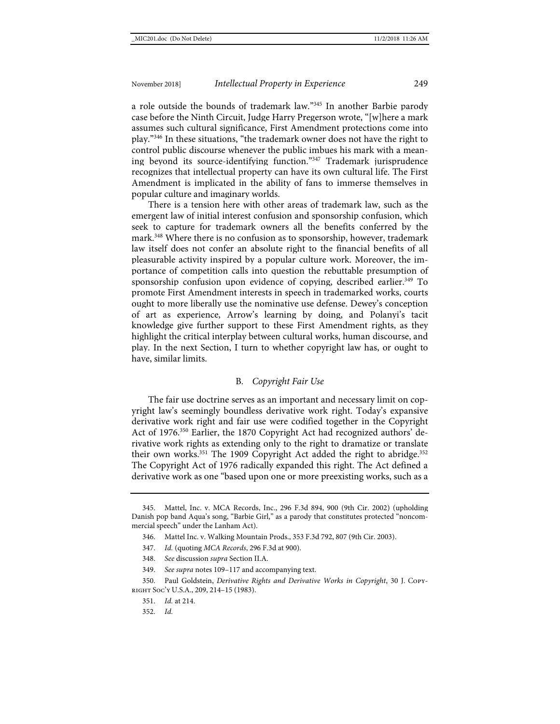a role outside the bounds of trademark law."345 In another Barbie parody case before the Ninth Circuit, Judge Harry Pregerson wrote, "[w]here a mark assumes such cultural significance, First Amendment protections come into play."346 In these situations, "the trademark owner does not have the right to control public discourse whenever the public imbues his mark with a meaning beyond its source-identifying function."347 Trademark jurisprudence recognizes that intellectual property can have its own cultural life. The First Amendment is implicated in the ability of fans to immerse themselves in popular culture and imaginary worlds.

There is a tension here with other areas of trademark law, such as the emergent law of initial interest confusion and sponsorship confusion, which seek to capture for trademark owners all the benefits conferred by the mark.348 Where there is no confusion as to sponsorship, however, trademark law itself does not confer an absolute right to the financial benefits of all pleasurable activity inspired by a popular culture work. Moreover, the importance of competition calls into question the rebuttable presumption of sponsorship confusion upon evidence of copying, described earlier.<sup>349</sup> To promote First Amendment interests in speech in trademarked works, courts ought to more liberally use the nominative use defense. Dewey's conception of art as experience, Arrow's learning by doing, and Polanyi's tacit knowledge give further support to these First Amendment rights, as they highlight the critical interplay between cultural works, human discourse, and play. In the next Section, I turn to whether copyright law has, or ought to have, similar limits.

### B*. Copyright Fair Use*

<span id="page-53-0"></span>The fair use doctrine serves as an important and necessary limit on copyright law's seemingly boundless derivative work right. Today's expansive derivative work right and fair use were codified together in the Copyright Act of 1976.350 Earlier, the 1870 Copyright Act had recognized authors' derivative work rights as extending only to the right to dramatize or translate their own works.<sup>351</sup> The 1909 Copyright Act added the right to abridge.<sup>352</sup> The Copyright Act of 1976 radically expanded this right. The Act defined a derivative work as one "based upon one or more preexisting works, such as a

- 347. *Id.* (quoting *MCA Records*, 296 F.3d at 900).
- 348. *See* discussion *supra* Section II.A.
- 349. *See supra* note[s 109](#page-20-0)[–117](#page-21-0) and accompanying text.
- 350. Paul Goldstein, *Derivative Rights and Derivative Works in Copyright*, 30 J. Copyright Soc'y U.S.A., 209, 214–15 (1983).
	- 351. *Id.* at 214.
	- 352. *Id.*

<sup>345.</sup> Mattel, Inc. v. MCA Records, Inc., 296 F.3d 894, 900 (9th Cir. 2002) (upholding Danish pop band Aqua's song, "Barbie Girl," as a parody that constitutes protected "noncommercial speech" under the Lanham Act).

<sup>346.</sup> Mattel Inc. v. Walking Mountain Prods., 353 F.3d 792, 807 (9th Cir. 2003).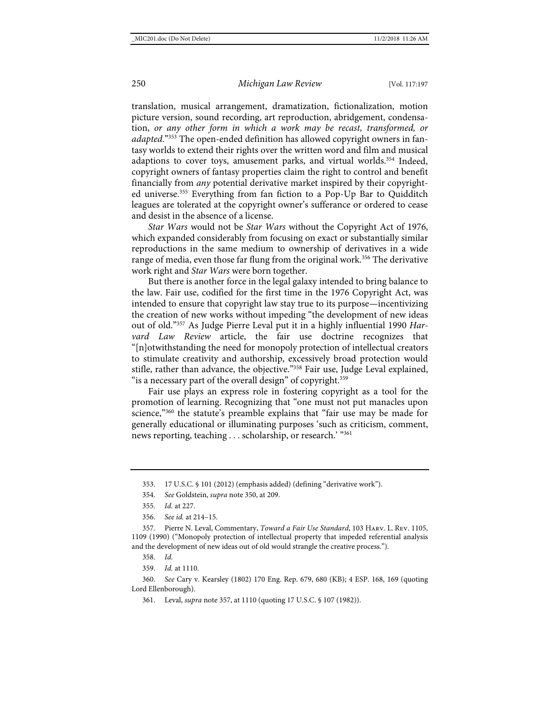translation, musical arrangement, dramatization, fictionalization, motion picture version, sound recording, art reproduction, abridgement, condensation, *or any other form in which a work may be recast, transformed, or adapted*."353 The open-ended definition has allowed copyright owners in fantasy worlds to extend their rights over the written word and film and musical adaptions to cover toys, amusement parks, and virtual worlds.<sup>354</sup> Indeed, copyright owners of fantasy properties claim the right to control and benefit financially from *any* potential derivative market inspired by their copyrighted universe.355 Everything from fan fiction to a Pop-Up Bar to Quidditch leagues are tolerated at the copyright owner's sufferance or ordered to cease and desist in the absence of a license.

*Star Wars* would not be *Star Wars* without the Copyright Act of 1976, which expanded considerably from focusing on exact or substantially similar reproductions in the same medium to ownership of derivatives in a wide range of media, even those far flung from the original work.<sup>356</sup> The derivative work right and *Star Wars* were born together.

<span id="page-54-0"></span>But there is another force in the legal galaxy intended to bring balance to the law. Fair use, codified for the first time in the 1976 Copyright Act, was intended to ensure that copyright law stay true to its purpose—incentivizing the creation of new works without impeding "the development of new ideas out of old."357 As Judge Pierre Leval put it in a highly influential 1990 *Harvard Law Review* article, the fair use doctrine recognizes that "[n]otwithstanding the need for monopoly protection of intellectual creators to stimulate creativity and authorship, excessively broad protection would stifle, rather than advance, the objective."358 Fair use, Judge Leval explained, "is a necessary part of the overall design" of copyright.<sup>359</sup>

Fair use plays an express role in fostering copyright as a tool for the promotion of learning. Recognizing that "one must not put manacles upon science,"<sup>360</sup> the statute's preamble explains that "fair use may be made for generally educational or illuminating purposes 'such as criticism, comment, news reporting, teaching . . . scholarship, or research.' "361

356. *See id.* at 214–15.

357. Pierre N. Leval, Commentary, *Toward a Fair Use Standard*, 103 Harv. L. Rev. 1105, 1109 (1990) ("Monopoly protection of intellectual property that impeded referential analysis and the development of new ideas out of old would strangle the creative process.").

358. *Id.*

359. *Id.* at 1110.

360. *See* Cary v. Kearsley (1802) 170 Eng. Rep. 679, 680 (KB); 4 ESP. 168, 169 (quoting Lord Ellenborough).

361. Leval, *supra* not[e 357,](#page-54-0) at 1110 (quoting 17 U.S.C. § 107 (1982)).

<sup>353.</sup> 17 U.S.C. § 101 (2012) (emphasis added) (defining "derivative work").

<sup>354.</sup> *See* Goldstein, *supra* not[e 350,](#page-53-0) at 209.

<sup>355.</sup> *Id.* at 227.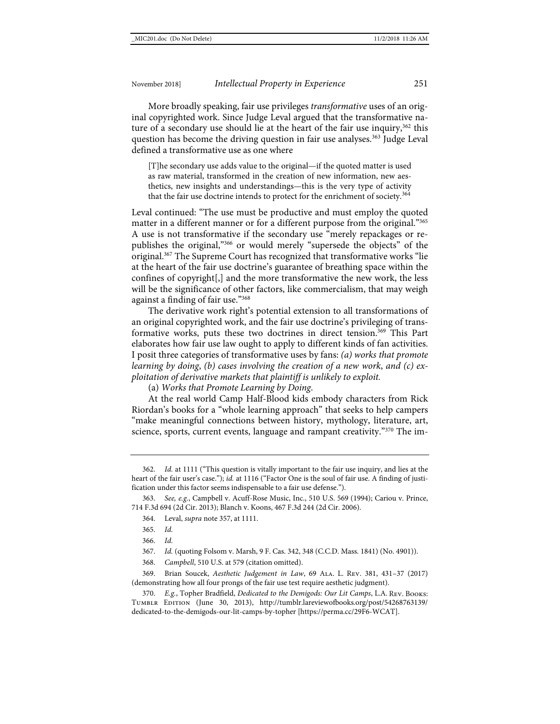More broadly speaking, fair use privileges *transformative* uses of an original copyrighted work. Since Judge Leval argued that the transformative nature of a secondary use should lie at the heart of the fair use inquiry,  $362$  this question has become the driving question in fair use analyses.<sup>363</sup> Judge Leval defined a transformative use as one where

[T]he secondary use adds value to the original—if the quoted matter is used as raw material, transformed in the creation of new information, new aesthetics, new insights and understandings—this is the very type of activity that the fair use doctrine intends to protect for the enrichment of society.<sup>364</sup>

Leval continued: "The use must be productive and must employ the quoted matter in a different manner or for a different purpose from the original."365 A use is not transformative if the secondary use "merely repackages or republishes the original,"366 or would merely "supersede the objects" of the original.<sup>367</sup> The Supreme Court has recognized that transformative works "lie at the heart of the fair use doctrine's guarantee of breathing space within the confines of copyright[,] and the more transformative the new work, the less will be the significance of other factors, like commercialism, that may weigh against a finding of fair use."368

The derivative work right's potential extension to all transformations of an original copyrighted work, and the fair use doctrine's privileging of transformative works, puts these two doctrines in direct tension.<sup>369</sup> This Part elaborates how fair use law ought to apply to different kinds of fan activities. I posit three categories of transformative uses by fans: *(a) works that promote learning by doing*, *(b) cases involving the creation of a new work*, *and (c) exploitation of derivative markets that plaintiff is unlikely to exploit.* 

<span id="page-55-0"></span>(a) *Works that Promote Learning by Doing*.

At the real world Camp Half-Blood kids embody characters from Rick Riordan's books for a "whole learning approach" that seeks to help campers "make meaningful connections between history, mythology, literature, art, science, sports, current events, language and rampant creativity."370 The im-

366. *Id.*

367. *Id.* (quoting Folsom v. Marsh, 9 F. Cas. 342, 348 (C.C.D. Mass. 1841) (No. 4901)).

368. *Campbell*, 510 U.S. at 579 (citation omitted).

369. Brian Soucek, *Aesthetic Judgement in Law*, 69 Ala. L. Rev. 381, 431–37 (2017) (demonstrating how all four prongs of the fair use test require aesthetic judgment).

<sup>362.</sup> *Id.* at 1111 ("This question is vitally important to the fair use inquiry, and lies at the heart of the fair user's case."); *id.* at 1116 ("Factor One is the soul of fair use. A finding of justification under this factor seems indispensable to a fair use defense.").

<sup>363.</sup> *See, e.g.*, Campbell v. Acuff-Rose Music, Inc., 510 U.S. 569 (1994); Cariou v. Prince, 714 F.3d 694 (2d Cir. 2013); Blanch v. Koons, 467 F.3d 244 (2d Cir. 2006).

<sup>364.</sup> Leval, *supra* not[e 357,](#page-54-0) at 1111.

<sup>365.</sup> *Id.*

<sup>370.</sup> *E.g.*, Topher Bradfield, *Dedicated to the Demigods: Our Lit Camps*, L.A. Rev. Books: Tumblr Edition (June 30, 2013), [http://tumblr.lareviewofbooks.org/post/54268763139/](http://tumblr.lareviewofbooks.org/%E2%80%8Cpost/%E2%80%8C54268763139/%E2%80%8Cdedicated-%E2%80%8Cto-the-demigods-our-lit-camps-by-topher) [dedicated-to-the-demigods-our-lit-camps-by-topher](http://tumblr.lareviewofbooks.org/%E2%80%8Cpost/%E2%80%8C54268763139/%E2%80%8Cdedicated-%E2%80%8Cto-the-demigods-our-lit-camps-by-topher) [\[https://perma.cc/29F6-WCAT\]](https://perma.cc/29F6-WCAT).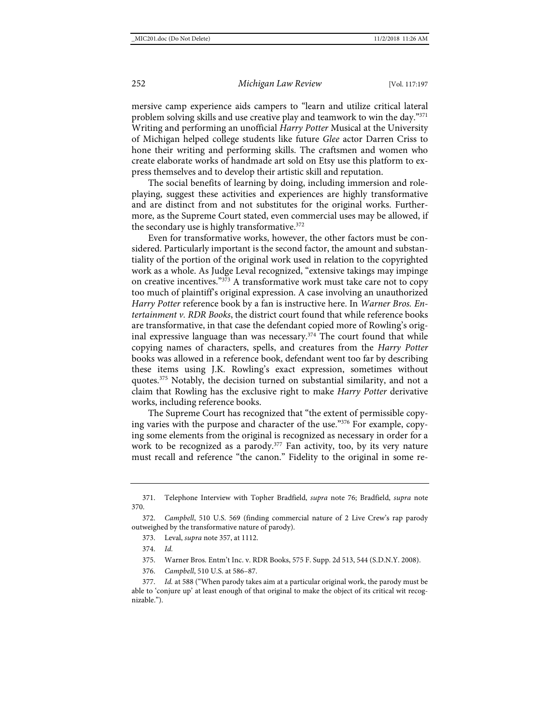mersive camp experience aids campers to "learn and utilize critical lateral problem solving skills and use creative play and teamwork to win the day."371 Writing and performing an unofficial *Harry Potter* Musical at the University of Michigan helped college students like future *Glee* actor Darren Criss to hone their writing and performing skills. The craftsmen and women who create elaborate works of handmade art sold on Etsy use this platform to express themselves and to develop their artistic skill and reputation.

The social benefits of learning by doing, including immersion and roleplaying, suggest these activities and experiences are highly transformative and are distinct from and not substitutes for the original works. Furthermore, as the Supreme Court stated, even commercial uses may be allowed, if the secondary use is highly transformative.<sup>372</sup>

Even for transformative works, however, the other factors must be considered. Particularly important is the second factor, the amount and substantiality of the portion of the original work used in relation to the copyrighted work as a whole. As Judge Leval recognized, "extensive takings may impinge on creative incentives." $373$  A transformative work must take care not to copy too much of plaintiff's original expression. A case involving an unauthorized *Harry Potter* reference book by a fan is instructive here. In *Warner Bros. Entertainment v. RDR Books*, the district court found that while reference books are transformative, in that case the defendant copied more of Rowling's original expressive language than was necessary.<sup> $374$ </sup> The court found that while copying names of characters, spells, and creatures from the *Harry Potter* books was allowed in a reference book, defendant went too far by describing these items using J.K. Rowling's exact expression, sometimes without quotes.<sup>375</sup> Notably, the decision turned on substantial similarity, and not a claim that Rowling has the exclusive right to make *Harry Potter* derivative works, including reference books.

The Supreme Court has recognized that "the extent of permissible copying varies with the purpose and character of the use."376 For example, copying some elements from the original is recognized as necessary in order for a work to be recognized as a parody.<sup>377</sup> Fan activity, too, by its very nature must recall and reference "the canon." Fidelity to the original in some re-

374. *Id.*

376. *Campbell*, 510 U.S. at 586–87.

377. *Id.* at 588 ("When parody takes aim at a particular original work, the parody must be able to 'conjure up' at least enough of that original to make the object of its critical wit recognizable.").

<sup>371.</sup> Telephone Interview with Topher Bradfield, *supra* note [76;](#page-14-2) Bradfield, *supra* note [370.](#page-55-0)

<sup>372.</sup> *Campbell*, 510 U.S. 569 (finding commercial nature of 2 Live Crew's rap parody outweighed by the transformative nature of parody).

<sup>373.</sup> Leval, *supra* not[e 357,](#page-54-0) at 1112.

<sup>375.</sup> Warner Bros. Entm't Inc. v. RDR Books, 575 F. Supp. 2d 513, 544 (S.D.N.Y. 2008).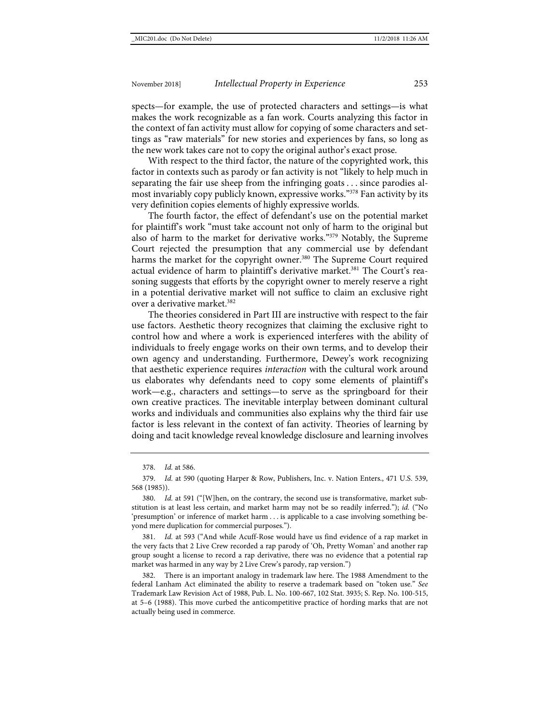spects—for example, the use of protected characters and settings—is what makes the work recognizable as a fan work. Courts analyzing this factor in the context of fan activity must allow for copying of some characters and settings as "raw materials" for new stories and experiences by fans, so long as the new work takes care not to copy the original author's exact prose.

With respect to the third factor, the nature of the copyrighted work, this factor in contexts such as parody or fan activity is not "likely to help much in separating the fair use sheep from the infringing goats . . . since parodies almost invariably copy publicly known, expressive works."378 Fan activity by its very definition copies elements of highly expressive worlds.

The fourth factor, the effect of defendant's use on the potential market for plaintiff's work "must take account not only of harm to the original but also of harm to the market for derivative works."379 Notably, the Supreme Court rejected the presumption that any commercial use by defendant harms the market for the copyright owner.<sup>380</sup> The Supreme Court required actual evidence of harm to plaintiff's derivative market.<sup>381</sup> The Court's reasoning suggests that efforts by the copyright owner to merely reserve a right in a potential derivative market will not suffice to claim an exclusive right over a derivative market.<sup>382</sup>

The theories considered in Part III are instructive with respect to the fair use factors. Aesthetic theory recognizes that claiming the exclusive right to control how and where a work is experienced interferes with the ability of individuals to freely engage works on their own terms, and to develop their own agency and understanding. Furthermore, Dewey's work recognizing that aesthetic experience requires *interaction* with the cultural work around us elaborates why defendants need to copy some elements of plaintiff's work—e.g., characters and settings—to serve as the springboard for their own creative practices. The inevitable interplay between dominant cultural works and individuals and communities also explains why the third fair use factor is less relevant in the context of fan activity. Theories of learning by doing and tacit knowledge reveal knowledge disclosure and learning involves

Id. at 593 ("And while Acuff-Rose would have us find evidence of a rap market in the very facts that 2 Live Crew recorded a rap parody of 'Oh, Pretty Woman' and another rap group sought a license to record a rap derivative, there was no evidence that a potential rap market was harmed in any way by 2 Live Crew's parody, rap version.")

382. There is an important analogy in trademark law here. The 1988 Amendment to the federal Lanham Act eliminated the ability to reserve a trademark based on "token use." *See* Trademark Law Revision Act of 1988, Pub. L. No. 100-667, 102 Stat. 3935; S. Rep. No. 100-515, at 5–6 (1988). This move curbed the anticompetitive practice of hording marks that are not actually being used in commerce.

<sup>378.</sup> *Id.* at 586.

<sup>379.</sup> *Id.* at 590 (quoting Harper & Row, Publishers, Inc. v. Nation Enters., 471 U.S. 539, 568 (1985)).

<sup>380.</sup> *Id.* at 591 ("[W]hen, on the contrary, the second use is transformative, market substitution is at least less certain, and market harm may not be so readily inferred."); *id.* ("No 'presumption' or inference of market harm . . . is applicable to a case involving something beyond mere duplication for commercial purposes.").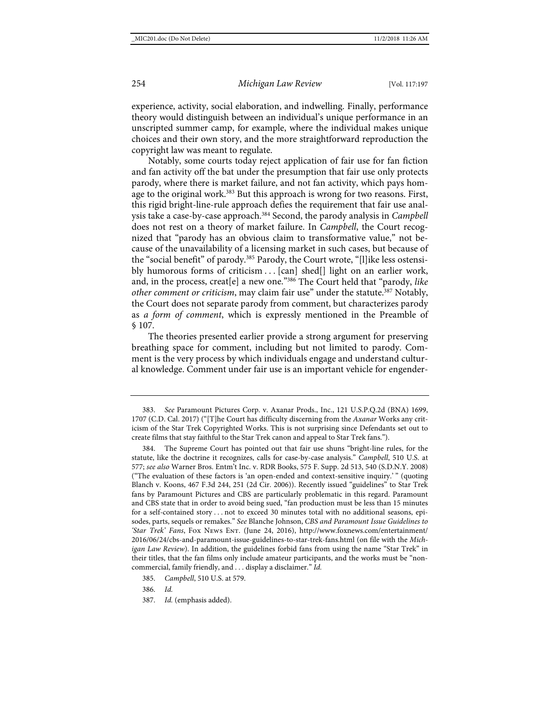experience, activity, social elaboration, and indwelling. Finally, performance theory would distinguish between an individual's unique performance in an unscripted summer camp, for example, where the individual makes unique choices and their own story, and the more straightforward reproduction the copyright law was meant to regulate.

Notably, some courts today reject application of fair use for fan fiction and fan activity off the bat under the presumption that fair use only protects parody, where there is market failure, and not fan activity, which pays homage to the original work.<sup>383</sup> But this approach is wrong for two reasons. First, this rigid bright-line-rule approach defies the requirement that fair use analysis take a case-by-case approach.384 Second, the parody analysis in *Campbell* does not rest on a theory of market failure. In *Campbell*, the Court recognized that "parody has an obvious claim to transformative value," not because of the unavailability of a licensing market in such cases, but because of the "social benefit" of parody.<sup>385</sup> Parody, the Court wrote, "[l]ike less ostensibly humorous forms of criticism . . . [can] shed[] light on an earlier work, and, in the process, creat[e] a new one."386 The Court held that "parody, *like other comment or criticism*, may claim fair use" under the statute.<sup>387</sup> Notably, the Court does not separate parody from comment, but characterizes parody as *a form of comment*, which is expressly mentioned in the Preamble of § 107.

The theories presented earlier provide a strong argument for preserving breathing space for comment, including but not limited to parody. Comment is the very process by which individuals engage and understand cultural knowledge. Comment under fair use is an important vehicle for engender-

<sup>383.</sup> *See* Paramount Pictures Corp. v. Axanar Prods., Inc., 121 U.S.P.Q.2d (BNA) 1699, 1707 (C.D. Cal. 2017) ("[T]he Court has difficulty discerning from the *Axanar* Works any criticism of the Star Trek Copyrighted Works. This is not surprising since Defendants set out to create films that stay faithful to the Star Trek canon and appeal to Star Trek fans.").

<sup>384.</sup> The Supreme Court has pointed out that fair use shuns "bright-line rules, for the statute, like the doctrine it recognizes, calls for case-by-case analysis." *Campbell*, 510 U.S. at 577; *see also* Warner Bros. Entm't Inc. v. RDR Books, 575 F. Supp. 2d 513, 540 (S.D.N.Y. 2008) ("The evaluation of these factors is 'an open-ended and context-sensitive inquiry.' " (quoting Blanch v. Koons, 467 F.3d 244, 251 (2d Cir. 2006)). Recently issued "guidelines" to Star Trek fans by Paramount Pictures and CBS are particularly problematic in this regard. Paramount and CBS state that in order to avoid being sued, "fan production must be less than 15 minutes for a self-contained story . . . not to exceed 30 minutes total with no additional seasons, episodes, parts, sequels or remakes." *See* Blanche Johnson, *CBS and Paramount Issue Guidelines to 'Star Trek' Fans*, Fox News Ent. (June 24, 2016), [http://www.foxnews.com/entertainment/](http://www.foxnews.com/entertainment/2016/06/24/cbs-and-paramount-issue-guidelines-to-star-trek-fans.html) [2016/06/24/cbs-and-paramount-issue-guidelines-to-star-trek-fans.html](http://www.foxnews.com/entertainment/2016/06/24/cbs-and-paramount-issue-guidelines-to-star-trek-fans.html) (on file with the *Michigan Law Review*). In addition, the guidelines forbid fans from using the name "Star Trek" in their titles, that the fan films only include amateur participants, and the works must be "noncommercial, family friendly, and . . . display a disclaimer." *Id.*

<sup>385.</sup> *Campbell*, 510 U.S. at 579.

<sup>386.</sup> *Id.*

<sup>387.</sup> *Id.* (emphasis added).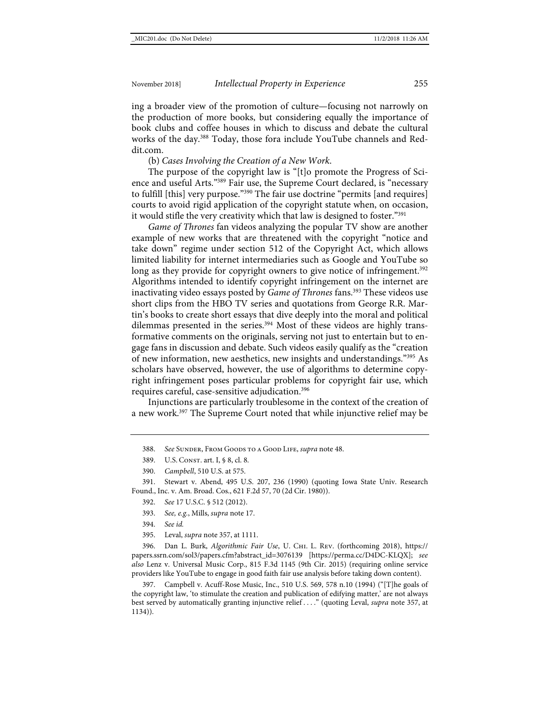ing a broader view of the promotion of culture—focusing not narrowly on the production of more books, but considering equally the importance of book clubs and coffee houses in which to discuss and debate the cultural works of the day.<sup>388</sup> Today, those fora include YouTube channels and Reddit.com.

(b) *Cases Involving the Creation of a New Work*.

The purpose of the copyright law is "[t]o promote the Progress of Science and useful Arts."389 Fair use, the Supreme Court declared, is "necessary to fulfill [this] very purpose."390 The fair use doctrine "permits [and requires] courts to avoid rigid application of the copyright statute when, on occasion, it would stifle the very creativity which that law is designed to foster."391

*Game of Thrones* fan videos analyzing the popular TV show are another example of new works that are threatened with the copyright "notice and take down" regime under section 512 of the Copyright Act, which allows limited liability for internet intermediaries such as Google and YouTube so long as they provide for copyright owners to give notice of infringement.<sup>392</sup> Algorithms intended to identify copyright infringement on the internet are inactivating video essays posted by *Game of Thrones* fans.393 These videos use short clips from the HBO TV series and quotations from George R.R. Martin's books to create short essays that dive deeply into the moral and political dilemmas presented in the series.<sup>394</sup> Most of these videos are highly transformative comments on the originals, serving not just to entertain but to engage fans in discussion and debate. Such videos easily qualify as the "creation of new information, new aesthetics, new insights and understandings."395 As scholars have observed, however, the use of algorithms to determine copyright infringement poses particular problems for copyright fair use, which requires careful, case-sensitive adjudication.396

Injunctions are particularly troublesome in the context of the creation of a new work.<sup>397</sup> The Supreme Court noted that while injunctive relief may be

- 389. U.S. CONST. art. I, § 8, cl. 8.
- 390. *Campbell*, 510 U.S. at 575.

391. Stewart v. Abend, 495 U.S. 207, 236 (1990) (quoting Iowa State Univ. Research Found., Inc. v. Am. Broad. Cos., 621 F.2d 57, 70 (2d Cir. 1980)).

- 392. *See* 17 U.S.C. § 512 (2012).
- 393. *See, e.g.*, Mills, *supra* not[e 17.](#page-5-0)
- 394. *See id.*
- 395. Leval, *supra* not[e 357,](#page-54-0) at 1111.

396. Dan L. Burk, *Algorithmic Fair Use*, U. Chi. L. Rev. (forthcoming 2018), [https://](https://papers.ssrn.com/sol3/papers.cfm?abstract_id=3076139%20) [papers.ssrn.com/sol3/papers.cfm?abstract\\_id=3076139](https://papers.ssrn.com/sol3/papers.cfm?abstract_id=3076139%20) [\[https://perma.cc/D4DC-KLQX\]](https://perma.cc/D4DC-KLQX); *see also* Lenz v. Universal Music Corp., 815 F.3d 1145 (9th Cir. 2015) (requiring online service providers like YouTube to engage in good faith fair use analysis before taking down content).

397. Campbell v. Acuff-Rose Music, Inc., 510 U.S. 569, 578 n.10 (1994) ("[T]he goals of the copyright law, 'to stimulate the creation and publication of edifying matter,' are not always best served by automatically granting injunctive relief . . . ." (quoting Leval, *supra* note [357,](#page-54-0) at 1134)).

<sup>388.</sup> *See* Sunder, From Goods to a Good Life, *supra* not[e 48.](#page-10-0)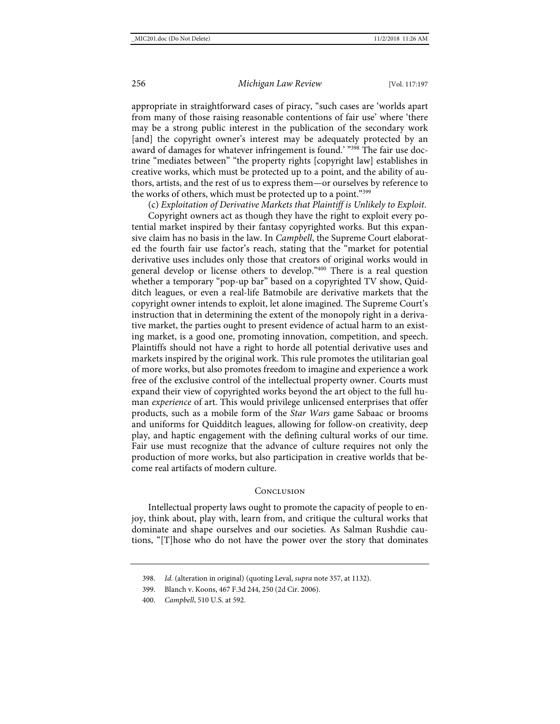appropriate in straightforward cases of piracy, "such cases are 'worlds apart from many of those raising reasonable contentions of fair use' where 'there may be a strong public interest in the publication of the secondary work [and] the copyright owner's interest may be adequately protected by an award of damages for whatever infringement is found.' "<sup>398</sup> The fair use doctrine "mediates between" "the property rights [copyright law] establishes in creative works, which must be protected up to a point, and the ability of authors, artists, and the rest of us to express them—or ourselves by reference to the works of others, which must be protected up to a point."399

(c) *Exploitation of Derivative Markets that Plaintiff is Unlikely to Exploit*.

Copyright owners act as though they have the right to exploit every potential market inspired by their fantasy copyrighted works. But this expansive claim has no basis in the law. In *Campbell*, the Supreme Court elaborated the fourth fair use factor's reach, stating that the "market for potential derivative uses includes only those that creators of original works would in general develop or license others to develop."400 There is a real question whether a temporary "pop-up bar" based on a copyrighted TV show, Quidditch leagues, or even a real-life Batmobile are derivative markets that the copyright owner intends to exploit, let alone imagined. The Supreme Court's instruction that in determining the extent of the monopoly right in a derivative market, the parties ought to present evidence of actual harm to an existing market, is a good one, promoting innovation, competition, and speech. Plaintiffs should not have a right to horde all potential derivative uses and markets inspired by the original work. This rule promotes the utilitarian goal of more works, but also promotes freedom to imagine and experience a work free of the exclusive control of the intellectual property owner. Courts must expand their view of copyrighted works beyond the art object to the full human *experience* of art. This would privilege unlicensed enterprises that offer products, such as a mobile form of the *Star Wars* game Sabaac or brooms and uniforms for Quidditch leagues, allowing for follow-on creativity, deep play, and haptic engagement with the defining cultural works of our time. Fair use must recognize that the advance of culture requires not only the production of more works, but also participation in creative worlds that become real artifacts of modern culture.

#### **CONCLUSION**

Intellectual property laws ought to promote the capacity of people to enjoy, think about, play with, learn from, and critique the cultural works that dominate and shape ourselves and our societies. As Salman Rushdie cautions, "[T]hose who do not have the power over the story that dominates

399. Blanch v. Koons, 467 F.3d 244, 250 (2d Cir. 2006).

<sup>398.</sup> *Id.* (alteration in original) (quoting Leval, *supra* not[e 357,](#page-54-0) at 1132).

<sup>400.</sup> *Campbell*, 510 U.S. at 592.